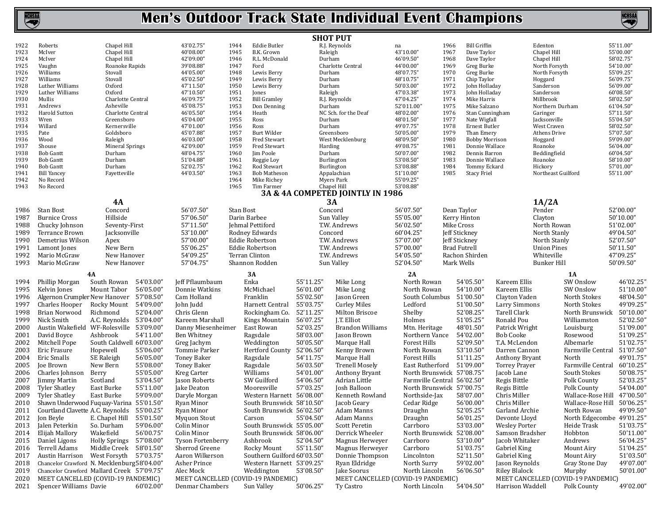|              |                                        |                                                 |                                                       |              |                             | <b>SHOT PUT</b>   |                                                 |                             |                     |                                    |                      |                                                   |                        |
|--------------|----------------------------------------|-------------------------------------------------|-------------------------------------------------------|--------------|-----------------------------|-------------------|-------------------------------------------------|-----------------------------|---------------------|------------------------------------|----------------------|---------------------------------------------------|------------------------|
| 1922         | Roberts                                | Chapel Hill                                     | 43'02.75"                                             | 1944         | Eddie Butler                |                   | R.J. Reynolds                                   | na                          | 1966                | Bill Griffin                       |                      | Edenton                                           | 55'11.00"              |
| 1923         | McIver                                 | Chapel Hill                                     | 40'08.00"                                             | 1945         | B.K. Grown                  | Raleigh           |                                                 | 43'10.00"                   | 1967                | Dave Taylor                        |                      | Chapel Hill                                       | 55'00.00"              |
| 1924         | McIver                                 | Chapel Hill                                     | 42'09.00"                                             | 1946         | R.L. McDonald               | Durham            |                                                 | 46'09.50"                   | 1968                | Dave Taylor                        |                      | Chapel Hill                                       | 58'02.75"              |
| 1925         | Vaughn                                 | Roanoke Rapids                                  | 39'08.88"                                             | 1947         | Ford                        |                   | Charlotte Central                               | 44'00.00"                   | 1969                | Greg Burke                         |                      | North Forsyth                                     | 54'10.00"              |
| 1926         | Williams                               | Stovall                                         | 44'05.00"                                             | 1948         | Lewis Berry                 | Durham            |                                                 | 48'07.75"                   | 1970                | Greg Burke                         |                      | North Forsyth                                     | 55'09.25"              |
| 1927<br>1928 | Williams<br>Luther Williams            | Stovall<br>Oxford                               | 45'02.50"<br>47'11.50"                                | 1949         | Lewis Berry<br>Lewis Berry  | Durham            |                                                 | 48'10.75"<br>50'03.00"      | 1971<br>1972        | Chip Taylor<br>John Holladay       |                      | Hoggard                                           | 56'09.75"<br>56'09.00" |
| 1929         | Luther Williams                        | Oxford                                          | 47'10.50"                                             | 1950<br>1951 | Jones                       | Durham<br>Raleigh |                                                 | 47'03.38"                   | 1973                | John Holladay                      |                      | Sanderson<br>Sanderson                            | 60'08.50"              |
| 1930         | Mullis                                 | Charlotte Central                               | 46'09.75"                                             | 1952         | <b>Bill Gramley</b>         |                   | R.J. Reynolds                                   | 47'04.25"                   | 1974                | Mike Harris                        |                      | Millbrook                                         | 58'02.50"              |
| 1931         | Andrews                                | Asheville                                       | 45'08.75"                                             | 1953         | Don Denning                 | Durham            |                                                 | 52'011.00"                  | 1975                | Mike Salzano                       |                      | Northern Durham                                   | 61'04.50"              |
| 1932         | Harold Sutton                          | Charlotte Central                               | 46'05.50"                                             | 1954         | Heath                       |                   | NC Sch. for the Deaf                            | 48'02.00"                   | 1976                | Stan Cunningham                    |                      | Garinger                                          | 57'11.50"              |
| 1933         | Wren                                   | Greensboro                                      | 45'04.00"                                             | 1955         | Ross                        | Durham            |                                                 | 48'01.50"                   | 1977                | Nate Wigfall                       |                      | Jacksonville                                      | 55'04.50"              |
| 1934         | Willard                                | Kernersville                                    | 47'01.00"                                             | 1956         | Ross                        | Durham            |                                                 | 49'07.75"                   | 1978                | Ernest Butler                      |                      | West Craven                                       | 58'02.50"              |
| 1935         | Pate                                   | Goldsboro                                       | 45'07.88"                                             | 1957         | Burt Wilder                 |                   | Greensboro                                      | 50'05.00"                   | 1979                | Than Emery                         |                      | Athens Drive                                      | 57'07.50"              |
| 1936         | Wood                                   | Raleigh                                         | 46'03.00"                                             | 1958         | <b>Fred Stewart</b>         |                   | West Mecklenburg                                | 48'09.50"                   | 1980                | <b>Bobby Morrison</b>              |                      | Hoggard                                           | 59'09.00"              |
| 1937         | Shouse                                 | <b>Mineral Springs</b>                          | 42'09.00"                                             | 1959         | Fred Stewart                | Harding           |                                                 | 49'08.75"                   | 1981                | Donnie Wallace                     |                      | Roanoke                                           | 56'04.00"              |
| 1938         | <b>Bob Gantt</b>                       | Durham                                          | 48'04.75"                                             | 1960         | Jim Poole                   | Durham            |                                                 | 50'07.00"                   | 1982                | Dennis Barron                      |                      | Beddingfield                                      | 60'04.50"              |
| 1939         | <b>Bob Gantt</b>                       | Durham                                          | 51'04.88"                                             | 1961         | Reggie Loy<br>Rod Stewart   |                   | Burlington                                      | 53'08.50"                   | 1983                | Donnie Wallace                     |                      | Roanoke                                           | 58'10.00"<br>57'01.00" |
| 1940<br>1941 | <b>Bob Gantt</b><br><b>Bill Yancey</b> | Durham<br>Fayetteville                          | 52'02.75"<br>44'03.50"                                | 1962<br>1963 | Bob Matheson                |                   | Burlington<br>Appalachian                       | 53'08.88"<br>51'10.00"      | 1984<br>1985        | Tommy Eckard<br><b>Stacy Friel</b> |                      | Hickory<br>Northeast Guilford                     | 55'11.00"              |
| 1942         | No Record                              |                                                 |                                                       | 1964         | Mike Richey                 |                   | Myers Park                                      | 55'09.25"                   |                     |                                    |                      |                                                   |                        |
| 1943         | No Record                              |                                                 |                                                       | 1965         | Tim Farmer                  |                   | Chapel Hill                                     | 53'08.88"                   |                     |                                    |                      |                                                   |                        |
|              |                                        |                                                 |                                                       |              |                             |                   | 3A & 4A COMPETED JOINTLY IN 1986                |                             |                     |                                    |                      |                                                   |                        |
|              |                                        | <b>4A</b>                                       |                                                       |              |                             |                   | 3A                                              |                             |                     |                                    |                      | 1A/2A                                             |                        |
| 1986         | <b>Stan Bost</b>                       | Concord                                         | 56'07.50"                                             | Stan Bost    |                             | Concord           |                                                 | 56'07.50"                   | Dean Taylor         |                                    |                      | Pender                                            | 52'00.00"              |
| 1987         | <b>Burnice Cross</b>                   | Hillside                                        | 57'06.50"                                             | Darin Barbee |                             |                   | Sun Valley                                      | 55'05.00"                   | Kerry Hinton        |                                    |                      | Clayton                                           | 50'10.00"              |
| 1988         | Chucky Johnson                         | Seventy-First                                   | 57'11.50"                                             |              | Jehmal Pettiford            |                   | T.W. Andrews                                    | 56'02.50"                   | Mike Cross          |                                    |                      | North Rowan                                       | 51'02.00"              |
| 1989         | Terrance Brown                         | Jacksonville                                    | 53'10.00"                                             |              | Rodney Edwards              | Concord           |                                                 | 60'04.25"                   | Jeff Stickney       |                                    |                      | North Stanly                                      | 49'04.50"              |
| 1990         | Demetrius Wilson                       | Apex                                            | 57'00.00"                                             |              | <b>Eddie Robertson</b>      |                   | T.W. Andrews                                    | 57'07.00"                   | Jeff Stickney       |                                    |                      | North Stanly                                      | 52'07.50"              |
| 1991         | Lamont Jones                           | New Bern                                        | 55'06.25"                                             |              | <b>Eddie Robertson</b>      |                   | T.W. Andrews                                    | 57'00.00"                   | <b>Brad Futrell</b> |                                    |                      | <b>Union Pines</b>                                | 50'11.50"              |
| 1992         | Mario McGraw                           | New Hanover                                     | 54'09.25"                                             |              | Terran Clinton              |                   | T.W. Andrews                                    | 54'05.50"                   | Rachon Shirden      |                                    |                      | Whiteville                                        | 47'09.25"              |
| 1993         | Mario McGraw                           | New Hanover                                     | 57'04.75"                                             |              | Shannon Rodden              |                   | Sun Valley                                      | 52'04.50"                   | Mark Wells          |                                    |                      | Bunker Hill                                       | 50'09.50"              |
|              |                                        |                                                 |                                                       |              |                             |                   |                                                 |                             |                     |                                    |                      |                                                   |                        |
|              |                                        | 4A                                              |                                                       |              | 3A                          |                   |                                                 | 2A                          |                     |                                    |                      | 1A                                                |                        |
| 1994         | Phillip Morgan                         | South Rowan<br>54'03.00"                        | Jeff Pflaumbaum                                       |              | Enka                        | 55'11.25"         | Mike Long                                       | North Rowan                 |                     | 54'05.50"                          | Kareem Ellis         | SW Onslow                                         | 46'02.25"              |
| 1995         | Kelvin Jones                           | 56'05.00"<br>Mount Tabor                        | Donnie Watkins                                        |              | McMichael                   | 56'01.00"         | Mike Long                                       | North Rowan                 |                     | 54'10.00"                          | Kareem Ellis         | SW Onslow                                         | 51'10.00"              |
| 1996         | Algernon Crumpler New Hanover          | 57'08.50"                                       | Cam Holland                                           |              | Franklin                    | 55'02.50"         | Jason Green                                     | South Columbus 51'00.50"    |                     |                                    | Clayton Vaden        | North Stokes                                      | 48'04.50"              |
| 1997         | Charles Hooper                         | 54'09.00"<br>Rocky Mount                        | John Judd                                             |              | Harnett Central             | 55'03.75"         | <b>Curley Miles</b>                             | Ledford                     |                     | 51'00.50"                          | Larry Simmons        | North Stokes                                      | 49'09.25"              |
| 1998         | Brian Norwood                          | 52'04.00"<br>Richmond                           | Chris Glenn                                           |              | Rockingham Co.              | 52'11.25"         | Milton Briscoe                                  | Shelby                      |                     | 52'08.25"                          | Tarell Clark         | North Brunswick                                   | 50'10.00"              |
| 1999         | Nick Smith                             | A.C. Reynolds 53'04.00"                         | Kareem Marshall                                       |              | Kings Mountain              | 56'07.25"         | J.T. Elliot                                     | Holmes                      |                     | 51'05.25"                          | Ronald Pou           | Williamston                                       | 52'02.50"              |
| 2000         |                                        | Austin Wakefield WF-Rolesville 53'09.00"        | Danny Miesenheimer                                    |              | East Rowan                  | 52'03.25"         | Brandon Williams                                | Mtn. Heritage               | 48'01.50"           |                                    | Patrick Wright       | Louisburg                                         | 51'09.00"              |
| 2001         | David Boyce                            | 54'11.00"<br>Ashbrook                           | Ben Whitney                                           |              | Ragsdale                    | 58'03.00"         | Jason Brown                                     | Northern Vance              | 54'02.00"           |                                    | <b>Bob Cooke</b>     | Rosewood                                          | 51'09.25"              |
| 2002         | Mitchell Pope                          | South Caldwell 60'03.00"                        | Greg Jachym                                           |              | Weddington                  | 50'05.50"         | Marque Hall                                     | Forest Hills                |                     | 52'09.50"                          | T.A. McLendon        | Albemarle                                         | 51'02.75"              |
| 2003         | Eric Frasure                           | 55'06.00"<br>Hopewell                           | Tommie Parker                                         |              | Hertford County             | 52'06.50"         | Kenny Brown                                     | North Rowan                 |                     | 53'10.50"                          | Darren Cannon        | Farmville Central                                 | 51'07.50"              |
| 2004         | Eric Smalls                            |                                                 |                                                       |              |                             |                   |                                                 |                             |                     |                                    |                      |                                                   |                        |
| 2005         |                                        | 56'05.00"<br>SE Raleigh                         | Toney Baker                                           |              | Ragsdale                    | 54'11.75"         | Marque Hall                                     | Forest Hills                |                     | 51'11.25"                          | Anthony Bryant       | North                                             | 49'01.75'              |
|              | <b>Ioe Brown</b>                       | 55'08.00"<br>New Bern                           | Toney Baker                                           |              |                             | 56'03.50"         | <b>Trenell Mosely</b>                           | East Rutherford             | 51'09.00"           |                                    | Torrey Prayer        | Farmville Central                                 | 60'10.25'              |
| 2006         | Charles Johnson                        | 55'05.00"                                       | Kreg Carter                                           |              | Ragsdale<br>Williams        | 54'01.00"         | Anthony Bryant                                  | North Brunswick 57'08.75"   |                     |                                    | Jacob Lane           | South Stokes                                      | 50'08.75'              |
|              |                                        | Berry<br>53'04.50"                              |                                                       |              |                             |                   | Adrian Little                                   | Farmville Central 56'02.50" |                     |                                    |                      |                                                   | 52'03.25"              |
| 2007         | Jimmy Martin                           | Scotland                                        | Jason Roberts                                         |              | SW Guilford                 | 54'06.50"         |                                                 |                             |                     |                                    | Regis Bittle         | Polk County                                       |                        |
| 2008         | <b>Tyler Shatley</b>                   | 55'11.00"<br>East Burke                         | Jake Deaton                                           |              | Mooresville                 | 57'03.25"         | Josh Balloon                                    | North Brunswick 57'00.75"   |                     | 58'07.00"                          | Regis Bittle         | Polk County                                       | 54'04.00"              |
| 2009         | <b>Tyler Shatley</b>                   | 59'09.00"<br>East Burke                         | Daryle Morgan                                         |              | Western Harnett 56'08.00"   |                   | Kenneth Rowland                                 | Northside-Jax               |                     |                                    | Chris Miller         | Wallace-Rose Hill                                 | 47'00.50"              |
| 2010         |                                        | Shawn Underwood Fuquay-Varina 55'01.50"         | Ryan Minor                                            |              | South Brunswick 58'10.50"   |                   | Jacob Geary                                     | Cedar Ridge                 |                     | 56'00.00"                          | Chris Miller         | Wallace-Rose Hill 50'06.25'                       |                        |
| 2011         |                                        | Courtland Clavette A.C. Reynolds 55'00.25"      | Ryan Minor                                            |              | South Brunswick 56'02.50"   |                   | Adam Manns                                      | Draughn                     |                     | 52'05.25"                          | Garland Archie       | North Rowan                                       | 49'09.50"              |
| 2012         | Jon Beyle                              | E. Chapel Hill 55'01.50"                        | Myquon Stout                                          |              | Carson                      | 55'04.50"         | Adam Manns                                      | Draughn                     |                     | 56'01.25"                          | Devonte Lloyd        | North Edgecombe 49'01.25"                         |                        |
| 2013         | Jalen Peterkin                         | 59'06.00"<br>So. Durham                         | Colin Minor                                           |              | South Brunswick 55'05.00"   |                   | Scott Peretin                                   | Carrboro                    |                     | 53'03.00"                          | <b>Wesley Porter</b> | Heide Trask                                       | 51'03.75"              |
| 2014         | Elijah Mallory                         | 56'00.75"<br>Wakefield                          | Colin Minor                                           |              | South Brunswick 58'06.00"   |                   | Derrick Wheeler                                 | North Brunswick 52'08.00"   |                     |                                    | Samson Bradsher      | Hobbton                                           | 50'11.00"              |
| 2015         | Daniel Ligons                          | Holly Springs 57'08.00"                         | <b>Tyson Fortenberry</b>                              |              | Ashbrook                    | 52'04.50"         | Magnus Herweyer                                 | Carrboro                    |                     | 53'10.00"                          | Jacob Whitaker       | Andrews                                           | 56'04.25"              |
| 2016         | Terrell Adams                          | Middle Creek 58'01.50"                          | Sherrod Greene                                        |              | Rocky Mount                 | 55'11.50"         | Magnus Herweyer                                 | Carrboro                    |                     | 51'03.75"                          | Gabriel King         | Mount Airy                                        | 51'04.25"              |
| 2017         |                                        | Austin Harrison West Forsyth 57'03.75"          | Aaron Wilkerson                                       |              | Southern Guilford 60'03.50" |                   | Donnie Thompson                                 | Lincolnton                  |                     | 52'11.50"                          | Gabriel King         | Mount Airy                                        | 51'03.50"              |
| 2018         |                                        | Chancelor Crawford N. Mecklenburg58'04.00"      | Asher Prince                                          |              | Western Harnett 53'09.25"   |                   | Ryan Eldridge                                   | North Surry                 |                     | 59'02.00"                          | Jason Reynolds       | Gray Stone Day                                    | 49'07.00"              |
| 2019         |                                        | Chancelor Crawford Mallard Creek 57'09.75"      | Alec Mock                                             |              | Weddington                  | 53'08.50"         | Jake Soorus                                     | North Lincoln               | 56'06.50"           |                                    | <b>Riley Blalock</b> | Murphy                                            | 50'01.00"              |
| 2020<br>2021 | Spencer Williams Davie                 | MEET CANCELLED (COVID-19 PANDEMIC)<br>60'02.00" | MEET CANCELLED (COVID-19 PANDEMIC)<br>Denmar Chambers |              | Sun Valley                  | 50'06.25"         | MEET CANCELLED (COVID-19 PANDEMIC)<br>Ty Castro | North Lincoln               |                     | 54'04.50"                          | Harrison Waddell     | MEET CANCELLED (COVID-19 PANDEMIC)<br>Polk County | 49'02.00"              |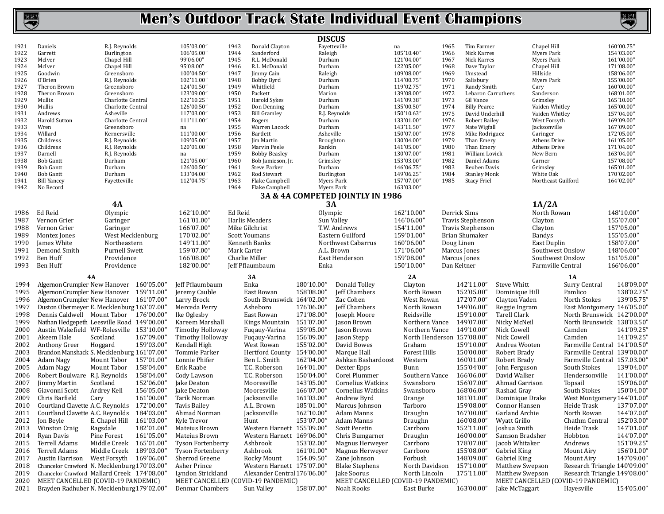

|              |                                      |                                                                     |                                                       |                      |                                    | <b>DISCUS</b>            |                                                  |                            |              |                                     |                                      |                                |                                                  |                          |
|--------------|--------------------------------------|---------------------------------------------------------------------|-------------------------------------------------------|----------------------|------------------------------------|--------------------------|--------------------------------------------------|----------------------------|--------------|-------------------------------------|--------------------------------------|--------------------------------|--------------------------------------------------|--------------------------|
| 1921         | Daniels                              | R.J. Reynolds                                                       | 105'03.00"                                            | 1943                 | Donald Clayton                     |                          | Fayetteville                                     | na                         | 1965         | Tim Farmer                          |                                      | Chapel Hill                    |                                                  | 160'00.75"               |
| 1922         | Garrett                              | Burlington                                                          | 106'05.00"                                            | 1944                 | Sanderford                         | Raleigh                  |                                                  | 105'10.40"                 | 1966         | Nick Karres                         |                                      | Myers Park                     |                                                  | 154'03.00"               |
| 1923<br>1924 | McIver                               | Chapel Hill                                                         | 99'06.00"                                             | 1945                 | R.L. McDonald<br>R.L. McDonald     | Durham                   |                                                  | 121'04.00"<br>122'05.00"   | 1967<br>1968 | Nick Karres                         |                                      | Myers Park                     |                                                  | 161'00.00"               |
| 1925         | McIver<br>Goodwin                    | Chapel Hill<br>Greensboro                                           | 95'08.00"<br>100'04.50"                               | 1946<br>1947         | Jimmy Cain                         | Durham<br>Raleigh        |                                                  | 109'08.00"                 | 1969         | Dave Taylor<br>Umstead              |                                      | Chapel Hill<br>Hillside        |                                                  | 171'08.00"<br>158'06.00" |
| 1926         | 0'Brien                              | R.J. Reynolds                                                       | 102'11.00"                                            | 1948                 | Bobby Byrd                         | Durham                   |                                                  | 114'00.75'                 | 1970         | Salisbury                           |                                      | Myers Park                     |                                                  | 155'00.00"               |
| 1927         | Theron Brown                         | Greensboro                                                          | 124'01.50"                                            | 1949                 | Whitfield                          | Durham                   |                                                  | 119'02.75'                 | 1971         | Randy Smith                         |                                      | Cary                           |                                                  | 160'00.00"               |
| 1928         | Theron Brown                         | Greensboro                                                          | 123'09.00"                                            | 1950                 | Packett                            | Marion                   |                                                  | 139'08.00"                 | 1972         | Lebaron Carruthers                  |                                      | Sanderson                      |                                                  | 168'01.00"               |
| 1929         | Mullis                               | Charlotte Central                                                   | 122'10.25"                                            | 1951                 | Harold Sykes                       | Durham                   |                                                  | 141'09.38"                 | 1973         | Gil Vance                           |                                      | Grimsley                       |                                                  | 165'10.00"               |
| 1930         | Mullis                               | Charlotte Central                                                   | 126'00.50"                                            | 1952                 | Don Denning                        | Durham                   |                                                  | 135'00.50"                 | 1974         | <b>Billy Pearce</b>                 |                                      | Vaiden Whitley                 |                                                  | 165'00.00"               |
| 1931<br>1932 | Andrews                              | Asheville                                                           | 117'03.00"<br>111'11.00"                              | 1953<br>1954         | <b>Bill Gramley</b>                |                          | R.J. Reynolds                                    | 150'10.63"                 | 1975<br>1976 | David Underhill                     |                                      | Vaiden Whitley<br>West Forsyth |                                                  | 157'04.00"               |
| 1933         | Harold Sutton<br>Wren                | Charlotte Central<br>Greensboro                                     | na                                                    | 1955                 | Rogers<br>Warren Lacock            | Durham<br>Durham         |                                                  | 133'01.00'<br>143'11.50"   | 1977         | Robert Bailey<br>Nate Wigfall       |                                      | Jacksonville                   |                                                  | 169'09.00"<br>167'09.00" |
| 1934         | Willard                              | Kernersville                                                        | 111'00.00"                                            | 1956                 | Bartlett                           | Asheville                |                                                  | 150'07.00"                 | 1978         | Mike Rodriguez                      |                                      | Garinger                       |                                                  | 172'05.00"               |
| 1935         | Childress                            | R.J. Reynolds                                                       | 109'05.00"                                            | 1957                 | Jim Martin                         | Broughton                |                                                  | 130'04.00"                 | 1979         | Than Emery                          |                                      | Athens Drive                   |                                                  | 161'05.00"               |
| 1936         | Childress                            | R.J. Reynolds                                                       | 120'01.00"                                            | 1958                 | Marvin Peele                       | Rankin                   |                                                  | 141'05.00'                 | 1980         | Than Emery                          |                                      | Athens Drive                   |                                                  | 171'04.00"               |
| 1937         | Darnell                              | R.J. Reynolds                                                       | na                                                    | 1959                 | <b>Bobby Beasley</b>               | Durham                   |                                                  | 130'07.00'                 | 1981         | William Lovick                      |                                      | New Bern                       |                                                  | 163'04.00"               |
| 1938         | <b>Bob Gantt</b>                     | Durham                                                              | 121'05.00"                                            | 1960                 | Bob Jamieson, Jr.                  | Grimsley                 |                                                  | 153'03.00'                 | 1982         | Daniel Adams                        |                                      | Garner                         |                                                  | 157'08.00"               |
| 1939<br>1940 | <b>Bob Gantt</b><br><b>Bob Gantt</b> | Durham<br>Durham                                                    | 126'00.50"<br>133'04.00"                              | 1961<br>1962         | <b>Steve Parker</b><br>Rod Stewart | Durham<br>Burlington     |                                                  | 146'06.75'<br>149'06.25"   | 1983<br>1984 | Reuben Davis<br><b>Stanley Monk</b> |                                      | Grimsley<br>White Oak          |                                                  | 165'01.00"<br>170'02.00" |
| 1941         | <b>Bill Yancey</b>                   | Fayetteville                                                        | 112'04.75"                                            | 1963                 | Flake Campbell                     |                          | Myers Park                                       | 157'07.00"                 | 1985         | <b>Stacy Friel</b>                  |                                      | Northeast Guilford             |                                                  | 164'02.00"               |
| 1942         | No Record                            |                                                                     |                                                       | 1964                 | Flake Campbell                     |                          | Myers Park                                       | 163'03.00"                 |              |                                     |                                      |                                |                                                  |                          |
|              |                                      |                                                                     |                                                       |                      |                                    |                          | 3A & 4A COMPETED JOINTLY IN 1986                 |                            |              |                                     |                                      |                                |                                                  |                          |
|              |                                      | 4A                                                                  |                                                       |                      |                                    | 3A                       |                                                  |                            |              |                                     |                                      | 1A/2A                          |                                                  |                          |
| 1986         | Ed Reid                              | Olympic                                                             | 162'10.00"                                            | Ed Reid              |                                    | Olympic                  |                                                  | 162'10.00"                 | Derrick Sims |                                     |                                      | North Rowan                    |                                                  | 148'10.00"               |
| 1987         | Vernon Grier                         | Garinger                                                            | 161'01.00"                                            |                      | Harlis Meaders                     |                          | Sun Valley                                       | 146'06.00"                 |              | Travis Stephenson                   |                                      | Clayton                        |                                                  | 155'07.00"               |
| 1988         | Vernon Grier                         | Garinger                                                            | 166'07.00"                                            | Mike Gilchrist       |                                    |                          | T.W. Andrews                                     | 154'11.00"                 |              | Travis Stephenson                   |                                      | Clayton                        |                                                  | 157'05.00"               |
| 1989         | Montez Jones                         | West Mecklenburg                                                    | 170'02.00"                                            | <b>Scott Youmans</b> |                                    |                          | Eastern Guilford                                 | 159'01.00"                 |              | Brian Shumaker                      |                                      | Bandys                         |                                                  | 155'05.00"               |
| 1990         | James White                          | Northeastern                                                        | 149'11.00"                                            |                      | Kenneth Banks                      |                          | Northwest Cabarrus                               | 160'06.00"                 | Doug Linen   |                                     |                                      | East Duplin                    |                                                  | 158'07.00"               |
| 1991         | Demond Smith                         | <b>Purnell Swett</b>                                                | 159'07.00"                                            | Mark Carter          |                                    |                          | A.L. Brown                                       | 171'06.00"                 | Marcus Jones |                                     |                                      | Southwest Onslow               |                                                  | 148'06.00"               |
| 1992         | Ben Huff                             | Providence                                                          | 166'08.00"                                            | Charlie Miller       |                                    |                          | East Henderson                                   | 159'08.00"                 | Marcus Jones |                                     |                                      | Southwest Onslow               |                                                  | 161'05.00"               |
|              |                                      |                                                                     |                                                       |                      |                                    |                          |                                                  |                            |              |                                     |                                      |                                |                                                  |                          |
| 1993         | Ben Huff                             | Providence                                                          | 182'00.00"                                            |                      | Jeff Pflaumbaum                    | Enka                     |                                                  | 150'10.00"                 | Dan Keltner  |                                     |                                      | Farmville Central              |                                                  | 166'06.00"               |
|              |                                      |                                                                     |                                                       |                      |                                    |                          |                                                  |                            |              |                                     |                                      |                                |                                                  |                          |
|              | 4A                                   |                                                                     |                                                       |                      | 3A                                 |                          |                                                  | 2A                         |              |                                     |                                      |                                | 1A                                               |                          |
| 1994         |                                      | Algernon Crumpler New Hanover 160'05.00"                            | Jeff Pflaumbaum                                       |                      | Enka                               | 180'10.00"               | Donald Tolley                                    | Clayton                    |              | 142'11.00"                          | Steve Whitt                          |                                | Surry Central                                    | 148'09.00"               |
| 1995         |                                      | Algernon Crumpler New Hanover 159'11.00"                            | Jeremy Cauble                                         |                      | East Rowan                         | 158'08.00"               | Jeff Chambers                                    | North Rowan                |              | 152'05.00"                          | Dominique Hill                       |                                | Pamlico                                          | 138'02.75"               |
| 1996         |                                      | Algernon Crumpler New Hanover 161'07.00"                            | Larry Brock                                           |                      | South Brunswick 164'02.00'         |                          | Zac Cohen                                        | West Rowan                 |              | 172'07.00"                          | Clayton Vaden                        |                                | North Stokes                                     | 139'05.75"               |
| 1997<br>1998 |                                      | Duston Obermeyer E. Mecklenburg 163'07.00"                          | Merceda Perry                                         |                      | Asheboro<br>East Rowan             | 176'06.00"<br>171'08.00" | Jeff Chambers                                    | North Rowan<br>Reidsville  |              | 149'06.00"<br>159'10.00"            | Reggie Ingram<br><b>Tarell Clark</b> |                                | East Montgomery 146'05.00"                       |                          |
|              |                                      | Dennis Caldwell Mount Tabor 176'00.00"                              | Ike Oglesby<br>Kareem Marshall                        |                      |                                    |                          | Joseph Moore                                     | Northern Vance             |              | 149'07.00"                          |                                      |                                | North Brunswick 142'00.00"                       |                          |
| 1999         |                                      | Nathan Hedgepeth Leesville Road 149'00.00"                          |                                                       |                      | Kings Mountain 151'07.00"          |                          | Jason Brown                                      | Northern Vance             |              | 149'10.00"                          | Nicky McNeil                         |                                | North Brunswick 138'03.50"<br>Camden             | 141'09.25"               |
| 2000<br>2001 | Akeem Hale                           | Austin Wakefield WF-Rolesville 153'10.00"<br>167'09.00"<br>Scotland | Timothy Holloway<br>Timothy Holloway                  |                      | Fugauy-Varina                      | 159'05.00"<br>156'09.00" | Jason Brown<br>Jason Stepp                       | North Henderson 157'08.00" |              |                                     | Nick Cowell                          |                                | Camden                                           | 141'09.25"               |
|              | Anthony Greer                        | 159'03.00"                                                          | Kendall High                                          |                      | Fuqauy-Varina<br>West Rowan        | 155'02.00"               | David Bowes                                      | Graham                     |              | 159'10.00"                          | Nick Cowell<br>Andrea Wooten         |                                | Farmville Central 141'00.50"                     |                          |
| 2002<br>2003 |                                      | Hoggard<br>Brandon Manshack S. Mecklenburg 161'07.00"               | Tommie Parker                                         |                      | Hertford County 154'00.00"         |                          | Marque Hall                                      | Forest Hills               |              | 150'00.00"                          | Robert Brady                         |                                | Farmville Central 139'00.00'                     |                          |
| 2004         | Adam Nagy                            | Mount Tabor<br>157'01.00"                                           | Lonnie Phifer                                         |                      | Ben L. Smith                       | 162'04.00"               | Ashkan Bashardoost                               | Western                    |              | 160'01.00"                          | Robert Brady                         |                                | Farmville Central 157.03.00'                     |                          |
| 2005         | Adam Nagy                            | 158'04.00"<br>Mount Tabor                                           | Erik Raabe                                            |                      | T.C. Roberson                      | 164'01.00'               | Dexter Epps                                      | Bunn                       |              | 155'04'00"                          | John Ferguson                        |                                | South Stokes                                     | 139'04.00'               |
| 2006         | Robert Boulware R.J. Reynolds        | 158'04.00"                                                          | Cody Lawson                                           |                      | T.C. Roberson                      | 150'04.00'               | Corei Plummer                                    | Southern Vance             |              | 166'06.00"                          | David Walker                         |                                | Hendersonville                                   | 141'00.00"               |
| 2007         | <b>Jimmy Martin</b>                  | Scotland<br>152'06.00"                                              | Jake Deaton                                           |                      | Mooresville                        | 143'05.00'               | Cornelius Watkins                                | Swansboro                  |              | 156'07.00"                          | Ahmad Garrison                       |                                | Topsail                                          | 159'06.00'               |
| 2008         | Giavonni Scott                       | 156'05.00"<br>Ardrey Kell                                           | <b>Jake Deaton</b>                                    |                      | Mooresville                        | 166'07.00'               | Cornelius Watkins                                | Swansboro                  |              | 168'06.00"                          | Rashad Gray                          |                                | South Stokes                                     | 150'04.00"               |
| 2009         | Chris Barfield<br>Cary               | 161'00.00"                                                          | Tarik Norman                                          |                      | Jacksonville                       | 161'03.00'               | Andrew Byrd                                      | Orange                     |              | 181'01.00"                          | Dominique Drake                      |                                | West Montgomery 144'01.00"                       |                          |
| 2010         | Courtland Clavette A.C. Reynolds     | 172'00.00"                                                          | Tavis Bailey                                          |                      | A.L. Brown                         | 185'01.00"               | Marcus Johnson                                   | Tarboro                    |              | 159'08.00"                          | Connor Hansen                        |                                | Heide Trask                                      | 137'07.00"               |
| 2011         | Courtland Clavette A.C. Reynolds     | 184'03.00'                                                          | Ahmad Norman                                          |                      | Jacksonville                       | 162'10.00'               | Adam Manns                                       | Draughn                    |              | 167'00.00"                          | Garland Archie                       |                                | North Rowan                                      | 144'07.00'               |
| 2012         | Jon Beyle                            | E. Chapel Hill 161'03.00"                                           | Kyle Trevor                                           |                      | Hunt                               | 153'07.00"               | Adam Manns                                       | Draughn                    |              | 160'08.00"                          | Wyatt Grillo                         |                                | Chathm Central                                   | 152'03.00"               |
| 2013         | <b>Winston Craig</b>                 | Ragsdale<br>182'01.00"                                              | Mateius Brown                                         |                      | Western Harnett 155'09.00"         |                          | <b>Scott Peretin</b>                             | Carrboro                   |              | 152'11.00"                          | Joshua Smith                         |                                | Heide Trask                                      | 147'01.00"               |
| 2014         | Ryan Davis                           | Pine Forest<br>161'05.00"                                           | Mateius Brown                                         |                      | Western Harnett 169'06.00"         |                          | Chris Bumgarner                                  | Draughn                    |              | 160'00.00"                          | Samson Bradsher                      |                                | Hobbton                                          | 144'07.00"               |
| 2015         | Terrell Adams                        | Middle Creek 165'01.00"                                             | <b>Tyson Fortenberry</b>                              |                      | Ashbrook                           | 153'02.00"               | Magnus Herweyer                                  | Carrboro                   |              | 178'07.00"                          | Jacob Whitaker                       |                                | Andrews                                          | 151'09.25"               |
| 2016         | Terrell Adams                        | Middle Creek<br>189'03.00"                                          | Tyson Fortenberry                                     |                      | Ashbrook                           | 161'01.00"               | Magnus Herweyer                                  | Carrboro                   |              | 155'08.00"                          | Gabriel King                         |                                | Mount Airy                                       | 156'01.00"               |
| 2017         |                                      | Austin Harrison West Forsyth 169'06.00"                             | Sherrod Greene                                        |                      | Rocky Mount                        | 154.09.50"               | Zane Johnson                                     | Forbush                    |              | 148'09.00"                          | Gabriel King                         |                                | Mount Airy                                       | 147'09.00"               |
| 2018         |                                      | Chancelor Crawford N. Mecklenburg 170'03.00"                        | Asher Prince                                          |                      | Western Harnett 175'07.00"         |                          | <b>Blake Stephens</b>                            | North Davidson             |              | 157'10.00"                          | Matthew Swepson                      |                                | Research Triangle 140'09.00"                     |                          |
| 2019         |                                      | Chancelor Crawford Mallard Creek 174'08.00"                         | Lyndon Strickland                                     |                      | Alexander Central 176'06.00"       |                          | Jake Soorus                                      | North Lincoln              |              | 175'11.00"                          | Matthew Swepson                      |                                | Research Triangle 149'08.00"                     |                          |
| 2020<br>2021 | MEET CANCELLED (COVID-19 PANDEMIC)   | Brayden Radhuber N. Mecklenburg 179'02.00"                          | MEET CANCELLED (COVID-19 PANDEMIC)<br>Denmar Chambers |                      | Sun Valley                         | 158'07.00"               | MEET CANCELLED (COVID-19 PANDEMIC)<br>Noah Rooks | East Burke                 |              | 163'00.00"                          | Jake McTaggart                       |                                | MEET CANCELLED (COVID-19 PANDEMIC)<br>Hayesville | 154'05.00"               |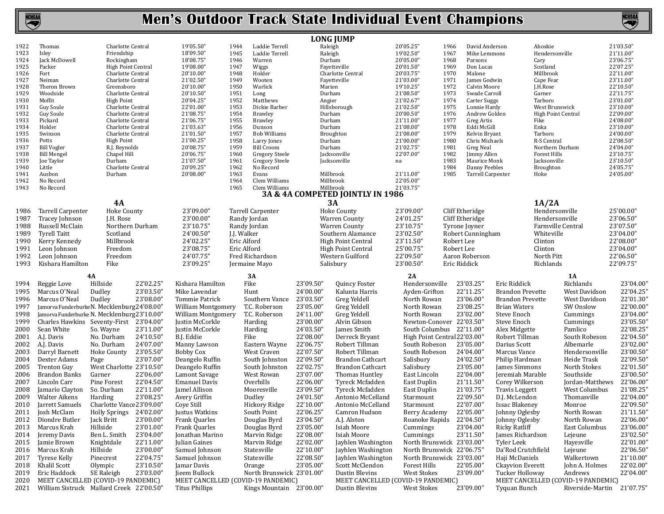

**NCHSM** 

|              |                                              |                                        |                        |                                    |              |                           |                  | <b>LONG JUMP</b>                                     |    |                              |                 |                                      |                         |                     |                                    |                        |
|--------------|----------------------------------------------|----------------------------------------|------------------------|------------------------------------|--------------|---------------------------|------------------|------------------------------------------------------|----|------------------------------|-----------------|--------------------------------------|-------------------------|---------------------|------------------------------------|------------------------|
| 1922         | Thomas                                       | Charlotte Central                      |                        | 19'05.50"                          | 1944         | Laddie Terrell            | Raleigh          |                                                      |    | 20'05.25"                    | 1966            | David Anderson                       |                         | Ahoskie             |                                    | 21'03.50"              |
| 1923         | Isley                                        | Friendship                             |                        | 18'09.50"                          | 1945         | Laddie Terrell            | Raleigh          |                                                      |    | 19'02.50"                    | 1967            | Mike Lemmons                         |                         | Hendersonville      |                                    | 21'11.00"              |
| 1924         | Jack McDowell                                | Rockingham                             |                        | 18'08.75"                          | 1946         | Warren                    | Durham           |                                                      |    | 20'05.00"                    | 1968            | Parsons                              |                         | Cary                |                                    | 23'06.75"              |
| 1925         | Packer                                       | High Point Central                     |                        | 19'08.00"                          | 1947         | Wiggs                     |                  | Fayetteville                                         |    | 20'01.50"                    | 1969            | Don Lucas                            |                         | Scotland            |                                    | 22'07.25"              |
| 1926         | Fort                                         | Charlotte Central                      |                        | 20'10.00"                          | 1948         | Holder                    |                  | Charlotte Central                                    |    | 20'03.75"                    | 1970            | Malone                               |                         | Millbrook           |                                    | 22'11.00"              |
| 1927         | Neiman                                       | Charlotte Central                      |                        | 21'02.50"                          | 1949         | Wooten                    |                  | Fayetteville                                         |    | 21'03.00"                    | 1971            | James Godwin                         |                         | Cape Fear           |                                    | 23'11.00"              |
| 1928<br>1929 | Theron Brown<br>Woodside                     | Greensboro                             |                        | 20'10.00"                          | 1950         | Warlick                   | Marion           |                                                      |    | 19'10.25"                    | 1972<br>1973    | <b>Calvin Moore</b>                  |                         | J.H.Rose            |                                    | 22'10.50"              |
| 1930         | Moffit                                       | Charlotte Central<br><b>High Point</b> |                        | 20'10.50"<br>20'04.25"             | 1951<br>1952 | Long<br>Matthews          | Durham<br>Angier |                                                      |    | 21'08.50"<br>21'02.67"       | 1974            | Swade Carroll<br><b>Carter Suggs</b> |                         | Garner<br>Tarboro   |                                    | 22'11.75"<br>23'01.00" |
| 1931         | Guy Soule                                    | Charlotte Central                      |                        | 22'01.00"                          | 1953         | Dickie Barber             |                  | Hillsborough                                         |    | 21'02.50"                    | 1975            | Lonnie Hardy                         |                         | West Brunswick      |                                    | 23'10.00"              |
| 1932         | Guy Soule                                    | Charlotte Central                      |                        | 21'08.75"                          | 1954         | <b>Brawley</b>            | Durham           |                                                      |    | 20'00.50"                    | 1976            | Andrew Golden                        |                         | High Point Central  |                                    | 22'09.00"              |
| 1933         | Pickard                                      | Charlotte Central                      |                        | 21'06.75"                          | 1955         | <b>Brawley</b>            | Durham           |                                                      |    | 21'11.00"                    | 1977            | Greg Artis                           |                         | Fike                |                                    | 24'08.00"              |
| 1934         | Holder                                       | Charlotte Central                      |                        | 21'03.63"                          | 1956         | Dunson                    | Durham           |                                                      |    | 21'08.00"                    | 1978            | Eddi McGill                          |                         | Enka                |                                    | 23'10.00"              |
| 1935         | Swinson                                      | Charlotte Central                      |                        | 21'01.50"                          | 1957         | <b>Bob Williams</b>       |                  | Broughton                                            |    | 21'08.00"                    | 1979            | Kelvin Bryant                        |                         | Tarboro             |                                    | 24'00.00"              |
| 1936         | Potts                                        | <b>High Point</b>                      |                        | 21'00.25"                          | 1958         | Larry Jones               | Durham           |                                                      |    | 21'00.00"                    | 1980            | Chris Michaels                       |                         | R-S Central         |                                    | 22'08.50"              |
| 1937         | <b>Bill Vogler</b>                           | R.J. Reynolds                          |                        | 20'08.75"                          | 1959         | <b>Bill Croom</b>         | Durham           |                                                      |    | 21'02.75"                    | 1981            | Greg Neal                            |                         | Northern Durham     |                                    | 24'04.00"              |
| 1938         | <b>Bill Mengel</b>                           | Chapel Hill                            |                        | 20'06.75"                          | 1960         | Gregory Steele            |                  | Jacksonville                                         |    | 22'07.00"                    | 1982            | Jimmy Allen                          |                         | <b>Forest Hills</b> |                                    | 23'10.75"              |
| 1939         | Joe Taylor                                   | Durham                                 |                        | 21'07.50"                          | 1961         | Gregory Steele            |                  | Jacksonville                                         | na |                              | 1983            | Maurice Monk                         |                         | Jacksonville        |                                    | 23'10.50"              |
| 1940         | Little                                       | Charlotte Central                      |                        | 20'09.25"                          | 1962         | No Record                 |                  |                                                      |    |                              | 1984            | Danny Peebles                        |                         | <b>Broughton</b>    |                                    | 24'05.75"              |
| 1941         | Ausbon                                       | Durham                                 |                        | 20'08.00"                          | 1963         | Evans                     |                  | Millbrook                                            |    | 21'11.00"                    | 1985            | Tarrell Carpenter                    |                         | Hoke                |                                    | 24'05.00"              |
| 1942         | No Record                                    |                                        |                        |                                    | 1964         | Clem Williams             |                  | Millbrook                                            |    | 22'05.00"                    |                 |                                      |                         |                     |                                    |                        |
| 1943         | No Record                                    |                                        |                        |                                    | 1965         | Clem Williams             |                  | Millbrook                                            |    | 21'03.75"                    |                 |                                      |                         |                     |                                    |                        |
|              |                                              |                                        |                        |                                    |              |                           |                  | 3A & 4A COMPETED JOINTLY IN 1986                     |    |                              |                 |                                      |                         |                     |                                    |                        |
|              |                                              | 4A                                     |                        |                                    |              |                           |                  | 3A                                                   |    |                              |                 |                                      |                         | 1A/2A               |                                    |                        |
| 1986         | Tarrell Carpenter                            | <b>Hoke County</b>                     |                        | 23'09.00"                          |              | Tarrell Carpenter         |                  | <b>Hoke County</b>                                   |    | 23'09.00"                    | Cliff Etheridge |                                      |                         | Hendersonville      |                                    | 25'00.00"              |
| 1987         | Tracey Johnson                               | J.H. Rose                              |                        | 23'00.00"                          |              | Randy Jordan              |                  | <b>Warren County</b>                                 |    | 24'01.25"                    | Cliff Etheridge |                                      |                         | Hendersonville      |                                    | 23'06.50"              |
| 1988         | Russell McClain                              |                                        | Northern Durham        | 23'10.75"                          |              | Randy Jordan              |                  | <b>Warren County</b>                                 |    | 23'10.75"                    | Tyrone Joyner   |                                      |                         | Farmville Central   |                                    | 23'07.50"              |
| 1989         | <b>Tyrell Taitt</b>                          | Scotland                               |                        | 24'00.50"                          | J.J. Walker  |                           |                  | Southern Alamance                                    |    | 23'02.50"                    |                 | Robert Cunningham                    |                         | Whiteville          |                                    | 23'04.00"              |
| 1990         | Kerry Kennedy                                | Millbrook                              |                        | 24'02.25"                          | Eric Alford  |                           |                  | <b>High Point Central</b>                            |    | 23'11.50"                    | Robert Lee      |                                      |                         | Clinton             |                                    | 22'08.00"              |
| 1991         | Leon Johnson                                 | Freedom                                |                        | 23'08.75"                          | Eric Alford  |                           |                  | <b>High Point Central</b>                            |    | 25'00.75"                    | Robert Lee      |                                      |                         | Clinton             |                                    | 23'04.00"              |
| 1992         | Leon Johnson                                 | Freedom                                |                        | 24'07.75"                          |              | Fred Richardson           |                  | Western Guilford                                     |    | 22'09.50"                    |                 | Aaron Roberson                       |                         | North Pitt          |                                    | 22'06.50"              |
| 1993         | Kishara Hamilton                             | Fike                                   |                        | 23'09.25"                          |              | Jermaine Mayo             |                  | Salisbury                                            |    | 23'00.50"                    | Eric Riddick    |                                      |                         | Richlands           |                                    | 22'09.75"              |
|              |                                              |                                        |                        |                                    |              |                           |                  |                                                      |    |                              |                 |                                      |                         |                     |                                    |                        |
|              |                                              | 4A                                     |                        |                                    |              | 3A                        |                  |                                                      |    | 2A                           |                 |                                      |                         |                     | <b>1A</b>                          |                        |
| 1994         | Reggie Love                                  | Hillside                               | 22'02.25"              | Kishara Hamilton                   |              | Fike                      | 23'09.50"        | Quincy Foster                                        |    | Hendersonville               |                 | 23'03.25"                            | Eric Riddick            |                     | Richlands                          | 23'04.00"              |
| 1995         | Marcus O'Neal                                | Dudley                                 | 23'03.50"              | Mike Lavendar                      |              | Hunt                      | 24'00.00"        | Kalunta Harris                                       |    | Ayden-Grifton                |                 | 22'11.25"                            | <b>Brandon Prevette</b> |                     | West Davidson                      | 22'04.25"              |
| 1996         | Marcus O'Neal                                | Dudley                                 | 23'08.00"              | Tommie Patrick                     |              | Southern Vance            | 23'03.50"        | Greg Yeldell                                         |    | North Rowan                  |                 | 23'06.00"                            | <b>Brandon Prevette</b> |                     | West Davidson                      | 22'01.30"              |
| 1997         | Jamorva FunderburkeN. Mecklenburg24'08.00"   |                                        |                        | William Montgomery                 |              | T.C. Roberson             | 23'05.00'        | Greg Yeldell                                         |    | North Rowan                  |                 | 23'08.25"                            | <b>Brian Waters</b>     |                     | SW Onslow                          | 22'00.00"              |
| 1998         | Jamorva Funderburke N. Mecklenburg 23'10.00" |                                        |                        | William Montgomery                 |              | T.C. Roberson             | 24'11.00"        | Greg Yeldell                                         |    | North Rowan                  |                 | 23'02.00"                            | Steve Enoch             |                     | Cummings                           | 23'04.00"              |
| 1999         | Charles Hawkins Seventy-First 23'04.00"      |                                        |                        | Justin McCorkle                    |              | Harding                   | 23'00.00'        | Alvin Gibson                                         |    | Newton-Conover 22'03.50"     |                 |                                      | Steve Enoch             |                     | Cummings                           | 23'05.50"              |
| 2000         | Sean White                                   | So. Wayne                              | 23'11.00"              | Justin McCorkle                    |              | Harding                   | 24'03.50"        | James Smith                                          |    | South Columbus 22'11.00"     |                 |                                      | Alex Midgette           |                     | Pamlico                            | 22'08.25"              |
| 2001         | A.J. Davis                                   | No. Durham                             | 24'10.50"              | B.J. Eddie                         |              | Fike                      | 22'08.00"        | Derreck Bryant                                       |    | High Point Central 22'03.00" |                 |                                      | Robert Tillman          |                     | South Robeson                      | 22'04.50"              |
| 2002         | A.J. Davis                                   | No. Durham                             | 24'07.00"              | Manny Lawson                       |              | Eastern Wayne             | 22'06.75'        | Robert Tillman                                       |    | South Robeson                |                 | 23'05.00"                            | Darius Scott            |                     | Albemarle                          | 23'02.00"              |
| 2003         | Darryl Barnett                               | Hoke County                            | 23'05.50"              | <b>Bobby Cox</b>                   |              | West Craven               | 22'07.50'        | Robert Tillman                                       |    | South Robeson                |                 | 24'04.00"                            | Marcus Vance            |                     | Hendersonville                     | 23'00.50"              |
| 2004         | Dexter Adams                                 | Page                                   | 23'07.00"              | Deangelo Ruffin                    |              | South Johnston            | 22'09.50'        | <b>Brandon Cathcart</b>                              |    | Salisbury                    |                 | 24'02.50"                            | Philip Hardman          |                     | Heide Trask                        | 22'09.50"              |
| 2005         | <b>Trenton Guy</b>                           | West Charlotte 23'10.50"               |                        | Deangelo Ruffin                    |              | South Johnston            | 22'02.75'        | <b>Brandon Cathcart</b>                              |    | Salisbury                    |                 | 23'05.00"                            | James Simmons           |                     | North Stokes                       | 22'01.50"              |
| 2006         | Brandon Banks                                | Garner                                 | 22'06.00"              | Lamont Savage                      |              | West Rowan                | 23'07.00"        | Thomas Huntley                                       |    | East Lincoln                 |                 | 22'04.00"                            | Jeremiah Marable        |                     | Southside                          | 23'00.50"              |
| 2007         | Lincoln Carr                                 | Pine Forest                            | 22'04.50"              | <b>Emanuel Davis</b>               |              | Overhills                 | 22'06.00'        | Tyreck Mcfadden                                      |    | East Duplin                  |                 | 21'11.50"                            | Corey Wilkerson         |                     | Jordan-Matthews                    | 22'06.00"              |
|              |                                              | So. Durham                             | 22'11.00"              |                                    |              | Mooresville               | 23'09.50"        | Tyreck Mcfadden                                      |    |                              |                 | 21'03.75"                            | <b>Travis Leggett</b>   |                     |                                    | 21'08.25"              |
| 2008         |                                              |                                        |                        | Jamel Allison                      |              |                           |                  |                                                      |    | East Duplin<br>Starmount     |                 | 22'09.50"                            |                         |                     | West Columbus                      |                        |
|              | Jamario Clayton                              |                                        |                        |                                    |              |                           |                  |                                                      |    |                              |                 |                                      |                         |                     | Thomasville                        | 22'04.00"              |
| 2009         | Walter Aikens                                | Harding                                | 23'08.25"              | Avery Griffin                      |              | Dudley                    | 24'01.50"        | Antonio McCelland                                    |    |                              |                 |                                      | D.J. McLendon           |                     |                                    |                        |
| 2010         | Jarrett Samuels                              | Charlotte Vance23'09.00"               |                        | Cove Still                         |              | Hickory Ridge             | 22'10.00"        | Antonio McCelland                                    |    | Starmount                    |                 | 22'07.00"                            | <b>Issac Blakenev</b>   |                     | Monroe                             | 22'09.50"              |
|              | 2011 Josh McClam                             | Holly Springs 24'02.00"                |                        | Justus Watkins                     |              | South Point               | 22'06.25"        | Camron Hudson                                        |    | Berry Academy                |                 | 22'05.00"                            | Johnny Oglesby          |                     | North Rowan                        | 21'11.50"              |
|              | 2012 Diondre Butler                          | Jack Britt                             | 23'00.00"              | Frank Quarles                      |              | Douglas Byrd              | 23'04.50"        | A.J. Alston                                          |    | Roanoke Rapids 22'04.50"     |                 |                                      | Johnny Oglesby          |                     | North Rowan                        | 22'06.00"              |
| 2013         | Marcus Krah                                  | Hillside                               | 23'01.00"              | Frank Quarles                      |              | Douglas Byrd              | 23'05.00"        | Isiah Moore                                          |    | Cummings                     |                 | 23'04.00"                            | Ricky Ratliff           |                     | East Columbus                      | 23'06.00"              |
| 2014         | Jeremy Davis                                 | Ben L. Smith                           | 23'04.00"              | Jonathan Marino                    |              | Marvin Ridge              | 22'08.00"        | Isiah Moore                                          |    | Cummings                     |                 | 23'11.50"                            | James Richardson        |                     | Lejeune                            | 23'02.50"              |
| 2015         | Jamie Brown                                  | Knightdale                             | 22'11.00"              | Julian Gaines                      |              | Marvin Ridge              | 22'02.00"        | Jayhlen Washington                                   |    | North Brunswick 23'03.00"    |                 |                                      | Tyler Leek              |                     | Hayesville                         | 22'01.00"              |
| 2016         | Marcus Krah                                  | Hillside                               | 23'00.00"              | Samuel Johnson                     |              | Statesville               | 22'10.00"        | Jayhlen Washington                                   |    | North Brunswick 22'06.75"    |                 |                                      | Da'Rod Crutchfield      |                     | Lejeune                            | 22'06.50"              |
| 2017         | Tyrese Kelly                                 | Pinecrest                              | 22'04.75"              | Samuel Johnson                     |              | Statesville               | 22'08.50"        | Jayhlen Washington                                   |    | North Brunswick 23'03.00"    |                 |                                      | Haji McDaniels          |                     | Walkertown                         | 21'10.00"              |
| 2018         | Khalil Scott                                 | Olympic                                |                        | Jamar Davis                        |              | Orange                    | 23'05.00"        | Scott McClendon                                      |    | Forest Hills                 |                 | 22'05.00"                            | <b>Ckayvion Everett</b> |                     | John A. Holmes                     | 22'02.00"              |
|              | Eric Haddock                                 |                                        | 23'10.50"<br>23'03.00" | Jieem Bullock                      |              | North Brunswick 23'01.00" |                  | Dustin Blevins                                       |    | <b>West Stokes</b>           |                 | 23'09.00"                            | Tucker Holloway         |                     | Andrews                            | 22'04.00"              |
| 2019<br>2020 | MEET CANCELLED (COVID-19 PANDEMIC)           | SE Raleigh                             |                        | MEET CANCELLED (COVID-19 PANDEMIC) |              |                           |                  |                                                      |    |                              |                 |                                      |                         |                     | MEET CANCELLED (COVID-19 PANDEMIC) |                        |
| 2021         | William Sistruck Mallard Creek 22'00.50"     |                                        |                        | Titus Phillips                     |              | Kings Mountain 23'00.00"  |                  | MEET CANCELLED (COVID-19 PANDEMIC)<br>Dustin Blevins |    | West Stokes                  |                 | 23'09.00"                            | Tyquan Bunch            |                     | Riverside-Martin 21'07.75"         |                        |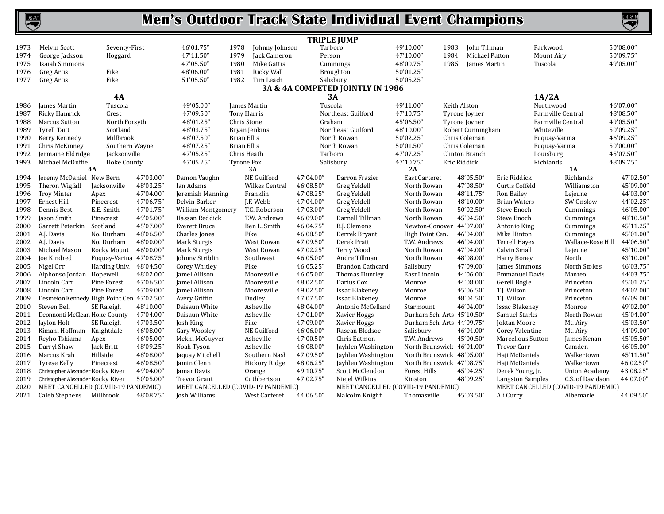

|      |                                            |                         |           |                                    |                       |           | <b>TRIPLE JUMP</b>                 |                            |                   |                          |                                    |           |
|------|--------------------------------------------|-------------------------|-----------|------------------------------------|-----------------------|-----------|------------------------------------|----------------------------|-------------------|--------------------------|------------------------------------|-----------|
| 1973 | Melvin Scott                               | Seventy-First           |           | 46'01.75"<br>1978                  | Johnny Johnson        | Tarboro   |                                    | 49'10.00"                  | 1983              | John Tillman             | Parkwood                           | 50'08.00" |
| 1974 | George Jackson                             | Hoggard                 |           | 47'11.50"<br>1979                  | Jack Cameron          | Person    |                                    | 47'10.00"                  | 1984              | Michael Patton           | Mount Airy                         | 50'09.75" |
| 1975 | <b>Isaiah Simmons</b>                      |                         |           | 47'05.50"<br>1980                  | Mike Gattis           |           | Cummings                           | 48'00.75"                  | 1985              | James Martin             | Tuscola                            | 49'05.00" |
| 1976 | <b>Greg Artis</b>                          | Fike                    |           | 48'06.00"<br>1981                  | Ricky Wall            |           | Broughton                          | 50'01.25"                  |                   |                          |                                    |           |
| 1977 | Greg Artis                                 | Fike                    |           | 51'05.50"<br>1982                  | Tim Leach             |           | Salisbury                          | 50'05.25"                  |                   |                          |                                    |           |
|      |                                            |                         |           |                                    |                       |           | 3A & 4A COMPETED JOINTLY IN 1986   |                            |                   |                          |                                    |           |
|      |                                            | 4A                      |           |                                    |                       |           | 3A                                 |                            |                   |                          | 1A/2A                              |           |
| 1986 | James Martin                               | Tuscola                 |           | 49'05.00"                          | James Martin          | Tuscola   |                                    | 49'11.00"                  | Keith Alston      |                          | Northwood                          | 46'07.00" |
| 1987 | Ricky Hamrick                              | Crest                   |           | 47'09.50'                          | <b>Tony Harris</b>    |           | Northeast Guilford                 | 47'10.75"                  | Tyrone Joyner     |                          | Farmville Central                  | 48'08.50" |
| 1988 | <b>Marcus Sutton</b>                       | North Forsyth           |           | 48'01.25"                          | Chris Stone           | Graham    |                                    | 45'06.50"                  | Tyrone Joyner     |                          | Farmville Central                  | 49'05.50" |
| 1989 | <b>Tyrell Taitt</b>                        | Scotland                |           | 48'03.75"                          | Bryan Jenkins         |           | Northeast Guilford                 | 48'10.00"                  | Robert Cunningham |                          | Whiteville                         | 50'09.25" |
| 1990 | Kerry Kennedy                              | Millbrook               |           | 48'07.50'                          | <b>Brian Ellis</b>    |           | North Rowan                        | 50'02.25"                  | Chris Coleman     |                          | Fuquay-Varina                      | 46'09.25" |
| 1991 | Chris McKinney                             | Southern Wayne          |           | 48'07.25"                          | <b>Brian Ellis</b>    |           | North Rowan                        | 50'01.50"                  | Chris Coleman     |                          | Fuquay-Varina                      | 50'00.00" |
| 1992 | Jermaine Eldridge                          | Jacksonville            |           | 47'05.25"                          | Chris Heath           | Tarboro   |                                    | 47'07.25"                  | Clinton Branch    |                          | Louisburg                          | 45'07.50" |
| 1993 | Michael McDuffie                           | <b>Hoke County</b>      |           | 47'05.25"                          | Tyrone Fox            |           | Salisbury                          | 47'10.75"                  | Eric Riddick      |                          | Richlands                          | 48'09.75" |
|      |                                            | <b>4A</b>               |           |                                    | 3A                    |           |                                    | 2A                         |                   |                          | <b>1A</b>                          |           |
| 1994 | Jeremy McDaniel New Bern                   |                         | 47'03.00" | Damon Vaughn                       | NE Guilford           | 47'04.00" | Darron Frazier                     | <b>East Carteret</b>       | 48'05.50"         | Eric Riddick             | Richlands                          | 47'02.50" |
| 1995 | Theron Wigfall                             | Jacksonville            | 48'03.25" | Ian Adams                          | <b>Wilkes Central</b> | 46'08.50" | Greg Yeldell                       | North Rowan                | 47'08.50"         | Curtis Coffeld           | Williamston                        | 45'09.00' |
| 1996 | <b>Troy Minter</b>                         | Apex                    | 47'04.00" | Jeremiah Manning                   | Franklin              | 47'08.25' | Greg Yeldell                       | North Rowan                | 48'11.75"         | Ron Bailey               | Lejeune                            | 44'03.00' |
| 1997 | Ernest Hill                                | Pinecrest               | 47'06.75" | Delvin Barker                      | J.F. Webb             | 47'04.00" | Greg Yeldell                       | North Rowan                | 48'10.00"         | <b>Brian Waters</b>      | SW Onslow                          | 44'02.25  |
| 1998 | Dennis Best                                | E.E. Smith              | 47'01.75" | <b>William Montgomery</b>          | T.C. Roberson         | 47'03.00" | Greg Yeldell                       | North Rowan                | 50'02.50"         | Steve Enoch              | Cummings                           | 46'05.00  |
| 1999 | Jason Smith                                | Pinecrest               | 49'05.00" | Hassan Reddick                     | T.W. Andrews          | 46'09.00' | Darnell Tillman                    | North Rowan                | 45'04.50"         | Steve Enoch              | Cummings                           | 48'10.50' |
| 2000 | Garrett Peterkin Scotland                  |                         | 45'07.00" | <b>Everett Bruce</b>               | Ben L. Smith          | 46'04.75' | B.J. Clemons                       | Newton-Conover 44'07.00"   |                   | Antonio King             | Cummings                           | 45'11.25' |
| 2001 | A.J. Davis                                 | No. Durham              | 48'06.50" | Charles Jones                      | Fike                  | 46'08.50' | Derrek Bryant                      | High Point Cen.            | 46'04.00"         | Mike Hinton              | Cummings                           | 45'01.00' |
| 2002 | A.J. Davis                                 | No. Durham              | 48'00.00" | Mark Sturgis                       | West Rowan            | 47'09.50' | Derek Pratt                        | T.W. Andrews               | 46'04.00"         | <b>Terrell Hayes</b>     | Wallace-Rose Hill                  | 44'06.50  |
| 2003 | Michael Mason                              | Rocky Mount             | 46'00.00" | Mark Sturgis                       | West Rowan            | 47'02.25" | Terry Wood                         | North Rowan                | 47'04.00"         | Calvin Small             | Lejeune                            | 45'10.00' |
| 2004 | Joe Kindred                                | Fuquay-Varina 47'08.75" |           | Johnny Striblin                    | Southwest             | 46'05.00' | Andre Tillman                      | North Rowan                | 48'08.00"         | Harry Boney              | North                              | 43'10.00' |
| 2005 | Nigel Orr                                  | Harding Univ.           | 48'04.50" | Corey Whitley                      | Fike                  | 46'05.25' | Brandon Cathcard                   | Salisbury                  | 47'09.00"         | James Simmons            | North Stokes                       | 46'03.75  |
| 2006 | Alphonso Jordan Hopewell                   |                         | 48'02.00" | Jamel Allison                      | Mooresville           | 46'05.00" | Thomas Huntley                     | East Lincoln               | 44'06.00"         | <b>Emmanuel Davis</b>    | Manteo                             | 44'03.75' |
| 2007 | Lincoln Carr                               | Pine Forest             | 47'06.50" | Jamel Allison                      | Mooresville           | 48'02.50" | Darius Cox                         | Monroe                     | 44'08.00'         | Gerell Bogle             | Princeton                          | 45'01.25  |
| 2008 | Lincoln Carr                               | Pine Forest             | 47'09.00" | Jamel Allison                      | Mooresville           | 49'02.50" | <b>Issac Blakeney</b>              | Monroe                     | 45'06.50"         | T.J. Wilson              | Princeton                          | 44'02.00' |
| 2009 | Desmeion Kennedy High Point Cen. 47'02.50" |                         |           | Avery Griffin                      | Dudley                | 47'07.50" | <b>Issac Blakenev</b>              | Monroe                     | 48'04.50"         | T.J. Wilson              | Princeton                          | 46'09.00' |
| 2010 | Steven Bell                                | SE Raleigh              | 48'10.00" | Daisaun White                      | Asheville             | 48'04.00" | Antonio McCelland                  | Starmount                  | 46'04.00"         | <b>Issac Blakeney</b>    | Monroe                             | 49'02.00' |
| 2011 | Deonnonti McClean Hoke County              |                         | 47'04.00" | Daisaun White                      | Asheville             | 47'01.00" | Xavier Hoggs                       | Durham Sch. Arts 45'10.50" |                   | Samuel Starks            | North Rowan                        | 45'04.00' |
| 2012 | Jaylon Holt                                | SE Raleigh              | 47'03.50" | Josh King                          | Fike                  | 47'09.00" | Xavier Hoggs                       | Durham Sch. Arts 44'09.75" |                   | Joktan Moore             | Mt. Airy                           | 45'03.50' |
| 2013 | Kimani Hoffman Knightdale                  |                         | 46'08.00" | Gary Woosley                       | NE Guilford           | 46'06.00" | Rasean Bledsoe                     | Salisbury                  | 46'04.00"         | Corey Valentine          | Mt. Airy                           | 44'09.00' |
| 2014 | Reyho Tshiama                              | Apex                    | 46'05.00" | Mekhi McGuyver                     | Asheville             | 47'00.50" | Chris Eatmon                       | T.W. Andrews               | 45'00.50"         | <b>Marcellous Sutton</b> | James Kenan                        | 45'05.50' |
| 2015 | Darryl Shaw                                | Jack Britt              | 48'09.25" | Noah Tyson                         | Asheville             | 46'08.00" | Jayhlen Washington                 | North Brunswick 46'01.00"  |                   | <b>Trevor Carr</b>       | Camden                             | 46'05.00' |
| 2016 | Marcus Krah                                | Hillside                | 48'08.00" | Jaquay Mitchell                    | Southern Nash         | 47'09.50' | Jayhlen Washington                 | North Brunswick 48'05.00"  |                   | Haji McDaniels           | Walkertown                         | 45'11.50' |
| 2017 | Tyrese Kelly                               | Pinecrest               | 46'08.50" | Jamin Glenn                        | Hickory Ridge         | 48'06.25' | Jayhlen Washington                 | North Brunswick 47'08.75"  |                   | Haji McDaniels           | Walkertown                         | 46'02.50" |
| 2018 | Christopher Alexander Rocky River          |                         | 49'04.00" | Jamar Davis                        | Orange                | 49'10.75' | Scott McClendon                    | <b>Forest Hills</b>        | 45'04.25"         | Derek Young, Jr.         | <b>Union Academy</b>               | 43'08.25  |
| 2019 | Christopher Alexander Rocky River          |                         | 50'05.00" | <b>Trevor Grant</b>                | Cuthbertson           | 47'02.75" | Niejel Wilkins                     | Kinston                    | 48'09.25"         | <b>Langston Samples</b>  | C.S. of Davidson                   | 44'07.00' |
| 2020 | MEET CANCELLED (COVID-19 PANDEMIC)         |                         |           | MEET CANCELLED (COVID-19 PANDEMIC) |                       |           | MEET CANCELLED (COVID-19 PANDEMIC) |                            |                   |                          | MEET CANCELLED (COVID-19 PANDEMIC) |           |
| 2021 | Caleb Stephens Millbrook                   |                         | 48'08.75" | Josh Williams                      | West Carteret         | 44'06.50" | Malcolm Knight                     | Thomasville                | 45'03.50"         | Ali Curry                | Albemarle                          | 44'09.50" |
|      |                                            |                         |           |                                    |                       |           |                                    |                            |                   |                          |                                    |           |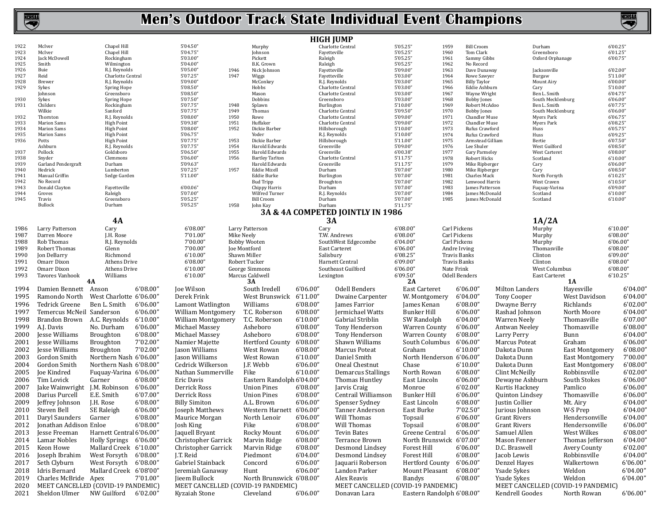NCHSM

|              |                               |                                    |                                    |                                                        | <b>HIGH JUMP</b>                 |                                       |                            |                                     |                                    |                     |                      |
|--------------|-------------------------------|------------------------------------|------------------------------------|--------------------------------------------------------|----------------------------------|---------------------------------------|----------------------------|-------------------------------------|------------------------------------|---------------------|----------------------|
| 1922         | McIver                        | Chapel Hill                        | 5'04.50"                           | Murphy                                                 | Charlotte Central                | 5'05.25"                              | 1959                       | <b>Bill Croom</b>                   | Durham                             |                     | 6'00.25"             |
| 1923         | McIver                        | Chapel Hill                        | 5'04.75"                           | Johnson                                                | Fayetteville                     | 5'05.25"                              | 1960                       | Tom Clark                           | Greensboro                         |                     | 6'01.25"             |
| 1924<br>1925 | Jack McDowell<br>Smith        | Rockingham<br>Wilmington           | 5'03.00"<br>5'04.00"               | Pickett<br>B.K. Grown                                  | Raleigh<br>Raleigh               | 5'05.25"<br>5'05.25"                  | 1961<br>1962               | Sammy Gibbs<br>No Record            | Oxford Orphanage                   |                     | 6'00.75"             |
| 1926         | Buie                          | R.J. Reynolds                      | 5'05.00"                           | 1946<br>Nick Johnson                                   | Fayetteville                     | 5'09.00"                              | 1963                       | Dave Dunaway                        | Jacksonville                       |                     | 6'02.00"             |
| 1927         | Reid                          | Charlotte Central                  | 5'07.25"                           | 1947<br>Wiggs                                          | Fayetteville                     | 5'03.00"                              | 1964                       | Rowe Sawyer                         | Burgaw                             |                     | 5'11.00''            |
| 1928         | Brewer                        | R.J. Reynolds                      | 5'09.00"                           | McConkey                                               | R.J. Reynolds                    | 5'03.00"                              | 1965                       | <b>Billy Taylor</b>                 | Mount Airy                         |                     | 6'00.00"             |
| 1929         | Sykes                         | Spring Hope                        | 5'08.50"                           | Hobbs                                                  | Charlotte Central                | 5'03.00"                              | 1966                       | Eddie Ashburn                       | Cary                               |                     | 5'10.00"             |
|              | Johnson                       | Greensboro                         | 5'08.50"                           | Mason                                                  | Charlotte Central                | 5'03.00"                              | 1967                       | Wayne Wright                        | Ben L. Smith                       |                     | 6'04.75"             |
| 1930<br>1931 | Sykes<br>Childers             | Spring Hope<br>Rockingham          | 5'07.50"<br>5'07.75"               | Dobbins<br>1948<br>Splawn                              | Greensboro<br>Burlington         | 5'03.00"<br>5'10.00"                  | 1968<br>1969               | <b>Bobby Jones</b><br>Robert McAdoo | South Mecklenburg<br>Ben L. Smith  |                     | 6'06.00"<br>6'07.75" |
|              | Wilkie                        | Sanford                            | 5'07.75"                           | 1949<br>Thomas                                         | Charlotte Central                | 5'09.50"                              | 1970                       | <b>Bobby Jones</b>                  | South Mecklenburg                  |                     | 6'06.00"             |
| 1932         | Thornton                      | R.J. Reynolds                      | 5'08.00"                           | 1950<br>Rowe                                           | Charlotte Central                | 5'09.00"                              | 1971                       | Chandler Muse                       | <b>Myers Park</b>                  |                     | 6'06.75'             |
| 1933         | <b>Marion Sams</b>            | <b>High Point</b>                  | 5'09.38"                           | 1951<br>Huffaker                                       | Charlotte Central                | 5'09.00"                              | 1972                       | <b>Chandler Muse</b>                | Myers Park                         |                     | 6'08.25"             |
| 1934         | <b>Marion Sams</b>            | <b>High Point</b>                  | 5'08.00"                           | 1952<br>Dickie Barber                                  | Hillsborough                     | 5'10.00"                              | 1973                       | Rufus Crawford                      | Huss                               |                     | 6'05.75"             |
| 1935         | <b>Marion Sams</b>            | <b>High Point</b>                  | 5'06.75"                           | Yoder                                                  | R.J. Reynolds                    | 5'10.00"                              | 1974                       | Rufus Crawford                      | Huss                               |                     | 6'09.25'             |
| 1936         | Potts                         | <b>High Point</b>                  | 5'07.75"<br>5'07.75"               | 1953<br>Dickie Barber<br>1954<br><b>Harold Edwards</b> | Hillsborough                     | 5'11.00''<br>5'09.00"                 | 1975<br>1976               | Armstead Gilliam                    | Bertie                             |                     | 6'07.50"<br>6'08.50" |
| 1937         | Ashburn<br>Pollock            | R.J. Reynolds<br>Goldsboro         | 5'06.50"                           | 1955<br>Harold Edwards                                 | Greenville<br>Greenville         | 6'00.38"                              | 1977                       | Lee Shuler<br>Gary Parmeley         | West Guilford<br>West Carteret     |                     | 6'08.00''            |
| 1938         | Snyder                        | Clemmons                           | 5'06.00"                           | 1956<br><b>Bartley Tarlton</b>                         | Charlotte Central                | 5'11.75"                              | 1978                       | Robert Hicks                        | Scotland                           |                     | 6'10.00"             |
| 1939         | Garland Pendergraft           | Durham                             | 5'09.63"                           | Harold Edwards                                         | Greenville                       | 5'11.75"                              | 1979                       | Mike Ripberger                      | Cary                               |                     | 6'06.00"             |
| 1940         | Hedrick                       | Lumberton                          | 5'07.25"                           | 1957<br><b>Eddie Mizell</b>                            | Durham                           | 5'07.00"                              | 1980                       | Mike Ripberger                      | Cary                               |                     | 6'08.50"             |
| 1941         | Manual Griffin                | Sedge Garden                       | 5'11.00''                          | Eddie Burke                                            | Burlington                       | 5'07.00"                              | 1981                       | Charles Mack                        | North Forsyth                      |                     | 6'10.25"             |
| 1942         | No Record                     |                                    |                                    | <b>Bud Tripp</b>                                       | Broughton                        | 5'07.00"                              | 1982                       | Lenwood Harris                      | West Craven                        |                     | 6'10.50''            |
| 1943<br>1944 | Donald Clayton<br>Groves      | Fayetteville<br>Raleigh            | 6'00.06"<br>5'07.00"               | Chippy Harris<br>Wilfred Turner                        | Durham<br>R.J. Reynolds          | 5'07.00"<br>5'07.00"                  | 1983<br>1984               | James Patterson<br>James McDonald   | Fuquay-Varina<br>Scotland          |                     | 6'09.00"<br>6'10.00" |
| 1945         | Travis                        | Greensboro                         | 5'05.25"                           | <b>Bill Croom</b>                                      | Durham                           | 5'07.00"                              | 1985                       | James McDonald                      | Scotland                           |                     | 6'10.00"             |
|              | Bullock                       | Durham                             | 5'05.25"                           | 1958<br>John Kay                                       | Durham                           | 5'11.75"                              |                            |                                     |                                    |                     |                      |
|              |                               |                                    |                                    |                                                        | 3A & 4A COMPETED JOINTLY IN 1986 |                                       |                            |                                     |                                    |                     |                      |
|              |                               | <b>4A</b>                          |                                    |                                                        | 3A                               |                                       |                            |                                     | 1A/2A                              |                     |                      |
| 1986         | Larry Patterson               | Cary                               | 6'08.00"                           | Larry Patterson                                        | Cary                             | 6'08.00'                              | Carl Pickens               |                                     | Murphy                             |                     | 6'10.00"             |
| 1987         | Darren Moore                  | J.H. Rose                          | 7'01.00"                           | Mike Neely                                             | T.W. Andrews                     | 6'08.00'                              | Carl Pickens               |                                     | Murphy                             |                     | 6'08.00"             |
| 1988         | Rob Thomas                    | R.J. Reynolds                      | 7'00.00"                           | <b>Bobby Wooten</b>                                    | SouthWest Edgecombe              | 6'04.00'                              | Carl Pickens               |                                     | Murphy                             |                     | 6'06.00"             |
| 1989         | Robert Thomas                 | Glenn                              | 7'00.00"                           | Joe Montford                                           | East Carteret                    | 6'06.00'                              | Andre Irving               |                                     | Thomasville                        |                     | 6'08.00"             |
| 1990         | Jon DeBarry                   | Richmond                           | 6'10.00"                           | Shawn Miller                                           | Salisbury                        | 6'08.25"                              | <b>Travis Banks</b>        |                                     | Clinton                            |                     | 6'09.00"             |
| 1991         | Omarr Dixon                   | Athens Drive                       | 6'08.00"                           | Robert Tucker                                          | Harnett Central                  | 6'09.00'                              | <b>Travis Banks</b>        |                                     | Clinton                            |                     | 6'08.00"             |
| 1992         | Omarr Dixon                   | <b>Athens Drive</b>                | 6'10.00"                           | George Simmons                                         | Southeast Guilford               | 6'06.00"                              | Nate Frink                 |                                     | West Columbus                      |                     | 6'08.00"             |
| 1993         | Tavores Vanhook               | Williams                           | 6'10.00"                           | Marcus Caldwell                                        | Lexington                        | 6'09.50"                              | Odell Benders              |                                     | East Carteret                      |                     | 6'10.25"             |
|              | 4A                            |                                    |                                    | 3A                                                     |                                  | 2A                                    |                            |                                     |                                    | 1A                  |                      |
| 1994         | Damien Bennett Anson          | 6'08.00'                           | Joe Wilson                         | South Iredell                                          | 6'06.00"                         | Odell Benders<br><b>East Carteret</b> |                            | 6'06.00"                            | Milton Landers                     | Hayesville          | 6'04.00"             |
| 1995         | Ramondo North                 | West Charlotte 6'06.00"            | Derek Frink                        | West Brunswick 6'11.00"                                |                                  | W. Montgomery<br>Dwaine Carpenter     | 6'04.00"                   |                                     | <b>Tony Cooper</b>                 | West Davidson       | 6'04.00"             |
| 1996         | Tedrick Greene                | Ben L. Smith<br>6'06.00"           | Lamont Watlington                  | Williams                                               | 6'08.00''                        | James Farrior<br><b>James Kenan</b>   |                            | 6'08.00"                            | Dwayne Berry                       | Richlands           | 6'02.00"             |
| 1997         | Temercus McNeil Sanderson     | 6'06.00"                           |                                    | T.C. Roberson                                          | 6'08.00''                        | Jermichael Watts<br>Bunker Hill       |                            | 6'06.00"                            |                                    | North Moore         | 6'04.00"             |
|              |                               |                                    | William Montgomery                 |                                                        |                                  |                                       |                            |                                     | Rashad Johnson                     |                     |                      |
| 1998         | Brandon Brown A.C. Reynolds   |                                    | William Montgomery                 | T.C. Roberson                                          | 6'10.00''                        | Gabrial Striblin<br>SW Randolph       |                            | 6'04.00"                            | Warren Neely                       | Thomasville         | 6'07.00'             |
| 1999         |                               | $6^{\prime}10.00^{\prime\prime}$   |                                    |                                                        |                                  |                                       |                            |                                     |                                    |                     |                      |
|              | A.J. Davis                    | 6'06.00"<br>No. Durham             | Michael Massey                     | Asheboro                                               | 6'08.00''                        | Tony Henderson<br>Warren County       | 6'06.00"                   |                                     | Antwan Neeley                      | Thomasville         | 6'08.00"             |
| 2000         | Jesse Williams                | 6'08.00"<br><b>Broughton</b>       | Michael Massey                     | Asheboro                                               | 6'08.00''                        | Tony Henderson<br>Warren County       |                            | 6'08.00"                            | Larry Perry                        | Bunn                | 6'04.00"             |
| 2001         | Jesse Williams                | 7'02.00"<br>Broughton              | Namier Majette                     | <b>Hertford County</b>                                 | 6'08.00''                        | Shawn Williams                        | South Columbus<br>6'06.00" |                                     | <b>Marcus Poteat</b>               | Graham              | 6'06.00"             |
| 2002         | Jesse Williams                | 7'02.00"<br><b>Broughton</b>       | Jason Williams                     | West Rowan                                             | 6'08.00''                        | Marcus Poteat<br>Graham               |                            | 6'10.00"                            | Dakota Dunn                        |                     | 6'08.00"             |
|              |                               |                                    |                                    |                                                        |                                  |                                       |                            |                                     |                                    | East Montgomery     |                      |
| 2003         | Gordon Smith                  | Northern Nash 6'06.00"             | Jason Williams                     | West Rowan                                             | 6'10.00''                        | Daniel Smith                          | North Henderson 6'06.00"   |                                     | Dakota Dunn                        | East Montgomery     | 7'00.00'             |
| 2004         | Gordon Smith                  | Northern Nash 6'08.00"             | Cedrick Wilkerson                  | J.F. Webb                                              | 6'06.00''                        | Oneal Chestnut<br>Chase               |                            | 6'10.00"                            | Dakota Dunn                        | East Montgomery     | 6'08.00'             |
| 2005         | Joe Kindred                   | Fuquay-Varina 6'06.00'             | Nathan Summerville                 | Fike                                                   | 6'10.00''                        | Demarcus Stallings<br>North Rowan     |                            | 6'08.00"                            | Clint McNeilly                     | Robbinsville        | 6'02.00"             |
| 2006         | Tim Lovick                    | Garner<br>6'08.00"                 | Eric Davis                         | Eastern Randolph 6'04.00"                              |                                  | Thomas Huntley<br>East Lincoln        |                            | 6'06.00"                            | Dewayne Ashburn                    | South Stokes        | 6'06.00'             |
| 2007         | Jake Wainwright J.M. Robinson | 6'06.00"                           | Derrick Ross                       | <b>Union Pines</b>                                     | 6'08.00''<br>Jarvis Craig        | Monroe                                |                            | 6'02.00"                            | Kurtis Hackney                     | Pamlico             | 6'06.00"             |
| 2008         | Darius Purcell                | E.E. Smith<br>6'07.00"             | Derrick Ross                       | <b>Union Pines</b>                                     | 6'08.00''                        | Centrail Williamson<br>Bunker Hill    |                            | 6'06.00"                            | Quinton Lindsey                    | Thomasville         | 6'06.00"             |
| 2009         | Jeffrey Johnson               | 6'08.00"<br>J.H. Rose              | <b>Billy Simiton</b>               | A.L. Brown                                             | 6'06.00''                        | Spenser Sydney<br>East Lincoln        |                            | 6'08.00"                            | Justin Collier                     | Mt. Airy            | 6'04.00"             |
| 2010         | Steven Bell                   | 6'06.00"                           | Joseph Matthews                    | Western Harnett 6'06.00"                               |                                  | Tanner Anderson<br>East Burke         |                            | 7'02.50"                            | Jurious Johnson                    | W-S Prep            | 6'04.00"             |
| 2011         |                               | SE Raleigh<br>6'08.00"<br>Garner   |                                    | North Lenoir                                           | Will Thomas<br>6'06.00"          |                                       |                            | 6'06.00"                            | <b>Grant Rivers</b>                | Hendersonville      | 6'04.00"             |
|              | Daryl Saunders                |                                    | Maurice Morgan                     |                                                        |                                  | Topsail                               |                            |                                     |                                    |                     |                      |
| 2012         | Jonathan Addison Enloe        | 6'08.00"                           | Josh King                          | Fike                                                   | 6'08.00"                         | Will Thomas<br>Topsail                |                            | 6'08.00"                            | <b>Grant Rivers</b>                | Hendersonville      | 6'06.00"             |
| 2013         | Jesse Freeman                 | Harnett Central 6'06.00"           | Jaquell Bryant                     | Rocky Mount                                            | 6'06.00"<br>Tevin Bates          | Greene Central                        |                            | 6'06.00"                            | Samuel Allen                       | West Wilkes         | 6'08.00"             |
| 2014         | Lamar Nobles                  | Holly Springs 6'06.00"             | Christopher Garrick                | Marvin Ridge                                           | 6'08.00"                         | Terrance Brown                        | North Brunswick 6'07.00"   |                                     | Mason Fenner                       | Thomas Jefferson    | 6'04.00"             |
| 2015         | Keon Howe                     | Mallard Creek 6'10.00"             | Christopher Garrick                | Marvin Ridge                                           | 6'08.00"                         | Desmond Lindsey<br>Forest Hill        |                            | 6'06.00"                            | D.C. Braswell                      | <b>Avery County</b> | 6'02.00"             |
| 2016         | Joseph Ibrahim                | West Forsyth 6'08.00"              | J.T. Reid                          | Piedmont                                               | 6'04.00"                         | Forest Hill<br>Desmond Lindsey        |                            | 6'08.00"                            | Jacob Lewis                        | Robbinsville        | 6'04.00"             |
| 2017         | Seth Clyburn                  | West Forsyth<br>6'08.00"           | Gabriel Stainback                  | Concord                                                | 6'06.00"                         | Jaquarii Roberson                     | Hertford County 6'06.00"   |                                     | Denzel Hayes                       | Walkertown          | 6'06.00"             |
| 2018         | Idris Bernard                 | Mallard Creek 6'08'00"             | Jeremiah Ganaway                   | Hunt                                                   | 6'06.00''                        | Landon Parker<br>Mount Pleasant       |                            | 6'08.00"                            | Ysade Sykes                        | Weldon              | 6'04.00'             |
| 2019         | Charles McBride Apex          | 7'01.00"                           | <b>lieem Bullock</b>               | North Brunswick 6'08.00"                               | Alex Reavis                      | <b>Bandys</b>                         |                            | 6'08.00"                            | Ysade Sykes                        | Weldon              | 6'04.00'             |
| 2020         |                               | MEET CANCELLED (COVID-19 PANDEMIC) | MEET CANCELLED (COVID-19 PANDEMIC) |                                                        |                                  | MEET CANCELLED (COVID-19 PANDEMIC)    |                            |                                     | MEET CANCELLED (COVID-19 PANDEMIC) |                     |                      |
| 2021         | Sheldon Ulmer                 | NW Guilford<br>6'02.00"            | Kyzaiah Stone                      | Cleveland                                              | 6'06.00"                         | Donavan Lara                          | Eastern Randolph 6'08.00"  |                                     | Kendrell Goodes                    | North Rowan         | 6'06.00"             |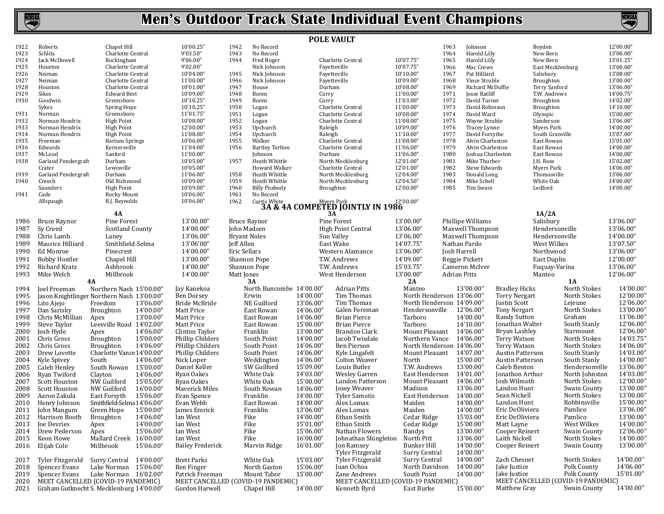

**KHSM** 

|              |                            |                                                             |                                      |                                      |                          | <b>POLE VAULT</b>                              |                                            |                     |                                    |                               |                               |                                    |                        |
|--------------|----------------------------|-------------------------------------------------------------|--------------------------------------|--------------------------------------|--------------------------|------------------------------------------------|--------------------------------------------|---------------------|------------------------------------|-------------------------------|-------------------------------|------------------------------------|------------------------|
| 1922         | Roberts                    | Chapel Hill                                                 | 10'00.25"                            | 1942<br>No Record                    |                          |                                                |                                            | 1963                | Johnson                            |                               | Boyden                        |                                    | 12'00.00"              |
| 1923         | Schlits                    | Charlotte Central                                           | 9'03.50"                             | 1943<br>No Record                    |                          |                                                |                                            | 1964                | Harold Lilly                       |                               | New Bern                      |                                    | 13'00.00"              |
| 1924         | Jack McDowell              | Rockingham                                                  | 9'06.00"                             | 1944<br>Fred Boger                   |                          | Charlotte Central                              | 10'07.75"                                  | 1965                | Harold Lilly                       |                               | New Bern                      |                                    | 13'01.25"              |
| 1925<br>1926 | Houston<br>Neiman          | Charlotte Central<br>Charlotte Central                      | 9'02.00"<br>10'04.00"                | Nick Johnson<br>1945<br>Nick Johnson |                          | Fayetteville<br>Fayetteville                   | 10'07.75"<br>10'10.00"                     | 1966<br>1967        | Mac Crews<br>Pat Hilliard          |                               | East Mecklenburg<br>Salisbury |                                    | 13'00.00"<br>13'08.00" |
| 1927         | Neiman                     | Charlotte Central                                           | 11'00.00"                            | 1946<br>Nick Johnson                 |                          | Favetteville                                   | 10'09.00"                                  | 1968                | Vince Struble                      |                               | Broughton                     |                                    | 13'00.00"              |
| 1928         | Houston                    | Charlotte Central                                           | 10'01.00"                            | 1947<br>House                        |                          | Durham                                         | 10'08.00"                                  | 1969                | Richard McDuffie                   |                               | Terry Sanford                 |                                    | 13'06.00"              |
| 1929         | Sikes                      | <b>Edward Best</b>                                          | 10'09.00"                            | 1948<br>Boren                        | Curry                    |                                                | 11'00.00"                                  | 1971                | Jesse Ratliff                      |                               | T.W. Andrews                  |                                    | 14'00.75"              |
| 1930         | Goodwin                    | Greensboro                                                  | 10'10.25"                            | 1949<br>Boren                        | Curry                    |                                                | 11'03.00"                                  | 1972                | David Turner                       |                               | Broughton                     |                                    | 14'02.00"              |
|              | Sykes                      | Spring Hope                                                 | 10'10.25"                            | 1950<br>Logan                        |                          | Charlotte Central                              | 11'00.00"                                  | 1973                | David Robinson                     |                               | Broughton                     |                                    | 14'10.00"              |
| 1931         | Norman                     | Greensboro                                                  | 11'01.75"                            | 1951<br>Logan                        |                          | Charlotte Central                              | 10'08.00"                                  | 1974                | David Ward                         |                               | Olympic                       |                                    | 15'00.00"              |
| 1932         | Norman Hendrix             | High Point                                                  | 10'08.00"                            | 1952<br>Logan                        |                          | Charlotte Central                              | 11'08.00"                                  | 1975                | Wayne Struble                      |                               | Sanderson                     |                                    | 13'06.00'              |
| 1933         | Norman Hendrix             | <b>High Point</b>                                           | 12'00.00"                            | 1953<br>Upchurch                     | Raleigh                  |                                                | 10'09.00"                                  | 1976                | Tracey Lynne                       |                               | Myers Park                    |                                    | 14'00.00"              |
| 1934<br>1935 | Norman Hendrix<br>Freeman  | <b>High Point</b>                                           | 11'08.00"<br>10'06.00"               | 1954<br>Upchurch<br>1955<br>Walker   | Raleigh                  | Charlotte Central                              | 11'10.00"<br>11'08.00"                     | 1977<br>1978        | David Forsythe<br>Alvin Charleston |                               | South Granville<br>East Rowan |                                    | 13'07.00"<br>15'01.00" |
| 1936         | Edwards                    | <b>Barium Springs</b><br>Kernersville                       | 11'04.00"                            | 1956<br><b>Bartley Tarlton</b>       |                          | Charlotte Central                              | 11'06.00"                                  | 1979                | Alvin Charleston                   |                               | East Rowan                    |                                    | 14'00.00"              |
| 1937         | McLeod                     | Sanford                                                     | 11'00.00"                            | Johnson                              |                          | Durham                                         | 11'06.00"                                  | 1980                | Joshua Charleston                  |                               | East Rowan                    |                                    | 14'00.00"              |
| 1938         | Garland Pendergraft        | Durham                                                      | 10'05.00"                            | 1957<br>Heath Whittle                |                          | North Mecklenburg                              | 12'01.00"                                  | 1981                | Mike Thurber                       |                               | J.H. Rose                     |                                    | 15'02.00"              |
|              | Crater                     | Lewisville                                                  | 10'05.00"                            |                                      | Howard Walker            | Charlotte Central                              | 12'01.00"                                  | 1982                | Steve Edwards                      |                               | Myers Park                    |                                    | 14'06.00"              |
| 1939         | Garland Pendergraft        | Durham                                                      | 11'06.00"                            | 1958<br>Heath Whittle                |                          | North Mecklenburg                              | 12'04.00"                                  | 1983                | Donald Long                        |                               | Thomasville                   |                                    | 13'06.00"              |
| 1940         | Creech                     | Old Richmond                                                | 10'09.00"                            | 1959<br>Heath Whittle                |                          | North Mecklenburg                              | 12'04.50"                                  | 1984                | Mike Schell                        |                               | White Oak                     |                                    | 14'00.00"              |
|              | Saunders                   | <b>High Point</b>                                           | 10'09.00"                            | 1960<br><b>Billy Peabody</b>         |                          | Broughton                                      | 12'00.00"                                  | 1985                | Tim Swain                          |                               | Ledford                       |                                    | 14'00.00"              |
| 1941         | Cade                       | Rocky Mount                                                 | 10'06.00"                            | 1961<br>No Record                    |                          |                                                |                                            |                     |                                    |                               |                               |                                    |                        |
|              | Allspaugh                  | R.J. Reynolds                                               | 10'06.00"                            | 1962<br>Curtis White                 |                          | Myers Park<br>3A & 4A COMPETED JOINTLY IN 1986 | 12'00.00"                                  |                     |                                    |                               |                               |                                    |                        |
|              |                            | 4A                                                          |                                      |                                      |                          | 3A                                             |                                            |                     |                                    |                               | 1A/2A                         |                                    |                        |
| 1986         | <b>Bruce Raynor</b>        | Pine Forest                                                 | 13'00.00"                            | <b>Bruce Raynor</b>                  |                          | Pine Forest                                    | 13'00.00"                                  |                     | Phillipe Williams                  |                               | Salisbury                     |                                    | 13'06.00"              |
| 1987         | Sy Creed                   | <b>Scotland County</b>                                      | 14'00.00"                            | John Madsen                          |                          | High Point Central                             | 13'06.00"                                  |                     | Maxwell Thompson                   |                               | Hendersonville                |                                    | 13'06.00"              |
| 1988         | Chris Lamb                 | Laney                                                       | 13'06.00"                            | <b>Bryant Noles</b>                  |                          | Sun Valley                                     | 13'06.00"                                  |                     | Maxwell Thompson                   |                               | Hendersonville                |                                    | 14'00.00"              |
| 1989         | Maurice Hilliard           | Smithfield-Selma                                            | 13'06'00"                            | Jeff Allen                           |                          | East Wake                                      | 14'07.75"                                  |                     | Nathan Pardo                       |                               | West Wilkes                   |                                    | 13'07.50"              |
| 1990         | Ed Monroe                  | Pinecrest                                                   | 14'00.00"                            | Eric Sellars                         |                          | Western Alamance                               | 13'06.00"                                  | Josh Harrell        |                                    |                               | Northwood                     |                                    | 13'06.00"              |
| 1991         | <b>Bobby Hostler</b>       | Chapel Hill                                                 | 13'00.00"                            | Shannon Pope                         |                          | T.W. Andrews                                   | 14'09.00"                                  |                     | Reggie Pickett                     |                               | East Duplin                   |                                    | 12'00.00"              |
| 1992         | Richard Kratz              | Ashbrook                                                    | 14'00.00"                            | Shannon Pope                         |                          | T.W. Andrews                                   | 15'03.75"                                  |                     | Cameron McIver                     |                               | Fuquay-Varina                 |                                    | 13'06.00"              |
| 1993         | Mike Welch                 | Millbrook                                                   | 14'00.00"                            | Matt Jones                           |                          | West Henderson                                 | 13'00.00"                                  | <b>Adrian Pitts</b> |                                    |                               | Manteo                        |                                    | 12'06.00"              |
|              |                            | 4A                                                          |                                      | 3A                                   |                          |                                                | 2A                                         |                     |                                    |                               |                               | 1A                                 |                        |
| 1994         | Joel Freeman               | Northern Nash 15'00.00"                                     | Jay Kanekoa                          |                                      | North Buncombe 14'00.00" | <b>Adrian Pitts</b>                            | Manteo                                     |                     | 13'00.00"                          | <b>Bradley Hicks</b>          |                               | North Stokes                       | 14'00.00"              |
| 1995         |                            | Jason Knightlinger Northern Nash 13'00.00"                  | Ben Dorsey                           | Erwin                                | 14'00.00"                | Tim Thomas                                     | North Henderson 13'06.00"                  |                     |                                    | <b>Torry Nergart</b>          |                               | North Stokes                       | 12'00.00"              |
| 1996         | Lito Ajejo                 | Freedom<br>13'06.00"                                        | Bride McBride                        | NE Guilford                          | 13'06.00"                | Tim Thomas                                     | North Henderson 14'09.00"                  |                     |                                    | Justin Scott                  |                               | Lejeune                            | 12'06.00"              |
| 1997         | Dan Sarisky                | Broughton<br>14'00.00"                                      | Matt Price                           | East Rowan                           | 14'06.00"                | Galen Foreman                                  | Hendersonville                             |                     | 12'06.00"                          | <b>Tony Nergart</b>           |                               | North Stokes                       | 13'00.00"              |
| 1998         | Chris McMillian            | 13'00.00"<br>Apex                                           | Matt Price                           | East Rowan                           | 14'06.00"                | <b>Brian Pierce</b>                            | Tarboro                                    |                     | 14'00.00"                          | <b>Randy Sutton</b>           |                               | Graham                             | 11'06.00"              |
| 1999         | Steve Taylor               | Leesville Road 14'02.00"                                    | Matt Price                           | East Rowan                           | 15'00.00"                | <b>Brian Pierce</b>                            | Tarboro                                    |                     | 14'10.00"                          | Jonathan Walter               |                               | South Stanly                       | 12'06.00"              |
| 2000         | Josh Hyde                  | 14'06.00"<br>Apex                                           | Clinton Taylor                       | Franklin                             | 13'00.00"<br>14'00.00"   | Brandon Clark                                  | Mount Pleasant<br>Northern Vance 14'06.00" |                     | 14'06.00"                          | Bryan Lashley<br>Terry Watson |                               | Starmount<br>North Stokes          | 12'06.00"<br>14'03.75' |
| 2001<br>2002 | Chris Gross<br>Chris Gross | 15'00.00"<br><b>Broughton</b><br>14'06.00"                  | Phillip Childers<br>PHillip Childers | South Point<br>South Point           | 14'06.00"                | Jacob Twisdale<br>Ben Pierson                  | North Henderson 14'06.00"                  |                     |                                    | Terry Watson                  |                               | North Stokes                       | 14'06.00"              |
| 2003         | Drew Lovette               | Broughton<br>Charlotte Vance 14'00.00'                      | Phillip Childers                     | South Point                          | 14'06.00"                | Kyle Lingafelt                                 | Mount Pleasant 14'07.00"                   |                     |                                    | <b>Austin Patterson</b>       |                               | South Stanly                       | 14'03.00"              |
| 2004         | Kyle Spivey                | 14'06.00'<br>South                                          | Nick Loper                           | Weddington                           | 14'06.00"                | <b>Colton Weaver</b>                           | North                                      |                     | 15'00.00"                          | <b>Austin Patterson</b>       |                               | South Stanly                       | 14'00.00"              |
| 2005         | Caleb Henley               | South Rowan 15'00.00'                                       | Daniel Keller                        | SW Guilford                          | 15'09.00"                | Louis Butler                                   | T.W. Andrews                               |                     | 13'00.00"                          | Caleb Benton                  |                               | Hendersonville                     | 13'06.00"              |
| 2006         | Ryan Twiford               | 14'06.00"<br>Clayton                                        | Ryan Oakes                           | White Oak                            | 14'03.00"                | Wesley Garren                                  | East Henderson                             |                     | 14'01.00"                          | Jonathon Arthur               |                               | North Johnston                     | 14'03.00"              |
| 2007         | Scott Houston              | 15'05.00"<br>NW Guilford                                    | Ryan Oakes                           | White Oak                            | 15'00.00"                | Landon Patterson                               | Mount Pleasant                             |                     | 14'06.00"                          | Josh Wilmoth                  |                               | North Stokes                       | 12'00.00"              |
| 2008         | <b>Scott Houston</b>       | 16'00.00"<br>NW Guilford                                    | Maverick Miles                       | South Rowan                          | 14'06.00"                | <b>Josey Weaver</b>                            | Madison                                    |                     | 13'06.00"                          | Landon Hunt                   |                               | Swain County                       | 13'00.00"              |
| 2009         | Aaron Zakula               | East Forsyth<br>15'06.00"                                   | Evan Spence                          | Franklin                             | 14'00.00"                | <b>Tyler Samotis</b>                           | East Henderson                             |                     | 14'00.00"                          | Sean Nickell                  |                               | North Stokes                       | 13'00.00"              |
| 2010         | Henry Johnson              | Smithfield-Selma 14'06.00"                                  | Evan Webb                            | East Rowan                           | 14'00.00"                | Alex Lomax                                     | Maiden                                     |                     | 14'00.00"                          | Landon Hunt                   |                               | Robbinsville                       | 15'00.00"              |
| 2011         | John Mangum                | Green Hope 15'00.00"                                        | James Emrick                         | Franklin                             | 13'06.00"                | Alex Lomax                                     | Maiden                                     |                     | 14'00.00"                          | Eric DeOliviera               |                               | Pamlico                            | 13'06.00"              |
|              | 2012 Harrison Booth        | Broughton<br>14'06.00"                                      | Ian West                             | Fike                                 | 14'00.00"                | Ethan Smith                                    | Cedar Ridge                                |                     | 15'03.00"                          | Eric DeOliviera               |                               | Pamlico                            | 13'00.00"              |
| 2013         | Joe Devries                | 14'00.00"<br>Apex                                           | Ian West                             | Fike                                 | 15'01.00"                | Ethan Smith                                    | Cedar Ridge                                |                     | 15'00.00"                          | Matt Layne                    |                               | West Wilkes                        | 14'00.00"              |
| 2014         | Drew Pederson              | 15'06.00"<br>Apex                                           | Ian West                             | Fike                                 | 15'06.00"                | Nathan Flowers                                 | Bandys                                     |                     | 13'00.00"                          | Cooper Reinert                |                               | Swain County                       | 12'06.00"              |
| 2015         | Keon Howe                  | Mallard Creek 16'00.00"                                     | Ian West                             | Fike                                 | 16'00.00"                | Johnathan Shingleton                           | North Pitt                                 |                     | 13'06.00"                          | Laith Nickell                 |                               | North Stokes                       | 14'00.00"              |
| 2016         | Elijah Cole                | Millbrook<br>15'06.00'                                      | Bailey Frederick                     | Marvin Ridge                         | 16'01.00"                | Jon Ramsey                                     | Bunker Hill                                |                     | 14'00.00"                          | Cooper Reinert                |                               | Swain County                       | 13'00.00"              |
|              |                            |                                                             |                                      |                                      |                          | Tyler Fitzgerald                               | Surry Central                              |                     | 14'00.00"                          |                               |                               |                                    | 14'00.00"              |
| 2017         | Tyler Fitzgerald           | Surry Central 14'00.00"                                     | <b>Brett Parks</b>                   | White Oak                            | 15'03.00"                | Tyler Fitzgerald                               | Surry Central                              |                     | 14'00.00"                          | Zach Chesnet                  |                               | North Stokes                       |                        |
| 2018         | Spencer Evans              | Lake Norman 15'06.00"                                       | Ben Finger<br>Patrick Freeman        | North Gaston<br>Mount Tabor          | 15'06.00"<br>15'00.00"   | Juan Ochoa<br>Zane Andrews                     | North Davidson<br>South Point              |                     | 14'00.00"<br>14'00.00"             | Jake Justice<br>Jake Justice  |                               | Polk County<br>Polk County         | 14'06.00"<br>15'01.00" |
| 2019<br>2020 | Spencer Evans              | Lake Norman 16'02.00"<br>MEET CANCELLED (COVID-19 PANDEMIC) | MEET CANCELLED (COVID-19 PANDEMIC)   |                                      |                          | MEET CANCELLED (COVID-19 PANDEMIC)             |                                            |                     |                                    |                               |                               | MEET CANCELLED (COVID-19 PANDEMIC) |                        |
| 2021         |                            | Graham Gutknecht S. Mecklenburg 14'00.00"                   | Gordon Harwell                       | Chapel Hill                          | 14'00.00"                | Kenneth Byrd                                   | East Burke                                 |                     | 15'00.00"                          | Matthew Gray                  |                               | Swain County                       | 14'00.00"              |
|              |                            |                                                             |                                      |                                      |                          |                                                |                                            |                     |                                    |                               |                               |                                    |                        |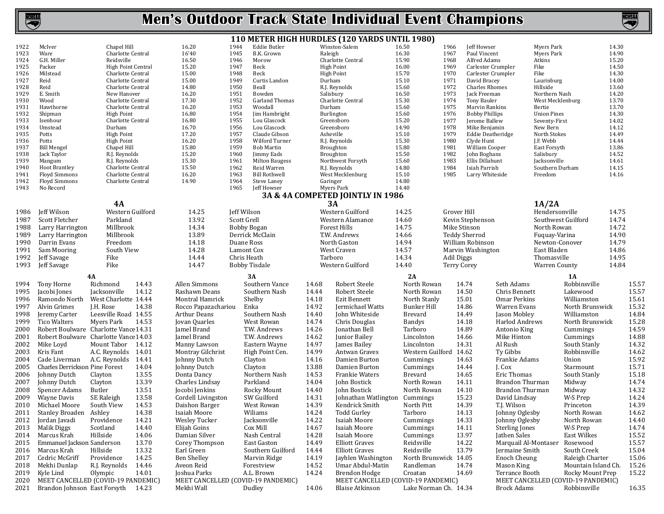|              |                                                                          |                                  |       |                     |              |                                              |         | 110 METER HIGH HURDLES (120 YARDS UNTIL 1980)                |                        |                   |                                       |                       |                           |                                                    |                |
|--------------|--------------------------------------------------------------------------|----------------------------------|-------|---------------------|--------------|----------------------------------------------|---------|--------------------------------------------------------------|------------------------|-------------------|---------------------------------------|-----------------------|---------------------------|----------------------------------------------------|----------------|
| 1922         | McIver                                                                   | Chapel Hill                      |       | 16.20               | 1944         | Eddie Butler                                 |         | Winston-Salem                                                | 16.50                  | 1966              | Jeff Howser                           |                       | Myers Park                |                                                    | 14.30          |
| 1923         | Ware                                                                     | Charlotte Central                |       | 16'40               | 1945         | B.K. Grown                                   | Raleigh |                                                              | 16.30                  | 1967              | Paul Vincent                          |                       | Myers Park                |                                                    | 14.90          |
| 1924         | G.H. Miller                                                              | Reidsville                       |       | 16.50               | 1946         | Morow                                        |         | Charlotte Central                                            | 15.90                  | 1968              | Alfred Adams                          |                       | Atkins                    |                                                    | 15.20          |
| 1925         | Packer                                                                   | <b>High Point Central</b>        |       | 15.20               | 1947         | Beck                                         |         | <b>High Point</b>                                            | 16.00                  | 1969              | Carlester Crumpler                    |                       | Fike                      |                                                    | 14.50          |
| 1926         | Milstead                                                                 | Charlotte Central                |       | 15.00               | 1948         | Beck                                         |         | <b>High Point</b>                                            | 15.70                  | 1970              | Carlester Crumpler                    |                       | Fike                      |                                                    | 14.30          |
| 1927         | Reid                                                                     | Charlotte Central                |       | 15.00               | 1949         | Curtis Landon                                | Durham  |                                                              | 15.10                  | 1971<br>1972      | David Bracey<br><b>Charles Rhomes</b> |                       | Laurinburg                |                                                    | 14.00          |
| 1928<br>1929 | Reid<br>E. Smith                                                         | Charlotte Central<br>New Hanover |       | 14.80<br>16.20      | 1950<br>1951 | Beall<br>Bowden                              |         | R.J. Reynolds<br>Salisbury                                   | 15.60<br>16.50         | 1973              | Jack Freeman                          |                       | Hillside<br>Northern Nash |                                                    | 13.60<br>14.20 |
| 1930         | Wood                                                                     | Charlotte Central                |       | 17.30               | 1952         | Garland Thomas                               |         | Charlotte Central                                            | 15.30                  | 1974              | Tony Bauler                           |                       | West Mecklenburg          |                                                    | 13.70          |
| 1931         | Hawthorne                                                                | Charlotte Central                |       | 16.20               | 1953         | Woodall                                      | Durham  |                                                              | 15.60                  | 1975              | Marvin Rankins                        |                       | Bertie                    |                                                    | 13.70          |
| 1932         | Shipman                                                                  | <b>High Point</b>                |       | 16.80               | 1954         | Jim Hambright                                |         | Burlington                                                   | 15.60                  | 1976              | <b>Bobby Phillips</b>                 |                       | <b>Union Pines</b>        |                                                    | 14.30          |
| 1933         | Isenhour                                                                 | Charlotte Central                |       | 16.80               | 1955         | Lou Glascock                                 |         | Greensboro                                                   | 15.20                  | 1977              | Jerome Ballew                         |                       | Seventy-First             |                                                    | 14.02          |
| 1934         | Umstead                                                                  | Durham                           |       | 16.70               | 1956         | Lou Glascock                                 |         | Greensboro                                                   | 14.90                  | 1978              | Mike Benjamin                         |                       | New Bern                  |                                                    | 14.12          |
| 1935         | Potts                                                                    | <b>High Point</b>                |       | 17.20               | 1957         | Claude Gibson                                |         | Asheville                                                    | 15.10                  | 1979              | <b>Eddie Deatheridge</b>              |                       | North Stokes              |                                                    | 14.49          |
| 1936         | Potts                                                                    | <b>High Point</b>                |       | 16.20               | 1958         | Wilford Turner                               |         | R.J. Reynolds                                                | 15.30                  | 1980              | Clyde Hunt                            |                       | J.F. Webb                 |                                                    | 14.44          |
| 1937         | <b>Bill Mengel</b>                                                       | Chapel Hill                      |       | 15.80               | 1959         | Bob Martin                                   |         | Broughton                                                    | 15.80                  | 1981              | William Cooper                        |                       | East Forsyth              |                                                    | 13.86          |
| 1938         | Jack Taylor                                                              | R.J. Reynolds                    |       | 15.20               | 1960         | Jimmy Eads                                   |         | Broughton                                                    | 15.50                  | 1982              | John Boghans                          |                       | Salisbury                 |                                                    | 14.52          |
| 1939         | Mangum                                                                   | R.J. Reynolds                    |       | 15.30               | 1961         | <b>Milton Baugess</b>                        |         | Northwest Forsyth                                            | 15.60                  | 1983              | Ellis Dillahunt                       |                       | Jacksonville              |                                                    | 14.61          |
| 1940         | <b>Hoot Brantley</b>                                                     | Charlotte Central                |       | 15.50               | 1962         | Reid Warren                                  |         | R.J. Reynolds                                                | 14.80                  | 1984              | Isiah Parrish                         |                       | Southern Durham           |                                                    | 14.15          |
| 1941         | <b>Floyd Simmons</b>                                                     | Charlotte Central                |       | 16.20<br>14.90      | 1963         | <b>Bill Rothwell</b>                         |         | West Mecklenburg                                             | 15.10<br>14.80         | 1985              | Larry Whiteside                       |                       | Freedom                   |                                                    | 14.16          |
| 1942<br>1943 | <b>Floyd Simmons</b><br>No Record                                        | Charlotte Central                |       |                     | 1964<br>1965 | Steve Laney<br>Jeff Howser                   |         | Garinger<br>Myers Park                                       | 14.40                  |                   |                                       |                       |                           |                                                    |                |
|              |                                                                          |                                  |       |                     |              |                                              |         | 3A & 4A COMPETED JOINTLY IN 1986                             |                        |                   |                                       |                       |                           |                                                    |                |
|              |                                                                          | 4A                               |       |                     |              |                                              |         | 3A                                                           |                        |                   |                                       |                       | 1A/2A                     |                                                    |                |
|              |                                                                          | Western Guilford                 |       |                     | Jeff Wilson  |                                              |         | Western Guilford                                             |                        | Grover Hill       |                                       |                       | Hendersonville            |                                                    | 14.75          |
| 1986         | Jeff Wilson                                                              |                                  |       | 14.25               |              |                                              |         |                                                              | 14.25                  |                   |                                       |                       |                           |                                                    |                |
| 1987         | Scott Fletcher                                                           | Parkland                         |       | 13.92               | Scott Grell  |                                              |         | Western Alamance                                             | 14.60                  |                   | Kevin Stephenson                      |                       |                           | Southwest Guilford                                 | 14.74          |
| 1988         | Larry Harrington                                                         | Millbrook                        |       | 14.34               |              | <b>Bobby Bogan</b>                           |         | <b>Forest Hills</b>                                          | 14.75                  |                   | Mike Stinson                          |                       | North Rowan               |                                                    | 14.72          |
| 1989         | Larry Harrington                                                         | Millbrook                        |       | 13.89               |              | Derrick McClain                              |         | T.W. Andrews                                                 | 14.66                  |                   | <b>Teddy Sherrod</b>                  |                       | Fuquay-Varina             |                                                    | 14.90          |
| 1990         | Darrin Evans                                                             | Freedom                          |       | 14.18               |              | Duane Ross                                   |         | North Gaston                                                 | 14.94                  |                   | William Robinson                      |                       | Newton-Conover            |                                                    | 14.79          |
| 1991         | Sam Mooring                                                              | South View                       |       | 14.28               |              | Lamont Cox                                   |         | West Craven                                                  | 14.57                  |                   | Marvin Washington                     |                       | East Bladen               |                                                    | 14.86          |
| 1992         | Jeff Savage                                                              | Fike                             |       | 14.44               |              | Chris Heath                                  |         | Tarboro                                                      | 14.34                  | <b>Adil Diggs</b> |                                       |                       | Thomasville               |                                                    | 14.95          |
| 1993         | Jeff Savage                                                              | Fike                             |       | 14.47               |              | <b>Bobby Tisdale</b>                         |         | Western Guilford                                             | 14.40                  |                   | <b>Terry Corey</b>                    |                       | <b>Warren County</b>      |                                                    | 14.84          |
|              |                                                                          |                                  |       |                     |              |                                              |         |                                                              |                        |                   |                                       |                       |                           |                                                    |                |
|              |                                                                          | 4A                               |       |                     |              | 3A                                           |         |                                                              | 2A                     |                   |                                       |                       |                           | 1A                                                 |                |
|              |                                                                          | Richmond                         | 14.43 | Allen Simmons       |              | Southern Vance                               |         |                                                              | North Rowan            |                   |                                       | Seth Adams            |                           | Robbinsville                                       |                |
| 1994         | Tony Horne                                                               |                                  |       |                     |              |                                              | 14.68   | Robert Steele                                                |                        |                   | 14.74                                 |                       |                           |                                                    | 15.57          |
| 1995         | Jacobi Jones                                                             | Jacksonville                     | 14.12 | Rashawn Deans       |              | Southern Nash                                | 14.44   | Robert Steele                                                | North Rowan            |                   | 14.50                                 | Chris Bennett         |                           | Lakewood                                           | 15.57          |
| 1996         | Ramondo North                                                            | West Charlotte 14.44             |       | Montral Hamrick     |              | Shelby                                       | 14.18   | Ezit Bennett                                                 | North Stanly           |                   | 15.01                                 | Omar Perkins          |                           | Williamston                                        | 15.61          |
| 1997         | Alvin Grimes                                                             | J.H. Rose                        | 14.38 | Rocco Papazachariou |              | Enka                                         | 14.92   | Jermichael Watts                                             | <b>Bunker Hill</b>     |                   | 14.86                                 | Warren Evans          |                           | North Brunswick                                    | 15.32          |
| 1998         | Jeremy Carter                                                            | Leesville Road 14.55             |       | <b>Arthur Deans</b> |              | Southern Nash                                | 14.40   | John Whiteside                                               | <b>Brevard</b>         |                   | 14.49                                 | Jason Mobley          |                           | Williamston                                        | 14.84          |
| 1999         | <b>Tico Walters</b>                                                      | Myers Park                       | 14.53 | Jovan Quarles       |              | West Rowan                                   | 14.74   | Chris Douglas                                                | <b>Bandys</b>          |                   | 14.18                                 | Harlod Andrews        |                           | North Brunswick                                    | 15.28          |
| 2000         | Robert Boulware Charlotte Vance 14.31                                    |                                  |       | Jamel Brand         |              | T.W. Andrews                                 | 14.26   | Jonathan Bell                                                | Tarboro                |                   | 14.89                                 | Antonio King          |                           | Cummings                                           | 14.59          |
| 2001         | Robert Boulware Charlotte Vance 14.03                                    |                                  |       | Jamel Brand         |              | T.W. Andrews                                 | 14.62   | Junior Bailey                                                | Lincolnton             |                   | 14.66                                 | Mike Hinton           |                           | Cummings                                           | 14.88          |
| 2002         | Mike Loyd                                                                | Mount Tabor 14.12                |       | Manny Lawson        |              | Eastern Wayne                                | 14.97   | James Bailey                                                 | Lincolnton             |                   | 14.31                                 | Al Rush               |                           | South Stanly                                       | 14.32          |
| 2003         | Kris Fant                                                                | A.C. Reynolds                    | 14.01 | Montray Gilchrist   |              | High Point Cen.                              | 14.99   | Antwan Graves                                                | Western Guilford 14.62 |                   |                                       | Ty Gibbs              |                           | Robbinsville                                       | 14.62          |
| 2004         | Cade Liverman                                                            | A.C. Reynolds                    | 14.41 | Johnny Dutch        |              | Clayton                                      | 14.16   | Damien Burton                                                | Cummings               |                   | 14.63                                 | Frankie Adams         |                           | Union                                              | 15.92          |
| 2005         | Charles Derrickson Pine Forest                                           |                                  | 14.04 | Johnny Dutch        |              | Clayton                                      | 13.88   | Damien Burton                                                | Cummings               |                   | 14.44                                 | J. Cox                |                           | Starmount                                          | 15.71          |
| 2006         | Johnny Dutch                                                             | Clayton                          | 13.55 | Donta Dancy         |              | Northern Nash                                | 14.53   | Frankie Waters                                               | <b>Brevard</b>         |                   | 14.65                                 | <b>Eric Thomas</b>    |                           | South Stanly                                       | 15.18          |
| 2007         | Johnny Dutch                                                             | Clayton                          | 13.39 | Charles Lindsay     |              | Parkland                                     | 14.04   | John Bostick                                                 | North Rowan            |                   | 14.11                                 | Brandon Thurman       |                           | Midway                                             | 14.74          |
| 2008         | Spencer Adams                                                            | Butler                           | 13.51 | Jocobi Jenkins      |              | Rocky Mount                                  | 14.40   | John Bostick                                                 | North Rowan            |                   | 14.10                                 | Brandon Thurman       |                           | Midway                                             | 14.32          |
| 2009         | Wayne Davis                                                              | SE Raleigh                       | 13.58 | Cordell Livingston  |              | SW Guilford                                  | 14.31   | Johnathan Watlington                                         | Cummings               |                   | 15.23                                 | David Lindsay         |                           | W-S Prep                                           | 14.24          |
| 2010         | Michael Moore                                                            | South View                       | 14.53 | Daishon Barger      |              | West Rowan                                   | 14.39   | Kendrick Smith                                               | North Pitt             |                   | 14.39                                 | T.J. Wilson           |                           | Princeton                                          | 14.39          |
|              | 2011 Stanley Broaden Ashley                                              |                                  | 14.38 | Isaiah Moore        |              | Wiliams                                      | 14.24   | Todd Gurley                                                  | Tarboro                |                   | 14.13                                 | Johnny Oglesby        |                           | North Rowan                                        | 14.62          |
|              | 2012 Jordan Javadi                                                       | Providence                       | 14.21 | Wesley Tucker       |              | Jacksonville                                 | 14.22   | Isaiah Moore                                                 | Cummings               |                   | 14.33                                 | Johnny Oglesby        |                           | North Rowan                                        | 14.40          |
|              | 2013 Malik Diggs                                                         | Scotland                         | 14.40 | Elijah Goins        |              | Cox Mill                                     | 14.67   | Isaiah Moore                                                 | Cummings               |                   | 14.11                                 | <b>Sterling Jones</b> |                           | W-S Prep                                           | 14.74          |
|              | 2014 Marcus Krah                                                         | Hillside                         | 14.06 | Damian Silver       |              | Nash Central                                 | 14.28   | Isaiah Moore                                                 | Cummings               |                   | 13.97                                 | Jathen Sales          |                           | East Wilkes                                        | 15.52          |
| 2015         | Emmanuel Jackson Sanderson                                               |                                  | 13.70 | Corey Thompson      |              | East Gaston                                  | 14.49   | <b>Elliott Graves</b>                                        | Reidsville             |                   | 14.22                                 | Marquail Al-Montaser  |                           | Rosewood                                           | 15.57          |
|              | 2016 Marcus Krah                                                         | Hillside                         | 13.32 | Earl Green          |              | Southern Guilford                            | 14.44   | <b>Elliott Graves</b>                                        | Reidsville             |                   | 13.79                                 | Jermaine Smith        |                           | South Creek                                        | 15.04          |
| 2017         | Cedric McGriff                                                           | Providence                       | 14.25 | <b>Ben Shelley</b>  |              | Marvin Ridge                                 | 14.19   | Jayhlen Washington                                           | North Brunswick 14.05  |                   |                                       | Enoch Cheung          |                           | Raleigh Charter                                    | 15.06          |
| 2018         | Mekhi Dunlap                                                             | R.J. Reynolds                    | 14.46 | Aveon Reid          |              | Forestview                                   | 14.52   | Umar Abdul-Matin                                             | Randleman              |                   | 14.74                                 | Mason King            |                           | Mountain Island Ch.                                | 15.26          |
| 2019         | Kyle Lind                                                                | Olympic                          | 14.01 | Joshua Parks        |              | A.L. Brown                                   | 14.24   | Brendon Hodge                                                | Croatan                |                   | 14.69                                 | Terrance Booth        |                           | Rocky Mount Prep                                   | 15.22          |
| 2020<br>2021 | MEET CANCELLED (COVID-19 PANDEMIC)<br>Brandon Johnson East Forsyth 14.23 |                                  |       | Mekhi Wall          |              | MEET CANCELLED (COVID-19 PANDEMIC)<br>Dudley | 14.06   | MEET CANCELLED (COVID-19 PANDEMIC)<br><b>Blaise Atkinson</b> | Lake Norman Ch. 14.34  |                   |                                       | <b>Brock Adams</b>    |                           | MEET CANCELLED (COVID-19 PANDEMIC)<br>Robbinsville | 16.35          |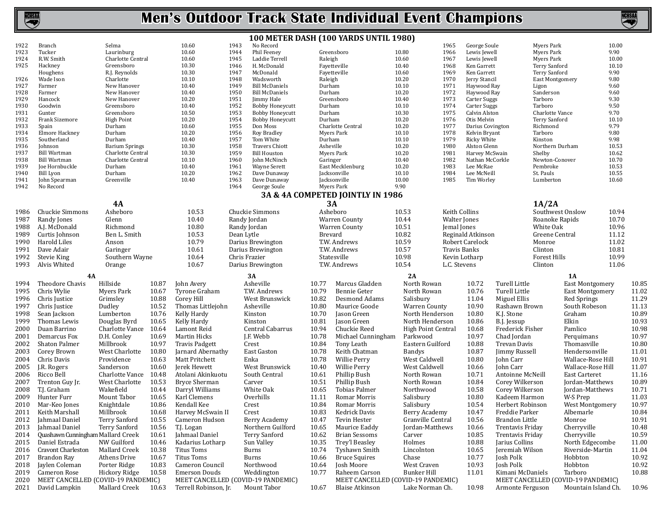

|              |                                    |                          |       |                         |                                                    |                   | 100 METER DASH (100 YARDS UNTIL 1980) |                    |               |                            |                  |                                    |              |       |
|--------------|------------------------------------|--------------------------|-------|-------------------------|----------------------------------------------------|-------------------|---------------------------------------|--------------------|---------------|----------------------------|------------------|------------------------------------|--------------|-------|
| 1922         | Branch                             | Selma                    |       | 10.60                   | 1943<br>No Record                                  |                   |                                       |                    | 1965          | George Soule               |                  | Myers Park                         | 10.00        |       |
| 1923         | Tucker                             | Laurinburg               |       | 10.60                   | 1944<br>Phil Feeney                                |                   | Greensboro                            | 10.80              | 1966          | Lewis Jewell               |                  | Myers Park                         | 9.90         |       |
| 1924         | R.W. Smith                         | Charlotte Central        |       | 10.60                   | 1945<br>Laddie Terrell                             | Raleigh           |                                       | 10.60              | 1967          | Lewis Jewell               |                  | Myers Park                         | 10.00        |       |
| 1925         | Hackney                            | Greensboro               |       | 10.30                   | 1946<br>H. McDonald                                |                   | Fayetteville                          | 10.40              | 1968          | Ken Garrett                |                  | Terry Sanford                      | 10.10        |       |
|              | Houghens                           | R.J. Reynolds            |       | 10.30                   | 1947<br>McDonald                                   |                   | Fayetteville                          | 10.60              | 1969          | Ken Garrett                |                  | <b>Terry Sanford</b>               | 9.90         |       |
| 1926<br>1927 | Wade Ison<br>Farmer                | Charlotte<br>New Hanover |       | 10.10<br>10.40          | 1948<br>Wadsworth<br>1949<br><b>Bill McDaniels</b> | Raleigh<br>Durham |                                       | 10.20<br>10.10     | 1970<br>1971  | Jerry Stancil              |                  | <b>East Montgomery</b>             | 9.80<br>9.60 |       |
| 1928         | Farmer                             | New Hanover              |       | 10.40                   | 1950<br><b>Bill McDaniels</b>                      | Durham            |                                       | 10.20              | 1972          | Haywood Ray<br>Haywood Ray |                  | Ligon<br>Sanderson                 | 9.60         |       |
| 1929         | Hancock                            | New Hanover              |       | 10.20                   | 1951<br>Jimmy Hale                                 |                   | Greensboro                            | 10.40              | 1973          | <b>Carter Suggs</b>        |                  | Tarboro                            | 9.30         |       |
| 1930         | Goodwin                            | Greensboro               |       | 10.40                   | 1952<br><b>Bobby Honeycutt</b>                     | Durham            |                                       | 10.10              | 1974          | Carter Suggs               |                  | Tarboro                            | 9.50         |       |
| 1931         | Gunter                             | Greensboro               |       | 10.50                   | 1953<br><b>Bobby Honeycutt</b>                     | Durham            |                                       | 10.30              | 1975          | Calvin Alston              |                  | Charlotte Vance                    | 9.70         |       |
| 1932         | Frank Sizemore                     | <b>High Point</b>        |       | 10.20                   | 1954<br><b>Bobby Honeycutt</b>                     | Durham            |                                       | 10.20              | 1976          | Otis Melvin                |                  | Terry Sanford                      | 10.10        |       |
| 1933         | Spain                              | Durham                   |       | 10.60                   | 1955<br>Don Moss                                   |                   | Charlotte Central                     | 10.20              | 1977          | Darius Covington           |                  | Richmond                           | 9.79         |       |
| 1934         | Elmore Hackney                     | Durham                   |       | 10.20                   | 1956<br>Roy Bradley                                |                   | <b>Myers Park</b>                     | 10.10              | 1978          | Kelvin Bryant              |                  | Tarboro                            | 9.80         |       |
| 1935         | Southerland                        | Durham                   |       | 10.40                   | 1957<br>Tom White                                  | Durham            |                                       | 10.10              | 1979          | <b>Ricky White</b>         |                  | Kinston                            | 9.98         |       |
| 1936         | Johnson                            | <b>Barium Springs</b>    |       | 10.30                   | 1958<br><b>Travers Chiott</b>                      |                   | Asheville                             | 10.20              | 1980          | Alston Glenn               |                  | Northern Durham                    | 10.53        |       |
| 1937         | <b>Bill Wartman</b>                | Charlotte Central        |       | 10.30                   | 1959<br><b>Bill Houston</b>                        |                   | Myers Park                            | 10.20              | 1981          | Harvey McSwain             |                  | Shelby                             | 10.62        |       |
| 1938         | <b>Bill Wartman</b>                | Charlotte Central        |       | 10.10                   | 1960<br>John McNinch                               | Garinger          |                                       | 10.40              | 1982          | Nathan McCorkle            |                  | Newton-Conover                     | 10.70        |       |
| 1939         | Joe Hornbuckle                     | Durham                   |       | 10.40                   | 1961<br>Wayne Serett                               |                   | East Mecklenburg                      | 10.20              | 1983          | Lee McRae                  |                  | Pembroke                           | 10.53        |       |
| 1940         | Bill Lyon                          | Durham                   |       | 10.20                   | 1962<br>Dave Dunaway                               |                   | Jacksonville                          | 10.10              | 1984          | Lee McNeill                |                  | St. Pauls                          | 10.55        |       |
| 1941<br>1942 | John Spearman<br>No Record         | Greenville               |       | 10.40                   | 1963<br>Dave Dunaway<br>1964                       |                   | Jacksonville<br>Myers Park            | 10.00<br>9.90      | 1985          | Tim Worley                 |                  | Lumberton                          | 10.60        |       |
|              |                                    |                          |       |                         | George Soule                                       |                   | 3A & 4A COMPETED JOINTLY IN 1986      |                    |               |                            |                  |                                    |              |       |
|              |                                    |                          |       |                         |                                                    |                   |                                       |                    |               |                            |                  |                                    |              |       |
|              |                                    | <b>4A</b>                |       |                         |                                                    |                   | 3A                                    |                    |               |                            |                  | 1A/2A                              |              |       |
| 1986         | <b>Chuckie Simmons</b>             | Asheboro                 |       | 10.53                   | Chuckie Simmons                                    |                   | Asheboro                              | 10.53              | Keith Collins |                            |                  | Southwest Onslow                   | 10.94        |       |
| 1987         | Randy Jones                        | Glenn                    |       | 10.40                   | Randy Jordan                                       |                   | <b>Warren County</b>                  | 10.44              | Walter Jones  |                            |                  | Roanoke Rapids                     | 10.70        |       |
| 1988         | A.J. McDonald                      | Richmond                 |       | 10.80                   | Randy Jordan                                       |                   | <b>Warren County</b>                  | 10.51              | Jemal Jones   |                            |                  | White Oak                          | 10.96        |       |
| 1989         | Curtis Johnson                     | Ben L. Smith             |       | 10.53                   | Dean Lytle                                         |                   | Brevard                               | 10.82              |               | Reginald Atkinson          |                  | Greene Central                     | 11.12        |       |
| 1990         | Harold Liles                       | Anson                    |       | 10.79                   | Darius Brewington                                  |                   | T.W. Andrews                          | 10.59              |               | Robert Carelock            |                  | Monroe                             | 11.02        |       |
| 1991         | Dave Adair                         | Garinger                 |       | 10.61                   | Darius Brewington                                  |                   | T.W. Andrews                          | 10.57              | Travis Banks  |                            |                  | Clinton                            | 10.81        |       |
| 1992         | Stevie King                        | Southern Wayne           |       | 10.64                   | Chris Frazier                                      |                   | Statesville                           | 10.98              |               | Kevin Lotharp              |                  | Forest Hills                       | 10.99        |       |
| 1993         | Alvis Whited                       | Orange                   |       | 10.67                   | Darius Brewington                                  |                   | T.W. Andrews                          | 10.54              | L.C. Stevens  |                            |                  | Clinton                            | 11.06        |       |
|              | 4A                                 |                          |       |                         | 3A                                                 |                   |                                       | 2A                 |               |                            |                  | 1A                                 |              |       |
| 1994         | Theodore Chavis                    | Hillside                 | 10.87 | John Avery              | Asheville                                          | 10.77             | Marcus Gladden                        | North Rowan        |               | 10.72                      | Turell Little    | <b>East Montgomery</b>             |              | 10.85 |
| 1995         | Chris Wylie                        | Myers Park               | 10.67 | Tyrone Graham           | T.W. Andrews                                       | 10.79             | <b>Bennie Geter</b>                   | North Rowan        |               | 10.76                      | Turell Little    | <b>East Montgomery</b>             |              | 11.02 |
| 1996         | Chris Justice                      | Grimsley                 | 10.88 | Corey Hill              | West Brunswick                                     | 10.82             | Desmond Adams                         | Salisbury          |               | 11.04                      | Miguel Ellis     | Red Springs                        |              | 11.29 |
| 1997         |                                    |                          | 10.52 |                         | Asheville                                          | 10.80             |                                       |                    |               | 10.90                      |                  |                                    |              | 11.13 |
|              | Chris Justice                      | Dudley                   |       | Thomas Littlejohn       |                                                    |                   | Maurice Goode                         | Warren County      |               |                            | Rashawn Brown    | South Robeson                      |              |       |
| 1998         | Sean Jackson                       | Lumberton                | 10.76 | Kelly Hardy             | Kinston                                            | 10.70             | Jason Green                           | North Henderson    |               | 10.80                      | K.J. Stone       | Graham                             |              | 10.89 |
| 1999         | Thomas Lewis                       | Douglas Byrd             | 10.65 | Kelly Hardy             | Kinston                                            | 10.81             | Jason Green                           | North Henderson    |               | 10.86                      | B.J. Jessup      | Elkin                              |              | 10.93 |
| 2000         | Duan Barrino                       | Charlotte Vance          | 10.64 | Lamont Reid             | Central Cabarrus                                   | 10.94             | Chuckie Reed                          | High Point Central |               | 10.68                      | Frederick Fisher | Pamlico                            |              | 10.98 |
| 2001         | Demarcus Fox                       | D.H. Conley              | 10.69 | Martin Hicks            | J.F. Webb                                          | 10.78             | Michael Cunningham                    | Parkwood           |               | 10.97                      | Chad Jordan      | Perquimans                         |              | 10.97 |
| 2002         | Shaton Palmer                      | Millbrook                | 10.97 | <b>Travis Padgett</b>   | Crest                                              | 10.84             | Tony Leath                            | Eastern Guilford   |               | 10.88                      | Trevan Davis     | Thomasville                        |              | 10.80 |
| 2003         | Corey Brown                        | West Charlotte           | 10.80 | Jarnard Abernathy       | East Gaston                                        | 10.78             | Keith Chatman                         | Bandys             |               | 10.87                      | Jimmy Russell    | Hendersonville                     |              | 11.01 |
| 2004         | Chris Davis                        | Providence               | 10.63 | Matt Pritchett          | Enka                                               | 10.78             | Willie Perry                          | West Caldwell      |               | 10.80                      | John Carr        | Wallace-Rose Hill                  |              | 10.91 |
| 2005         | J.R. Rogers                        | Sanderson                | 10.60 | Jerek Hewett            | West Brunswick                                     | 10.40             | Willie Perry                          | West Caldwell      |               | 10.66                      | John Carr        | Wallace-Rose Hill                  |              | 11.07 |
| 2006         | Ricco Bell                         | Charlotte Vance 10.48    |       | Atolani Akinkuotu       | South Central                                      | 10.61             | Phillip Bush                          | North Rowan        |               | 10.71                      | Antoinne McNeill | <b>East Carteret</b>               |              | 11.16 |
| 2007         | Trenton Guy Jr.                    | West Charlotte           | 10.53 | <b>Bryce Sherman</b>    | Carver                                             | 10.51             | Phillip Bush                          | North Rowan        |               | 10.84                      | Corey Wilkerson  | Jordan-Matthews                    |              | 10.89 |
| 2008         | T.J. Graham                        | Wakefield                | 10.44 | Darryl Williams         | White Oak                                          | 10.65             | Tobias Palmer                         | Northwood          |               | 10.58                      | Corey Wilkerson  | Jordan-Matthews                    |              | 10.71 |
| 2009         | Hunter Furr                        | Mount Tabor              | 10.65 | Karl Clemens            | Overhills                                          | 11.11             | Romar Morris                          | Salisbury          |               | 10.80                      | Kadeem Harmon    | W-S Prep                           |              | 11.03 |
|              | 2010 Mar-Keo Jones                 | Knightdale               | 10.86 | Kendall Kee             | Crest                                              | 10.84             | Romar Morris                          | Salisbury          |               | 10.54                      | Herbert Robinson | West Montgomery                    |              | 10.97 |
|              | 2011 Keith Marshall                | Millbrook                |       | 10.68 Harvey McSwain II | Crest                                              |                   | 10.83 Kedrick Davis                   | Berry Academy      |               | 10.47                      | Freddie Parker   | Albemarle                          |              | 10.84 |
| 2012         | Jahmaal Daniel                     | Terry Sanford            | 10.55 | Cameron Hudson          | Berry Academy                                      | 10.47             | Tevin Hester                          | Granville Central  |               | 10.56                      | Brandon Little   | Monroe                             |              | 10.91 |
| 2013         | Jahmaal Daniel                     | Terry Sanford            | 10.56 | T.J. Logan              | Northern Guilford                                  | 10.65             | Maurice Eaddy                         | Jordan-Matthews    |               | 10.66                      | Trentavis Friday | Cherryville                        |              | 10.48 |
| 2014         | Quashawn Cunningham Mallard Creek  |                          | 10.61 | Jahmaal Daniel          | Terry Sanford                                      | 10.62             | <b>Brian Sessoms</b>                  | Carver             |               | 10.85                      | Trentavis Friday | Cherryville                        |              | 10.59 |
| 2015         | Daniel Estrada                     | NW Guilford              | 10.46 | Kadarius Lotharp        | Sun Valley                                         | 10.35             | Trey'l Beasley                        | Holmes             |               | 10.88                      | Jarius Collins   | North Edgecombe                    |              | 11.00 |
| 2016         | Cravont Charleston                 | Mallard Creek            | 10.38 | <b>Titus Toms</b>       | Burns                                              | 10.74             | Tyshawn Smith                         | Lincolnton         |               | 10.65                      | Jeremiah Wilson  | Riverside-Martin                   |              | 11.04 |
| 2017         | Brandon Ray                        | Athens Drive             | 10.67 | <b>Titus Toms</b>       | Burns                                              | 10.66             | <b>Bruce Squires</b>                  | Chase              |               | 10.77                      | Josh Polk        | Hobbton                            |              | 10.92 |
| 2018         | Jaylen Coleman                     | Porter Ridge             | 10.83 | Cameron Council         | Northwood                                          | 10.64             | Josh Moore                            | West Craven        |               | 10.93                      | Josh Polk        | Hobbton                            |              | 10.92 |
| 2019         | Cameron Rose                       | Hickory Ridge            | 10.58 | <b>Emerson Douds</b>    | Weddington                                         | 10.77             | Raheem Carson                         | <b>Bunker Hill</b> |               | 11.01                      | Kimani McDaniels | Tarboro                            |              | 10.88 |
| 2020         | MEET CANCELLED (COVID-19 PANDEMIC) |                          |       |                         | MEET CANCELLED (COVID-19 PANDEMIC)                 |                   | MEET CANCELLED (COVID-19 PANDEMIC)    |                    |               |                            |                  | MEET CANCELLED (COVID-19 PANDEMIC) |              |       |
| 2021         | David Lampkin                      | Mallard Creek            | 10.63 | Terrell Robinson, Jr.   | Mount Tabor                                        | 10.67             | <b>Blaise Atkinson</b>                | Lake Norman Ch.    |               | 10.98                      | Armonte Ferguson | Mountain Island Ch.                |              | 10.96 |
|              |                                    |                          |       |                         |                                                    |                   |                                       |                    |               |                            |                  |                                    |              |       |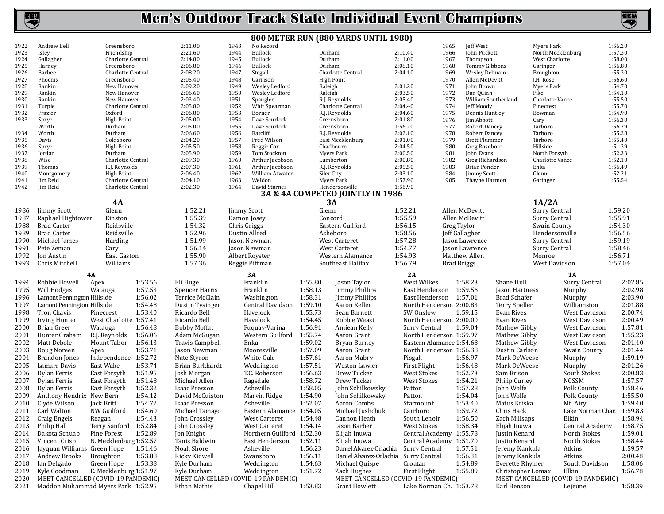

#### **800 METER RUN (880 YARDS UNTIL 1980)** 1922 Andrew Bell Greensboro 2:11.00<br>1923 Islev Friendship 2:21.60 1923 Isley Friendship 2:21.60 1924 Gallagher Charlotte Central 2:14.80<br>1925 Harney Greensboro 2:06.80 1925 Harney Greensboro 2:06.80 1926 Barbee Charlotte Central 2:08.20<br>1927 Phoenix Greensboro 2:05.40 1927 Phoenix Greensboro 2:05.40 1928 Rankin New Hanover 2:09.20<br>1929 Rankin New Hanover 2:06.60 1929 Rankin New Hanover 2:06.60 1930 Rankin New Hanover 2:03.40 1931 Turpie Charlotte Central 2:05.80<br>1932 Frazier Coxford 2:06.80 1932 Frazier Oxford 2:06.80 1933 Sprye High Point 2:05.00 Worth Durham 2:05.00 1934 Worth Durham 2:06.60 1935 Davis Goldsboro 2:04.20 1936 Sprye High Point 2:05.50 1937 Jordan Durham 2:05.90 1938 Wise Charlotte Central 2:09.30<br>1939 Thomas R.I. Revnolds 2:07.30 1939 Thomas R.J. Reynolds 2:07.30<br>1940 Montgomery High Point 2:06.40 1940 Montgomery High Point 2:06.40<br>1941 Jim Reid Charlotte Central 2:04.10 1941 Jim Reid Charlotte Central 2:04.10<br>1942 Iim Reid Charlotte Central 2:02.30 Charlotte Central 1943 No Record<br>1944 Bullock 1944 Bullock Durham 2:10.40 1945 Bullock Durham 2:11.00 1946 Bullock Durham 2:08.10 1947 Stegall Charlotte Central 2:04.10<br>1948 Garrison High Point 1948 Garrison High Point<br>1949 Wesley Ledford Raleigh 1949 Wesley Ledford Raleigh 2:01.20 1950 Wesley Ledford Raleigh 2:03.50<br>1951 Spangler R.J. Reynolds 2:05.40 1951 Spangler R.J. Reynolds 2:05.40<br>1952 Whit Spearman Charlotte Central 2:04.40 1952 Whit Spearman Charlotte Central 2:04.40<br>1953 Borner R.J. Reynolds 2:04.60 1953 Borner R.J. Reynolds 2:04.60<br>1954 Dave Scurlock Greensboro 2:01.80 1954 Dave Scurlock Greensboro 2:01.80<br>1955 Dave Scurlock Greensboro 1:56.20 1955 Dave Scurlock Greensboro 1:56.20<br>1956 Ratcliff M.I. Revnolds 2:02.10 1956 Ratcliff Revenolds 2:02.10<br>1957 Fred Wilson Bast Mecklenburg 2:01.00 1957 Fred Wilson East Mecklenburg 2:01.00<br>1958 Reggie Cox Chadbourn 2:04.50 1958 Reggie Cox Chadbourn 2:04.50 1959 Tom Stockton Myers Park 2:00.50<br>1960 Arthur Jacobson Lumberton 2:00.80 1960 Arthur Jacobson Lumberton 2:00.80<br>1961 Arthur Jacobson R.J. Reynolds 2:05.50 1961 Arthur Jacobson R.J. Reynolds 2:05.50<br>1962 William Atwater Siler City 2:03.10 1962 William Atwater Siler City 2:03.10<br>1963 Weldon Myers Park 1:57.90 1963 Weldon Myers Park 1:57.90 1964 David Starnes Hendersonville 1:56.90 **3A & 4A COMPETED JOINTLY IN 1986** 1965 Jeff West Myers Park 1:56.20 1966 John Puckett North Mecklenburg 1:57.30<br>1967 Thompson West Charlotte 1:58.00 1967 Thompson West Charlotte 1:58.00<br>1968 Tommy Gibbons Garinger 1:56.80 1968 Tommy Gibbons Garinger 1:56.80<br>1969 Wesley Debnam Broughton 1:55.30 1969 Wesley Debnam Broughton 1:55.30<br>1970 Allen McDevitt J.H. Rose 1:56.60 1970 Allen McDevitt J.H. Rose 1:56.60<br>1971 Iohn Brown Myers Park 1:54.70 1971 John Brown Myers Park 1:54.70 1972 Dan Quinn Fike 1:54.10 1973 William Southerland Charlotte Vance 1:55.50<br>1974 Leff Moody Pinecrest 1:55.70 1974 Jeff Moody Pinecrest 1:55.70 1975 Dennis Huntley Bowman 1:54.90<br>1976 Im Abbott Cary 1:56.30 1976 Jim Abbott Cary 1:56.30 1977 Robert Dancey Tarboro 1:56.29<br>1978 Robert Dancey Tarboro 1:55.28 1978 Robert Dancey Tarboro 1:55.28<br>1979 Brett Plummer Tarboro 1:55.40 1979 Brett Plummer Tarboro 1:55.40<br>1980 Greg Roseboro Hillside 1:51.39 1980 Greg Roseboro Hillside 1:51.39<br>1981 John Evans North Forsyth 1:52.33 1981 John Evans North Forsyth 1:52.33<br>1982 Greg Richardson Charlotte Vance 1:52.10 1982 Greg Richardson Charlotte Vance 1:52.10<br>1983 Brian Ponder Enka 1:56.49 1983 Brian Ponder Enka 1:56.49 1984 Jimmy Scott Glenn 1:52.21 Thayne Harmon **4A** 1986 Jimmy Scott Glenn 1:52.21 1987 Raphael Hightower Kinston 1:55.39<br>1988 Brad Carter Reidsville 1:54.32 1988 Brad Carter Reidsville 1:54.32 1989 Brad Carter Reidsville 1:52.96 1990 Michael James Harding 1:51.99<br>1991 Pete Zeman Carv 1:56.14 1991 Pete Zeman Cary Cars 1:56.14<br>1992 Ion Austin Cast Gaston 1:55.90 1992 Jon Austin East Gaston 1:55.90 Chris Mitchell **3A** Jimmy Scott Glenn 1:52.21 Damon Josey Concord 1:55.59 Eastern Guilford 1:56.15<br>Asheboro 1:58.56 Dustin Allred Asheboro 1:58.56 Jason Newman West Carteret 1:57.28 Jason Newman West Carteret 1:54.77 Albert Royster Western Alamance 1:54.93 Southeast Halifax **1A/2A** Allen McDevitt **Surry Central** 1:59.20<br>Allen McDevitt **Surry Central** 1:55.91 Allen McDevitt Surry Central 1:55.91<br>Greg Taylor Swain County 1:54.30 Greg Taylor Swain County 1:54.30 Hendersonville 1:56.56<br>Surry Central 1:59.19 Jason Lawrence Surry Central 1:59.19 Surry Central 1:58.46<br>Monroe 1:56.71 Matthew Allen Monroe 1:56.71 West Davidson **4A** 1994 Robbie Howell Apex 1:53.56<br>1995 Will Hodges Watauga 1:57.53 1995 Will Hodges Watauga 1:57.53<br>1996 Lamont Pennington Hillside 1:56.02 1996 Lamont Pennington Hillside 1:56.02<br>1997 Lamont Pennington Hillside 1:54.48 1997 Lamont Pennington Hillside 1:54.48<br>1998 Tron Chavis Pinecrest 1:53.40 1998 Tron Chavis<br>1999 Irving Hunter 1999 Irving Hunter West Charlotte 1:57.41<br>2000 Brian Greer Watauga 1:56.48 2000 Brian Greer Watauga 1:56.48<br>2001 Hunter Graham R.I. Revnolds 1:56.06 2001 Hunter Graham R.J. Reynolds<br>2002 Matt Debole Mount Tabor 2002 Matt Debole Mount Tabor 1:56.13<br>2003 Doug Noreen Apex 1:53.71 2003 Doug Noreen<br>2004 Brandon Jones 2004 Brandon Jones Independence 1:52.72<br>2005 Lamarr Davis East Wake 1:53.74 2005 Lamarr Davis East Wake 1:53.74 2006 Dylan Ferris East Forsyth 1:51.95<br>2007 Dylan Ferris East Forsyth 1:51.48 2007 Dylan Ferris East Forsyth 1:51.48<br>2008 Dylan Ferris East Forsyth 1:52.32 2008 Dylan Ferris East Forsyth 1:52.32<br>2009 Anthony Hendrix New Bern 1:54.12 2009 Anthony Hendrix New Bern 1:54.12<br>2010 Clyde Wilson Jack Britt 1:54.72 2010 Clyde Wilson Jack Britt 1:54.72<br>2011 Carl Walton NW Guilford 1:54.60 2011 Carl Walton NW Guilford 1:54.60<br>2012 Craig Engels Reagan 1:54.43 2012 Craig Engels<br>2013 Philip Hall 2013 Philip Hall Terry Sanford 1:52.84<br>2014 Dakota Schuab Pine Forest 1:52.89 2014 Dakota Schuab<br>2015 Vincent Crisp 2015 Vincent Crisp N. Mecklenburg 1:52.57<br>2016 Javquan Williams Green Hope 1:51.46 2016 Jayquan Williams Green Hope 1:51.46<br>2017 Andrew Brooks Broughton 1:53.88 2017 Andrew Brooks Broughton 1:53.88<br>2018 Ian Delgado Green Hope 1:53.38 2018 Ian Delgado Green Hope<br>2019 Kyle Goodman E. Mecklenbi 2019 Kyle Goodman E. Mecklenburg 1:51.97<br>2020 MEET CANCELLED (COVID-19 PANDEMIC 2020 MEET CANCELLED (COVID-19 PANDEMIC)<br>2021 Maddon Muhammad Myers Park 1:52.95 2021 Maddon Muhammad Myers Park 1:52.95 **3A** Eli Huge Franklin 1:55.80<br>Spencer Harris Franklin 1:58.13 Spencer Harris Franklin 1:58.13<br>Terrice McClain Washington 1:58.31 Terrice McClain Washington 1:58.31 Central Davidson 1:59.10<br>Havelock 1:55.73 Ricardo Bell **Havelock** 1:55.73<br>Ricardo Bell Havelock 1:54.45 Ricardo Bell Havelock 1:54.45 Fuquay-Varina 1:56.91<br>Western Guilford 1:55.74 Adam McGugan **Manufath Western Guilford 1:55.74**<br>Travis Campbell Finka 1:59.02 Travis Campbell Enka 1:59.02<br>
Iason Newman Mooresville 1:57.09 Jason Newman Mooresville 1:57.09 Nate Styron White Oak 1:57.61<br>Brian Burkhardt Weddington 1:57.51 Brian Burkhardt Weddington 1:57.51<br>Josh Morgan T.C. Roberson 1:56.63 T.C. Roberson 1:56.63<br>Ragsdale 1:58.72 Michael Allen Ragsdale 1:58.72<br>
Isaac Presson Asheville 1:58.05 Isaac Presson Asheville 1:58.05<br>David McCuiston Marvin Ridge 1:54.90 David McCuiston Marvin Ridge 1:54.90<br>
Isaac Presson Asheville 1:52.07 Isaac Presson<br>Michael Tamavo Eastern Alamance 1:54.05<br>West Carteret 1:54.48 John Crossley West Carteret 1:54.48 John Crossley<br>Ion Knight Northern Guilford 1:52.30<br>East Henderson 1:52.11 Tanis Baldwin East Henderson 1:52.11<br>Noah Shore Asheville 1:56.23 Noah Shore Asheville 1:56.23<br>Ricky Kidwell Swansboro 1:56.11 Ricky Kidwell Swansboro 1:56.11<br>Kyle Durham Weddington 1:54.63 Kyle Durham Weddington 1:54.63<br>
Kyle Durham Weddington 1:51.72 Kyle Durham Weddington 1:51.72 MEET CANCELLED (COVID-19 PANDEMIC) Ethan Mathis Chapel Hill 1:53.83 2A<br>West Wilkes Jason Taylor West Wilkes 1:58.23 Jimmy Phillips East Henderson 1:59.56 Jimmy Phillips East Henderson 1:57.01 Aaron Keller North Henderson 2:00.83<br>
Sean Barnett SW Onslow 1:59.15 Sean Barnett SW Onslow 1:59.15 Robbie Weast North Henderson 2:00.00 Amiean Kelly Surry Central 1:59.04 Aaron Grant North Henderson 1:59.97 Bryan Burney Eastern Alamance 1:54.68<br>Aaron Grant North Henderson 1:56.38 North Henderson 1:56.38<br>Pisgah 1:56.97 Aaron Mabry Pisgah 1:56.97<br>Weston Lawler First Flight 1:56.48 Weston Lawler First Flight 1:56.48<br>Drew Tucker West Stokes 1:52.73 West Stokes 1:52.73<br>West Stokes 1:54.21 Drew Tucker West Stokes 1:54.21<br>
Iohn Schilkowsky Patton 1:57.28 John Schilkowsky Patton 1:57.28 John Schilkowsky Patton 1:54.04<br>Aaron Combs Starmount 1:53.40 Aaron Combs<br>
Starmount 1:53.40<br>
Michael Iushchuk Carrboro 1:59.72 Michael Jushchuk Carrboro 1:59.72<br>Cannon Heath South Lenoir 1:56.50 Cannon Heath South Lenoir 1:56.50 Jason Barber<br>Elijah Inuwa Elijah Inuwa Central Academy 1:55.78 Central Academy 1:51.70<br>Surry Central 1:57.51 Daniel Alvarez-Orlachia Surry Central 1:57.51 Daniel Alvarez-Orlachia Surry Central 1:56.81 Michael Quispe Croatan 1:54.89<br>
Zach Hughes First Flight 1:55.89 Zach Hughes First Flight 1:55.89 MEET CANCELLED (COVID-19 PANDEMIC) Grant Howlett Lake Norman Ch. 1:53.78 **1A** Shane Hull Surry Central 2:02.85<br>
Jason Hartness Murphy 2:02.98 Jason Hartness Murphy 2:02.98 Brad Schafer Murphy 2:03.90<br>
Terry Speller Williamston 2:01.88 Terry Speller Williamston 2:01.88 Evan Rives West Davidson 2:00.74<br>
Evan Rives West Davidson 2:00.49 Evan Rives West Davidson 2:00.49<br>Mathew Gibby West Davidson 1:57.81 West Davidson 1:57.81<br>West Davidson 1:55.23 Mathew Gibby West Davidson 1:55.23<br>Mathew Gibby West Davidson 2:01.40 West Davidson 2:01.40<br>Swain County 2:01.44 Dustin Carlson Swain County 2:01.44<br>Mark DeWeese Murphy 1:59.19 Mark DeWeese Murphy 1:59.19<br>
Mark DeWeese Murphy 2:01.26 Mark DeWeese Murphy 2:01.26 South Stokes 2:00.83<br>NCSSM 1:57.57 Philip Curley **NCSSM** 1:57.57<br>
Iohn Wolfe Polk County 1:58.46 John Wolfe Polk County 1:58.46 Polk County 1:55.50<br>Mt. Airy 1:59.40 Matus Kriska Mt. Airy 1:59.40<br>Chris Hack Lake Norman Char. 1:59.83 Lake Norman Char. 1:59.83<br>Elkin 1:58.94 Zach Millsaps Elkin 1:58.94 Elijah Inuwa Central Academy 1:58.75 Justin Kenard North Stokes 1:59.01 North Stokes 1:58.44<br>Atkins 1:59.57 Jeremy Kankula Atkins 1:59.57 Jeremy Kankula Atkins 2:00.48 Everette Rhymer South Davidson 1:58.06<br>Christopher Lomax Elkin 1:56.78 Christopher Lomax Elkin 1:56.78 MEET CANCELLED (COVID-19 PANDEMIC) Karl Benson Lejeune 1:58.39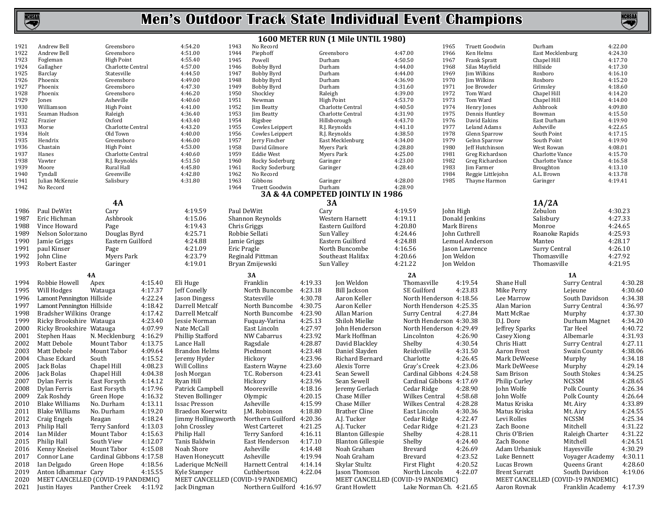

**NCHSAA** 

**1600 METER RUN (1 Mile UNTIL 1980)**

| 1921                                                                 | Andrew Bell                        | Greensboro               |         | 4:54.20                            | 1943        | No Record                 |         |                                    |                          | 1965        | Truett Goodwin      |                      | Durham           |                                    | 4:22.00 |
|----------------------------------------------------------------------|------------------------------------|--------------------------|---------|------------------------------------|-------------|---------------------------|---------|------------------------------------|--------------------------|-------------|---------------------|----------------------|------------------|------------------------------------|---------|
| 1922                                                                 | Andrew Bell                        | Greensboro               |         | 4:51.00                            | 1944        | Piephoff                  |         | Greensboro                         | 4:47.00                  | 1966        | Ken Helms           |                      | East Mecklenburg |                                    | 4:24.30 |
| 1923                                                                 | Fogleman                           | <b>High Point</b>        |         | 4:55.40                            | 1945        | Powell                    | Durham  |                                    | 4:50.50                  | 1967        | <b>Frank Spratt</b> |                      | Chapel Hill      |                                    | 4:17.70 |
| 1924                                                                 | Gallagher                          | Charlotte Central        |         | 4:57.00                            | 1946        | <b>Bobby Byrd</b>         | Durham  |                                    | 4:44.00                  | 1968        | Silas Mayfield      |                      | Hillside         |                                    | 4:17.30 |
| 1925                                                                 | Barclay                            | Statesville              |         | 4:44.50                            | 1947        | Bobby Byrd                | Durham  |                                    | 4:44.00                  | 1969        | Jim Wilkins         |                      | Roxboro          |                                    | 4:16.10 |
| 1926                                                                 | Phoenix                            | Greensboro               |         | 4:49.00                            | 1948        | Bobby Byrd                | Durham  |                                    | 4:36.90                  | 1970        | Jim Wilkins         |                      | Roxboro          |                                    | 4:15.20 |
| 1927                                                                 | Phoenix                            | Greensboro               |         | 4:47.30                            | 1949        | Bobby Byrd                | Durham  |                                    | 4:31.60                  | 1971        | Joe Browder         |                      | Grimsley         |                                    | 4:18.60 |
|                                                                      |                                    |                          |         |                                    |             |                           |         |                                    |                          |             |                     |                      |                  |                                    |         |
| 1928                                                                 | Phoenix                            | Greensboro               |         | 4:46.20                            | 1950        | Shockley                  | Raleigh |                                    | 4:39.00                  | 1972        | Tom Ward            |                      | Chapel Hill      |                                    | 4:14.20 |
| 1929                                                                 | Jones                              | Asheville                |         | 4:40.60                            | 1951        | Newman                    |         | <b>High Point</b>                  | 4:53.70                  | 1973        | Tom Ward            |                      | Chapel Hill      |                                    | 4:14.00 |
| 1930                                                                 | Williamson                         | <b>High Point</b>        |         | 4:41.00                            | 1952        | Jim Beatty                |         | Charlotte Central                  | 4:40.50                  | 1974        | Henry Jones         |                      | Ashbrook         |                                    | 4:09.80 |
| 1931                                                                 | Seaman Hudson                      | Raleigh                  |         | 4:36.40                            | 1953        | Jim Beatty                |         | Charlotte Central                  | 4:31.90                  | 1975        | Dennis Huntley      |                      | Bowman           |                                    | 4:15.50 |
| 1932                                                                 | Frazier                            | Oxford                   |         | 4:43.40                            | 1954        | Rigsbee                   |         | Hillsborough                       | 4:43.70                  | 1976        | David Eakins        |                      | East Durham      |                                    | 4:19.90 |
| 1933                                                                 | Morse                              | Charlotte Central        |         | 4:43.20                            | 1955        | Cowles Leippert           |         | R.J. Reynolds                      | 4:41.10                  | 1977        | <b>Leland Adams</b> |                      | Asheville        |                                    | 4:22.65 |
| 1934                                                                 | Holt                               | Old Town                 |         | 4:40.00                            | 1956        | Cowles Leippert           |         | R.J. Reynolds                      | 4:38.50                  | 1978        | Glenn Sparrow       |                      | South Point      |                                    | 4:17.15 |
| 1935                                                                 | Hendrix                            | Greensboro               |         | 4:46.00                            | 1957        | Jerry Fincher             |         | East Mecklenburg                   | 4:34.00                  | 1979        | Gelnn Sparrow       |                      | South Point      |                                    | 4:19.90 |
| 1936                                                                 | Chastain                           | High Point               |         | 4:53.00                            | 1958        | David Gilmore             |         | Myers Park                         | 4:28.80                  | 1980        | Jeff Hutchinson     |                      | West Rowan       |                                    | 4:08.01 |
| 1937                                                                 | Hanes                              | Charlotte Central        |         | 4:40.60                            | 1959        | <b>Eddie West</b>         |         | Myers Park                         | 4:25.00                  | 1981        | Greg Richardson     |                      | Charlotte Vance  |                                    | 4:15.70 |
| 1938                                                                 | Vawter                             | R.J. Reynolds            |         | 4:51.50                            | 1960        | Rocky Soderburg           |         | Garinger                           | 4:23.00                  | 1982        | Greg Richardson     |                      | Charlotte Vance  |                                    | 4:16.58 |
| 1939                                                                 | Moore                              | Rural Hall               |         | 4:45.80                            | 1961        | Rocky Soderburg           |         | Garinger                           | 4:28.40                  | 1983        | <b>Iim Farmer</b>   |                      | Broughton        |                                    | 4:13.10 |
| 1940                                                                 | Tyndall                            | Greenville               |         | 4:42.80                            | 1962        | No Record                 |         |                                    |                          | 1984        | Reggie Littlejohn   |                      | A.L. Brown       |                                    | 4:13.78 |
|                                                                      |                                    |                          |         |                                    | 1963        | Gibbons                   |         |                                    | 4:28.00                  | 1985        |                     |                      |                  |                                    |         |
| 1941                                                                 | Julian McKenzie                    | Salisbury                |         | 4:31.80                            |             |                           |         | Garinger                           |                          |             | Thayne Harmon       |                      | Garinger         |                                    | 4:19.41 |
| 1942                                                                 | No Record                          |                          |         |                                    | 1964        | Truett Goodwin            | Durham  |                                    | 4:28.90                  |             |                     |                      |                  |                                    |         |
|                                                                      |                                    |                          |         |                                    |             |                           |         | 3A & 4A COMPETED JOINTLY IN 1986   |                          |             |                     |                      |                  |                                    |         |
|                                                                      |                                    | 4A                       |         |                                    |             |                           |         | <b>3A</b>                          |                          |             |                     |                      | 1A/2A            |                                    |         |
| 1986                                                                 | Paul DeWitt                        | Cary                     |         | 4:19.59                            |             | Paul DeWitt               | Cary    |                                    | 4:19.59                  | John High   |                     |                      | Zebulon          |                                    | 4:30.23 |
|                                                                      |                                    |                          |         |                                    |             |                           |         |                                    |                          |             |                     |                      |                  |                                    |         |
| 1987                                                                 | Eric Hichman                       | Ashbrook                 |         | 4:15.06                            |             | Shannon Reynolds          |         | Western Harnett                    | 4:19.11                  |             | Donald Jenkins      |                      | Salisbury        |                                    | 4:27.33 |
| 1988                                                                 | Vince Howard                       | Page                     |         | 4:19.43                            |             | Chris Griggs              |         | Eastern Guilford                   | 4:20.80                  | Mark Birens |                     |                      | Monroe           |                                    | 4:24.65 |
| 1989                                                                 | Nelson Solorzano                   | Douglas Byrd             |         | 4:25.71                            |             | Robbie Sellati            |         | Sun Valley                         | 4:24.46                  |             | John Cuthrell       |                      | Roanoke Rapids   |                                    | 4:25.93 |
| 1990                                                                 | Jamie Griggs                       | Eastern Guilford         |         | 4:24.88                            |             | Jamie Griggs              |         | Eastern Guilford                   | 4:24.88                  |             | Lemuel Anderson     |                      | Manteo           |                                    | 4:28.17 |
| 1991                                                                 | paul Kinser                        | Page                     |         | 4:21.09                            | Eric Pragle |                           |         | North Buncombe                     | 4:16.56                  |             | Jason Lawrence      |                      | Surry Central    |                                    | 4:26.10 |
| 1992                                                                 | John Cline                         |                          |         |                                    |             |                           |         |                                    |                          |             |                     |                      |                  |                                    |         |
|                                                                      |                                    | Myers Park               |         | 4:23.79                            |             | Reginald Pittman          |         | Southeast Halifax                  | 4:20.66                  | Jon Weldon  |                     |                      | Thomasville      |                                    | 4:27.92 |
|                                                                      |                                    |                          |         |                                    |             |                           |         |                                    |                          |             |                     |                      |                  |                                    |         |
| 1993                                                                 | Robert Easter                      | Garinger                 |         | 4:19.01                            |             | Bryan Zmijewski           |         | Sun Valley                         | 4:21.22                  | Jon Weldon  |                     |                      | Thomasville      |                                    | 4:21.95 |
|                                                                      |                                    |                          |         |                                    |             |                           |         |                                    |                          |             |                     |                      |                  |                                    |         |
|                                                                      |                                    | 4A                       |         |                                    |             | 3A                        |         |                                    | 2A                       |             |                     |                      |                  | 1A                                 |         |
|                                                                      | Robbie Howell                      | Apex                     | 4:15.40 | Eli Huge                           |             | Franklin                  | 4:19.33 | Jon Weldon                         | Thomasville              |             | 4:19.54             | Shane Hull           |                  | Surry Central                      | 4:30.28 |
|                                                                      | Will Hodges                        | Watauga                  | 4:17.37 | Jeff Conelly                       |             | North Buncombe            | 4:23.18 | Bill Jackson                       | SE Guilford              |             | 4:23.83             | Mike Perry           |                  | Lejeune                            | 4:30.60 |
|                                                                      |                                    |                          |         |                                    |             |                           |         |                                    |                          |             |                     |                      |                  |                                    |         |
|                                                                      | Lamont Pennington Hillside         |                          | 4:22.24 | Jason Dingess                      |             | Statesville               | 4:30.78 | Aaron Keller                       | North Henderson 4:18.56  |             |                     | Lee Marrow           |                  | South Davidson                     | 4:34.38 |
|                                                                      | Lamont Pennington Hillside         |                          | 4:18.42 | Darrell Metcalf                    |             | North Buncombe            | 4:30.75 | Aaron Keller                       | North Henderson 4:25.35  |             |                     | Alan Marion          |                  | Surry Central                      | 4:36.97 |
| 1994<br>1995<br>1996<br>1997<br>1998                                 | Bradsher Wilkins Orange            |                          | 4:17.42 | Darrell Metcalf                    |             | North Buncombe            | 4:23.90 | Allan Marion                       | Surry Central            |             | 4:27.84             | Matt McRae           |                  | Murphy                             | 4:37.30 |
|                                                                      | Ricky Brookshire Watauga           |                          | 4:23.40 | Jessie Norman                      |             | Fuquay-Varina             | 4:25.13 | Shiloh Mielke                      | North Henderson 4:30.38  |             |                     | D.J. Dore            |                  | Durham Magnet                      | 4:34.20 |
| 1999<br>2000                                                         | Ricky Brookshire Watauga           |                          | 4:07.99 | Nate McCall                        |             | East Lincoln              | 4:27.97 | John Henderson                     | North Henderson 4:29.49  |             |                     | Jeffrey Sparks       |                  | Tar Heel                           | 4:40.72 |
|                                                                      |                                    |                          |         |                                    |             |                           |         | Mark Hoffman                       |                          |             |                     |                      |                  | Albemarle                          |         |
|                                                                      | Stephen Haas                       | N. Mecklenburg           | 4:16.29 | Phillip Stafford                   |             | NW Cabarrus               | 4:23.92 |                                    | Lincolnton               |             | 4:26.90             | Casey Xiong          |                  |                                    | 4:31.93 |
| 2001<br>2002                                                         | Matt Debole                        | Mount Tabor              | 4:13.75 | Lance Hall                         |             | Ragsdale                  | 4:28.87 | David Blackley                     | Shelby                   |             | 4:30.54             | Chris Hiatt          |                  | Surry Central                      | 4:27.11 |
|                                                                      | Matt Debole                        | Mount Tabor              | 4:09.64 | <b>Brandon Helms</b>               |             | Piedmont                  | 4:23.48 | Daniel Slayden                     | Reidsville               |             | 4:31.50             | Aaron Frost          |                  | Swain County                       | 4:38.06 |
|                                                                      | Chase Eckard                       | South                    | 4:15.52 | Jeremy Hyder                       |             | Hickory                   | 4:23.96 | Richard Bernard                    | Charlotte                |             | 4:26.45             | Mark DeWeese         |                  | Murphy                             | 4:34.18 |
|                                                                      | Jack Bolas                         | Chapel Hill              | 4:08.23 | Will Collins                       |             | Eastern Wayne             | 4:23.60 | Alexis Torre                       | Gray's Creek             |             | 4:23.06             | Mark DeWeese         |                  | Murphy                             | 4:29.14 |
| 2003<br>2004<br>2005<br>2006                                         | Jack Bolas                         | Chapel Hill              | 4:04.38 | Josh Morgan                        |             | T.C. Roberson             |         | Sean Sewell                        | Cardinal Gibbons 4:24.58 |             |                     | Sam Brison           |                  | South Stokes                       | 4:34.25 |
|                                                                      |                                    |                          |         |                                    |             |                           | 4:23.41 |                                    |                          |             |                     |                      |                  |                                    |         |
| 2007                                                                 | Dylan Ferris                       | East Forsyth             | 4:14.12 | Ryan Hill                          |             | Hickory                   | 4:23.96 | Sean Sewell                        | Cardinal Gibbons 4:17.69 |             |                     | Philip Curley        |                  | <b>NCSSM</b>                       | 4:28.65 |
|                                                                      | Dylan Ferris                       | East Forsyth             | 4:17.96 | Patrick Campbell                   |             | Mooresville               | 4:18.16 | Jeremy Gerlach                     | Cedar Ridge              |             | 4:28.90             | John Wolfe           |                  | Polk County                        | 4:26.34 |
|                                                                      | Zak Roshdy                         | Green Hope               | 4:16.32 | Steven Bollinger                   |             | Olympic                   | 4:20.15 | Chase Miller                       | Wilkes Central           |             | 4:58.68             | John Wolfe           |                  | Polk County                        | 4:26.64 |
| 2008<br>2009<br>2010                                                 | <b>Blake Williams</b>              | No. Durham               | 4:13.11 | <b>Issac Presson</b>               |             | Asheville                 | 4:15.99 | Chase Miller                       | Wilkes Central           |             | 4:28.28             | Matus Kriska         |                  | Mt. Airy                           | 4:33.89 |
|                                                                      | Blake Williams                     | No. Durham               | 4:19.20 | Braedon Koerwitz                   |             | J.M. Robinson             | 4:18.80 | <b>Brather Cline</b>               | East Lincoln             |             | 4:30.36             | Matus Kriska         |                  | Mt. Airy                           | 4:24.55 |
|                                                                      |                                    |                          |         |                                    |             |                           |         |                                    |                          |             |                     |                      |                  |                                    |         |
|                                                                      | Craig Engels                       | Reagan                   | 4:18.24 | Jimmy Hollingsworth                |             | Northern Guilford 4:20.36 |         | A.J. Tucker                        | Cedar Ridge              |             | 4:22.47             | Levi Rolles          |                  | <b>NCSSM</b>                       | 4:25.34 |
|                                                                      | 2013 Philip Hall                   | Terry Sanford            | 4:13.03 | John Crossley                      |             | West Carteret             | 4:21.25 | A.J. Tucker                        | Cedar Ridge              |             | 4:21.23             | Zach Boone           |                  | Mitchell                           | 4:31.22 |
|                                                                      | 2014 Ian Milder                    | Mount Tabor              | 4:15.63 | Philip Hall                        |             | Terry Sanford             | 4:16.11 | <b>Blanton Gillespie</b>           | Shelby                   |             | 4:28.11             | Chris O'Brien        |                  | Raleigh Charter                    | 4:31.22 |
|                                                                      | Philip Hall                        | South View               | 4:12.07 | Tanis Baldwin                      |             | East Henderson            | 4:17.10 | <b>Blanton Gillespie</b>           | Shelby                   |             | 4:24.40             | Zach Boone           |                  | Mitchell                           | 4:24.51 |
|                                                                      | Kenny Kneisel                      | Mount Tabor              | 4:15.08 | Noah Shore                         |             | Asheville                 | 4:14.48 | Noah Graham                        | Brevard                  |             | 4:26.69             | Adam Urbaniuk        |                  | Hayesville                         | 4:30.29 |
|                                                                      |                                    |                          |         |                                    |             |                           |         |                                    |                          |             |                     |                      |                  |                                    |         |
|                                                                      | Connor Lane                        | Cardinal Gibbons 4:17.58 |         | Haven Honeycutt                    |             | Asheville                 | 4:19.94 | Noah Graham                        | Brevard                  |             | 4:23.52             | Luke Bennett         |                  | Voyager Academy                    | 4:30.11 |
|                                                                      | Ian Delgado                        | Green Hope               | 4:18.56 | Laderique McNeill                  |             | Harnett Central           | 4:14.14 | Skylar Stultz                      | First Flight             |             | 4:20.52             | Lucas Brown          |                  | Queens Grant                       | 4:28.60 |
|                                                                      | Anton Idhammar Cary                |                          | 4:15.55 | Kyle Stamper                       |             | Cuthbertson               | 4:22.04 | Jason Thomson                      | North Lincoln            |             | 4:22.07             | <b>Brent Surratt</b> |                  | South Davidson                     | 4:19.06 |
|                                                                      | MEET CANCELLED (COVID-19 PANDEMIC) |                          |         | MEET CANCELLED (COVID-19 PANDEMIC) |             |                           |         | MEET CANCELLED (COVID-19 PANDEMIC) |                          |             |                     |                      |                  | MEET CANCELLED (COVID-19 PANDEMIC) |         |
| 2011<br>2012<br>2015<br>2016<br>2017<br>2018<br>2019<br>2020<br>2021 | Justin Hayes                       | Panther Creek            | 4:11.92 | Jack Dingman                       |             | Northern Guilford 4:16.97 |         | <b>Grant Howlett</b>               | Lake Norman Ch. 4:21.65  |             |                     | Aaron Rovnak         |                  | Franklin Academy 4:17.39           |         |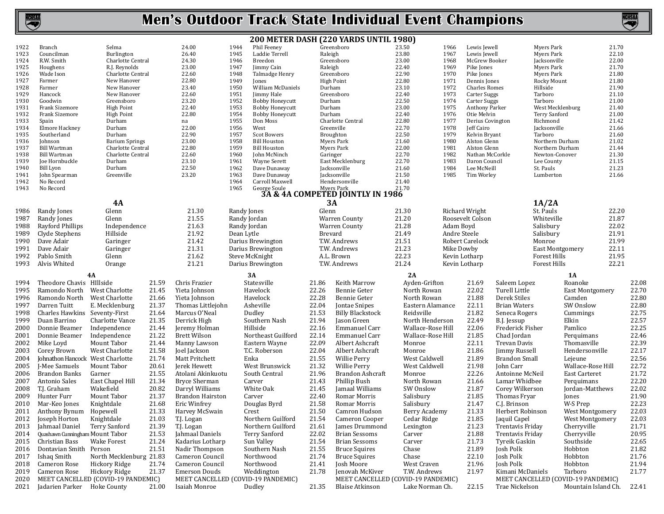

|              |                                  |                                    |       |                         |                                              |                | 200 METER DASH (220 YARDS UNTIL 1980)                       |                   |              |                                      |                      |                         |                                    |       |
|--------------|----------------------------------|------------------------------------|-------|-------------------------|----------------------------------------------|----------------|-------------------------------------------------------------|-------------------|--------------|--------------------------------------|----------------------|-------------------------|------------------------------------|-------|
| 1922         | Branch                           | Selma                              |       | 24.00                   | 1944<br>Phil Feeney                          |                | Greensboro                                                  | 23.50             | 1966         | Lewis Jewell                         |                      | Myers Park              | 21.70                              |       |
| 1923         | Councilman                       | Burlington                         |       | 26.40                   | 1945<br>Laddie Terrell                       | Raleigh        |                                                             | 23.80             | 1967         | Lewis Jewell                         |                      | Myers Park              | 22.10                              |       |
| 1924         | R.W. Smith                       | Charlotte Central                  |       | 24.30                   | 1946<br>Breedon                              |                | Greensboro                                                  | 23.00             | 1968         | McGrew Booker                        |                      | Jacksonville            | 22.00                              |       |
| 1925         | Houghens                         | R.J. Reynolds                      |       | 23.00                   | 1947<br>Jimmy Cain                           | Raleigh        |                                                             | 22.40             | 1969         | Pike Jones                           |                      | Myers Park              | 21.70                              |       |
| 1926         | Wade Ison                        | Charlotte Central                  |       | 22.60                   | 1948<br>Talmadge Henry                       |                | Greensboro                                                  | 22.90             | 1970         | Pike Jones                           |                      | Myers Park              | 21.80                              |       |
| 1927<br>1928 | Farmer                           | New Hanover<br>New Hanover         |       | 22.80<br>23.40          | 1949<br>Jones<br>1950<br>William McDaniels   | Durham         | <b>High Point</b>                                           | 22.80<br>23.10    | 1971<br>1972 | Dennis Jones<br><b>Charles Romes</b> |                      | Rocky Mount<br>Hillside | 21.80<br>21.90                     |       |
| 1929         | Farmer<br>Hancock                | New Hanover                        |       | 22.60                   | 1951<br>Jimmy Hale                           |                | Greensboro                                                  | 22.40             | 1973         | Carter Suggs                         |                      | Tarboro                 | 21.10                              |       |
| 1930         | Goodwin                          | Greensboro                         |       | 23.20                   | 1952<br><b>Bobby Honeycutt</b>               | Durham         |                                                             | 22.50             | 1974         | Carter Suggs                         |                      | Tarboro                 | 21.00                              |       |
| 1931         | Frank Sizemore                   | <b>High Point</b>                  |       | 22.40                   | 1953<br><b>Bobby Honeycutt</b>               | Durham         |                                                             | 23.00             | 1975         | Anthony Parker                       |                      | West Mecklenburg        | 21.40                              |       |
| 1932         | Frank Sizemore                   | <b>High Point</b>                  |       | 22.80                   | 1954<br><b>Bobby Honeycutt</b>               | Durham         |                                                             | 22.40             | 1976         | Otie Melvin                          |                      | <b>Terry Sanford</b>    | 21.00                              |       |
| 1933         | Spain                            | Durham                             |       | na                      | 1955<br>Don Moss                             |                | Charlotte Central                                           | 22.80             | 1977         | Derius Covington                     |                      | Richmond                | 21.42                              |       |
| 1934         | <b>Elmore Hackney</b>            | Durham                             |       | 22.00                   | 1956<br>West                                 |                | Greenville                                                  | 22.70             | 1978         | Jeff Cairo                           |                      | Jacksonville            | 21.66                              |       |
| 1935         | Southerland                      | Durham                             |       | 22.90                   | 1957<br>Scot Bowers                          |                | Broughton                                                   | 22.50             | 1979         | Kelvin Bryant                        |                      | Tarboro                 | 21.60                              |       |
| 1936         | Johnson                          | <b>Barium Springs</b>              |       | 23.00                   | 1958<br><b>Bill Houston</b>                  |                | Myers Park                                                  | 21.60             | 1980         | Alston Glenn                         |                      | Northern Durham         | 21.02                              |       |
| 1937         | <b>Bill Wartman</b>              | Charlotte Central                  |       | 22.80                   | 1959<br><b>Bill Houston</b>                  |                | Myers Park                                                  | 22.00             | 1981         | Alston Glenn                         |                      | Northern Durham         | 21.44                              |       |
| 1938         | <b>Bill Wartman</b>              | Charlotte Central                  |       | 22.60                   | 1960<br>John McNinch                         | Garinger       |                                                             | 22.70             | 1982         | Nathan McCorkle                      |                      | Newton-Conover          | 21.30                              |       |
| 1939         | Joe Hornbuckle                   | Durham                             |       | 23.10                   | 1961<br>Wayne Serett                         |                | East Mecklenburg                                            | 22.70             | 1983         | Daron Council                        |                      | Lee County              | 21.15                              |       |
| 1940<br>1941 | Bill Lyon<br>John Spearman       | Durham<br>Greenville               |       | 22.50<br>23.20          | 1962<br>Dave Dunaway<br>1963<br>Dave Dunaway |                | Jacksonville<br>Jacksonville                                | 21.60<br>21.50    | 1984<br>1985 | Lee McNeill<br>Tim Worley            |                      | St. Pauls<br>Lumberton  | 21.23<br>21.66                     |       |
| 1942         | No Record                        |                                    |       |                         | 1964<br>Carroll Maxwell                      |                | Hendersonville                                              | 21.40             |              |                                      |                      |                         |                                    |       |
| 1943         | No Record                        |                                    |       |                         | 1965                                         |                |                                                             | 21.70             |              |                                      |                      |                         |                                    |       |
|              |                                  |                                    |       |                         |                                              |                | George Soule<br><b>3A &amp; 4A COMPETED JOINTLY IN 1986</b> |                   |              |                                      |                      |                         |                                    |       |
|              |                                  | <b>4A</b>                          |       |                         |                                              |                | <b>3A</b>                                                   |                   |              |                                      |                      | 1A/2A                   |                                    |       |
| 1986         | Randy Jones                      | Glenn                              |       | 21.30                   | Randy Jones                                  | Glenn          |                                                             | 21.30             |              | Richard Wright                       |                      | St. Pauls               | 22.20                              |       |
| 1987         | Randy Jones                      | Glenn                              |       | 21.55                   | Randy Jordan                                 |                | Warren County                                               | 21.20             |              | Roosevelt Colson                     |                      | Whiteville              | 21.87                              |       |
| 1988         | Rayford Phillips                 | Independence                       |       | 21.63                   | Randy Jordan                                 |                | Warren County                                               | 21.28             | Adam Boyd    |                                      |                      | Salisbury               | 22.02                              |       |
| 1989         | Clyde Stephens                   | Hillside                           |       | 21.92                   | Dean Lytle                                   | <b>Brevard</b> |                                                             | 21.49             | Andre Steele |                                      |                      | Salisbury               | 21.91                              |       |
| 1990         | Dave Adair                       | Garinger                           |       | 21.42                   | Darius Brewington                            |                | T.W. Andrews                                                | 21.51             |              | Robert Carelock                      |                      | Monroe                  | 21.99                              |       |
| 1991         | Dave Adair                       | Garinger                           |       | 21.31                   | Darius Brewington                            |                | T.W. Andrews                                                | 21.23             | Mike Dowby   |                                      |                      | East Montgomery         | 22.11                              |       |
| 1992         | Pablo Smith                      | Glenn                              |       | 21.62                   | Steve McKnight                               |                | A.L. Brown                                                  | 22.23             |              | Kevin Lotharp                        |                      | <b>Forest Hills</b>     | 21.95                              |       |
| 1993         | Alvis Whited                     | Orange                             |       | 21.21                   | Darius Brewington                            |                | T.W. Andrews                                                | 21.24             |              | Kevin Lotharp                        |                      | Forest Hills            | 22.21                              |       |
|              |                                  |                                    |       |                         |                                              |                |                                                             |                   |              |                                      |                      |                         |                                    |       |
|              |                                  | 4A                                 |       |                         | 3A                                           |                |                                                             | 2A                |              |                                      |                      |                         | 1A                                 |       |
| 1994         | Theodore Chavis HIllside         |                                    | 21.59 | Chris Frazier           | Statesville                                  | 21.86          | Keith Marrow                                                | Ayden-Grifton     |              | 21.69                                | Saleem Lopez         |                         | Roanoke                            | 22.08 |
| 1995         | Ramondo North                    | West Charlotte                     | 21.45 | Yieta Johnson           | Havelock                                     | 22.26          | Bennie Geter                                                | North Rowan       |              | 22.02                                | Turell Little        |                         | East Montgomery                    | 22.70 |
| 1996         | Ramondo North                    | West Charlotte                     | 21.66 | Yieta Johnson           | Havelock                                     | 22.28          | Bennie Geter                                                | North Rowan       |              | 21.88                                | Derek Stiles         |                         | Camden                             | 22.80 |
| 1997         | Darren Tuitt                     | E. Mecklenburg                     | 21.37 | Thomas Littlejohn       | Asheville                                    | 22.04          | Jontae Snipes                                               | Eastern Alamance  |              | 22.11                                | <b>Brian Waters</b>  |                         | SW Onslow                          | 22.80 |
| 1998         | Charles Hawkins Seventy-First    |                                    | 21.64 | Marcus O'Neal           | Dudley                                       | 21.53          | <b>Billy Blackstock</b>                                     | Reidsville        |              | 21.82                                | Seneca Rogers        |                         | Cummings                           | 22.75 |
| 1999         | Duan Barrino                     | Charlotte Vance                    | 21.35 | Derrick High            | Southern Nash                                | 21.94          | Jason Green                                                 | North Henderson   |              | 22.49                                | B.J. Jessup          |                         | Elkin                              | 22.57 |
| 2000         | Donnie Beamer                    | Independence                       | 21.44 | Jeremy Holman           | Hillside                                     | 22.16          | Emmanuel Carr                                               | Wallace-Rose Hill |              | 22.06                                | Frederick Fisher     |                         | Pamlico                            | 22.25 |
| 2001         | Donnie Beamer                    | Independence                       | 21.22 | Brett Wilson            | Northeast Guilford                           | 22.14          | Emmanuel Carr                                               | Wallace-Rose Hill |              | 21.85                                | Chad Jordan          |                         | Perquimans                         | 22.46 |
| 2002         | Mike Loyd                        | Mount Tabor                        | 21.44 | Manny Lawson            | Eastern Wayne                                | 22.09          | Albert Ashcraft                                             | Monroe            |              | 22.11                                | Trevan Davis         |                         | Thomasville                        | 22.39 |
| 2003         | Corey Brown                      | West Charlotte                     | 21.58 | Joel Jackson            | T.C. Roberson                                | 22.04          | Albert Ashcraft                                             | Monroe            |              | 21.86                                | Jimmy Russell        |                         | Hendersonville                     | 22.17 |
| 2004         | Johnathon Hancock West Charlotte |                                    | 21.74 | Matt Pritchett          | Enka                                         | 21.55          | Willie Perry                                                | West Caldwell     |              | 21.89                                | <b>Brandon Small</b> |                         | Lejeune                            | 22.56 |
| 2005         | J-Mee Samuels                    | Mount Tabor                        | 20.61 | Jerek Hewett            | West Brunswick                               | 21.32          | Willie Perry                                                | West Caldwell     |              | 21.98                                | John Carr            |                         | Wallace-Rose Hill                  | 22.72 |
| 2006         | Brandon Banks                    | Garner                             | 21.55 | Atolani Akinkuotu       | South Central                                | 21.96          | Brandon Ashcraft                                            | Monroe            |              | 22.26                                | Antoinne McNeil      |                         | East Carteret                      | 21.72 |
| 2007         | Antonio Sales                    | East Chapel Hill                   | 21.34 | <b>Bryce Sherman</b>    | Carver                                       | 21.43          | Phillip Bush                                                | North Rowan       |              | 21.66                                | Lamar Whidbee        |                         | Perquimans                         | 22.20 |
| 2008         | T.J. Graham                      | Wakefield                          | 20.82 | Darryl Williams         | White Oak                                    | 21.45          | Jamaal Williams                                             | SW Onslow         |              | 21.87                                | Corey Wilkerson      |                         | Jordan-Matthews                    | 22.02 |
| 2009         | Hunter Furr                      | Mount Tabor                        | 21.37 | <b>Brandon Hairston</b> | Carver                                       | 22.40          | Romar Morris                                                | Salisbury         |              | 21.85                                | Thomas Fryar         |                         | Jones                              | 21.90 |
|              | 2010 Mar-Keo Jones               | Knightdale                         | 21.68 | Eric Winfrey            | Douglas Byrd                                 | 21.58          | Romar Morris                                                | Salisbury         |              | 21.47                                | C.J. Brinson         |                         | W-S Prep                           | 22.23 |
|              | 2011 Anthony Bynum Hopewell      |                                    | 21.33 | Harvey McSwain          | Crest                                        |                | 21.50 Camron Hudson                                         | Berry Academy     |              | 21.33                                | Herbert Robinson     |                         | West Montgomery                    | 22.03 |
|              | 2012 Joseph Horton               | Knightdale                         | 21.03 | T.J. Logan              | Northern Guilford                            | 21.54          | Cameron Cooper                                              | Cedar Ridge       |              | 21.85                                | Jaquil Capel         |                         | West Montgomery                    | 22.03 |
| 2013         | Jahmaal Daniel                   | <b>Terry Sanford</b>               | 21.39 | T.J. Logan              | Northern Guilford                            | 21.61          | James Drummond                                              | Lexington         |              | 21.23                                | Trentavis Friday     |                         | Cherryville                        | 21.71 |
| 2014         | Quashawn Cunningham Mount Tabor  |                                    | 21.53 | Jahmaal Daniels         | Terry Sanford                                | 22.02          | <b>Brian Sessoms</b>                                        | Carver            |              | 21.88                                | Trentavis Friday     |                         | Cherryville                        | 20.95 |
| 2015         | Christian Bass                   | <b>Wake Forest</b>                 | 21.24 | Kadarius Lotharp        | Sun Valley                                   | 21.54          | Brian Sessoms                                               | Carver            |              | 21.73                                | Tyreik Gaskin        |                         | Southside                          | 22.65 |
| 2016         | Dontavian Smith Person           |                                    | 21.51 | Nadir Thompson          | Southern Nash                                | 21.55          | <b>Bruce Squires</b>                                        | Chase             |              | 21.89                                | Josh Polk            |                         | Hobbton                            | 21.82 |
| 2017         | Ishaq Smith                      | North Mecklenburg 21.83            |       | Cameron Council         | Northwood                                    | 21.74          | <b>Bruce Squires</b>                                        | Chase             |              | 22.10                                | Josh Polk            |                         | Hobbton                            | 21.76 |
| 2018         | Cameron Rose                     | Hickory Ridge                      | 21.74 | Cameron Council         | Northwood                                    | 21.41          | Josh Moore                                                  | West Craven       |              | 21.96                                | Josh Polk            |                         | Hobbton                            | 21.94 |
| 2019         | Cameron Rose                     | Hickory Ridge                      | 21.37 | <b>Emerson Douds</b>    | Weddington                                   | 21.78          | Jenovah McKiver                                             | T.W. Andrews      |              | 21.97                                | Kimani McDaniels     |                         | Tarboro                            | 21.77 |
| 2020         |                                  | MEET CANCELLED (COVID-19 PANDEMIC) |       |                         | MEET CANCELLED (COVID-19 PANDEMIC)           |                | MEET CANCELLED (COVID-19 PANDEMIC)                          |                   |              |                                      |                      |                         | MEET CANCELLED (COVID-19 PANDEMIC) |       |
| 2021         | Jadarien Parker Hoke County      |                                    | 21.00 | Isaiah Monroe           | Dudley                                       | 21.35          | <b>Blaise Atkinson</b>                                      | Lake Norman Ch.   |              | 22.15                                | Trae Nickelson       |                         | Mountain Island Ch.                | 22.41 |
|              |                                  |                                    |       |                         |                                              |                |                                                             |                   |              |                                      |                      |                         |                                    |       |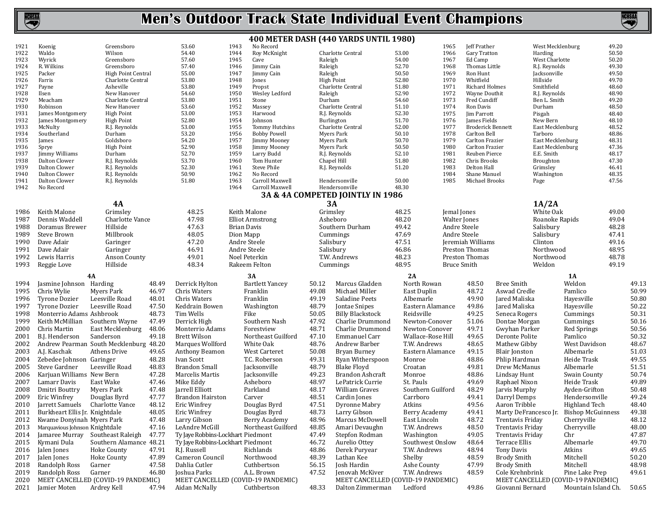

|              |                                |                                                   |       |                                                     |                    |                                   |         | 400 METER DASH (440 YARDS UNTIL 1980)                  |                   |                    |                                    |                       |                                |                                                           |                |       |
|--------------|--------------------------------|---------------------------------------------------|-------|-----------------------------------------------------|--------------------|-----------------------------------|---------|--------------------------------------------------------|-------------------|--------------------|------------------------------------|-----------------------|--------------------------------|-----------------------------------------------------------|----------------|-------|
| 1921         | Koenig                         | Greensboro                                        |       | 53.60                                               | 1943               | No Record                         |         |                                                        |                   | 1965               | Jeff Prather                       |                       | West Mecklenburg               |                                                           | 49.20          |       |
| 1922         | Waldo                          | Wilson                                            |       | 54.40                                               | 1944               | Roy McKnight                      |         | Charlotte Central                                      | 53.00             | 1966               | Gary Tratton                       |                       | Harding                        |                                                           | 50.50          |       |
| 1923         | Wyrick                         | Greensboro                                        |       | 57.60                                               | 1945               | Cave                              | Raleigh |                                                        | 54.00             | 1967               | Ed Camp                            |                       | West Charlotte                 |                                                           | 50.20          |       |
| 1924         | R. Wilkins                     | Greensboro                                        |       | 57.40                                               | 1946               | Jimmy Cain                        | Raleigh |                                                        | 52.70             | 1968               | Thomas Little                      |                       | R.J. Reynolds                  |                                                           | 49.30          |       |
| 1925         | Packer                         | High Point Central                                |       | 55.00                                               | 1947               | Jimmy Cain                        | Raleigh |                                                        | 50.50             | 1969               | Ron Hunt                           |                       | Jacksonville                   |                                                           | 49.50<br>49.70 |       |
| 1926<br>1927 | Farris<br>Payne                | Charlotte Central<br>Asheville                    |       | 53.80<br>53.80                                      | 1948<br>1949       | Jones<br>Propst                   |         | <b>High Point</b><br>Charlotte Central                 | 52.80<br>51.80    | 1970<br>1971       | Whitfield<br><b>Richard Holmes</b> |                       | Hillside<br>Smithfield         |                                                           | 48.60          |       |
| 1928         | Ilsen                          | New Hanover                                       |       | 54.60                                               | 1950               | Wesley Ledford                    | Raleigh |                                                        | 52.90             | 1972               | Wayne Douthit                      |                       | R.J. Reynolds                  |                                                           | 48.90          |       |
| 1929         | Meacham                        | Charlotte Central                                 |       | 53.80                                               | 1951               | Stone                             | Durham  |                                                        | 54.60             | 1973               | Fred Cundiff                       |                       | Ben L. Smith                   |                                                           | 49.20          |       |
| 1930         | Robinson                       | New Hanover                                       |       | 53.60                                               | 1952               | Massey                            |         | Charlotte Central                                      | 51.10             | 1974               | Ron Davis                          |                       | Durham                         |                                                           | 48.50          |       |
| 1931         | James Montgomery               | <b>High Point</b>                                 |       | 53.00                                               | 1953               | Harwood                           |         | R.J. Reynolds                                          | 52.30             | 1975               | Jim Parrott                        |                       | Pisgah                         |                                                           | 48.40          |       |
| 1932         | James Montgomery               | <b>High Point</b>                                 |       | 52.80                                               | 1954               | Johnson                           |         | Burlington                                             | 51.70             | 1976               | James Fields                       |                       | New Bern                       |                                                           | 48.10          |       |
| 1933         | McNulty                        | R.J. Reynolds                                     |       | 53.00                                               | 1955               | Tommy Hutchins                    |         | Charlotte Central                                      | 52.00             | 1977               | <b>Broderick Bennett</b>           |                       | East Mecklenburg               |                                                           | 48.52          |       |
| 1934         | Southerland                    | Durham                                            |       | 53.20                                               | 1956               | <b>Bobby Powell</b>               |         | Myers Park                                             | 50.10             | 1978               | Carlton Bell                       |                       | Tarboro                        |                                                           | 48.86          |       |
| 1935         | James                          | Goldsboro                                         |       | 54.20                                               | 1957               | <b>Jimmy Mooney</b>               |         | <b>Myers Park</b>                                      | 50.70             | 1979               | Carlton Frazier                    |                       | East Mecklenburg               |                                                           | 48.31          |       |
| 1936<br>1937 | Sprye<br>Jimmy Williams        | <b>High Point</b><br>Durham                       |       | 52.90<br>52.70                                      | 1958<br>1959       | <b>Jimmy Mooney</b><br>Larry Budd |         | Myers Park<br>R.J. Reynolds                            | 50.50<br>52.10    | 1980<br>1981       | Carlton Frazier<br>Reuben Pierce   |                       | East Mecklenburg<br>E.E. Smith |                                                           | 47.36<br>48.17 |       |
| 1938         | Dalton Clower                  | R.J. Reynolds                                     |       | 53.70                                               | 1960               | Tom Hunter                        |         | Chapel Hill                                            | 51.80             | 1982               | Chris Brooks                       |                       | Broughton                      |                                                           | 47.30          |       |
| 1939         | Dalton Clower                  | R.J. Reynolds                                     |       | 52.30                                               | 1961               | Steve Phile                       |         | R.J. Reynolds                                          | 51.20             | 1983               | Delton Hall                        |                       | Grimsley                       |                                                           | 46.41          |       |
| 1940         | Dalton Clower                  | R.J. Reynolds                                     |       | 50.90                                               | 1962               | No Record                         |         |                                                        |                   | 1984               | Shane Manuel                       |                       | Washington                     |                                                           | 48.35          |       |
| 1941         | Dalton Clower                  | R.J. Reynolds                                     |       | 51.80                                               | 1963               | Carroll Maxwell                   |         | Hendersonville                                         | 50.00             | 1985               | Michael Brooks                     |                       | Page                           |                                                           | 47.56          |       |
| 1942         | No Record                      |                                                   |       |                                                     | 1964               | Carroll Maxwell                   |         | Hendersonville                                         | 48.30             |                    |                                    |                       |                                |                                                           |                |       |
|              |                                |                                                   |       |                                                     |                    |                                   |         | 3A & 4A COMPETED JOINTLY IN 1986                       |                   |                    |                                    |                       |                                |                                                           |                |       |
|              |                                | <b>4A</b>                                         |       |                                                     |                    |                                   |         | 3A                                                     |                   |                    |                                    |                       | 1A/2A                          |                                                           |                |       |
| 1986         | Keith Malone                   | Grimsley                                          |       | 48.25                                               | Keith Malone       |                                   |         | Grimsley                                               | 48.25             | Jemal Jones        |                                    |                       | White Oak                      |                                                           | 49.00          |       |
| 1987         | Dennis Waddell                 | Charlotte Vance                                   |       | 47.98                                               |                    | <b>Elliot Armstrong</b>           |         | Asheboro                                               | 48.20             | Walter Jones       |                                    |                       | Roanoke Rapids                 |                                                           | 49.04          |       |
| 1988         | Doramus Brewer                 | Hillside                                          |       | 47.63                                               | <b>Brian Davis</b> |                                   |         | Southern Durham                                        | 49.42             | Andre Steele       |                                    |                       | Salisbury                      |                                                           | 48.28          |       |
| 1989         | Steve Brown                    | Millbrook                                         |       | 48.05                                               | Dion Mapp          |                                   |         | Cummings                                               | 47.69             | Andre Steele       |                                    |                       | Salisbury                      |                                                           | 47.41          |       |
| 1990         | Dave Adair                     | Garinger                                          |       | 47.20                                               | Andre Steele       |                                   |         | Salisbury                                              | 47.51             |                    | Jeremiah Williams                  |                       | Clinton                        |                                                           | 49.16          |       |
| 1991         | Dave Adair                     | Garinger                                          |       | 46.91                                               | Andre Steele       |                                   |         | Salisbury                                              | 46.86             |                    | Preston Thomas                     |                       | Northwood                      |                                                           | 48.95          |       |
| 1992         | Lewis Harris                   | Anson County                                      |       | 49.01                                               | Noel Peterkin      |                                   |         | T.W. Andrews                                           | 48.23             |                    | Preston Thomas                     |                       | Northwood                      |                                                           | 48.78          |       |
| 1993         | Reggie Love                    | Hillside                                          |       | 48.34                                               | Rakeem Felton      |                                   |         | Cummings                                               | 48.95             | <b>Bruce Smith</b> |                                    |                       | Weldon                         |                                                           | 49.19          |       |
|              |                                | 4A                                                |       |                                                     | 3A                 |                                   |         |                                                        | 2A                |                    |                                    |                       |                                | 1A                                                        |                |       |
| 1994         | Jasmine Johnson Harding        |                                                   | 48.49 | Derrick Hylton                                      |                    | <b>Bartlett Yancey</b>            | 50.12   | Marcus Gladden                                         | North Rowan       |                    | 48.50                              | <b>Bree Smith</b>     |                                | Weldon                                                    |                | 49.13 |
| 1995         | Chris Wylie                    | Myers Park                                        | 46.97 | Chris Waters                                        |                    | Franklin                          | 49.08   | Michael Miller                                         | East Duplin       |                    | 48.72                              | Aswad Credle          |                                | Pamlico                                                   |                | 50.99 |
| 1996         | <b>Tyrone Dozier</b>           | Leesville Road                                    | 48.01 | Chris Waters                                        |                    | Franklin                          | 49.19   | Saladine Peets                                         | Albemarle         |                    | 49.90                              | Jared Maliska         |                                | Hayesville                                                |                | 50.80 |
| 1997         | <b>Tyrone Dozier</b>           | Leesville Road                                    | 47.50 | Keddrain Bowen                                      |                    | Washington                        | 48.79   | Jontae Snipes                                          | Eastern Alamance  |                    | 49.86                              | Jared Maliska         |                                | Hayesville                                                |                | 50.22 |
| 1998         | Monterrio Adams Ashbrook       |                                                   | 48.73 | Tim Wells                                           | Fike               |                                   | 50.05   | <b>Billy Blackstock</b>                                | Reidsville        |                    | 49.25                              | Seneca Rogers         |                                | Cummings                                                  |                | 50.31 |
| 1999         | Keith McMillian                | Southern Wayne                                    | 47.49 | Derrick High                                        |                    | Southern Nash                     | 47.92   | Charlie Drummond                                       | Newton-Conover    |                    | 51.06                              | Dontae Morgan         |                                | Cummings                                                  |                | 50.16 |
| 2000         | Chris Martin                   | East Mecklenburg                                  | 48.06 | Monterrio Adams                                     |                    | Forestview                        | 48.71   | Charlie Drummond                                       | Newton-Conover    |                    | 49.71                              | Gwyhan Parker         |                                | Red Springs                                               |                | 50.56 |
| 2001         | B.J. Henderson                 | Sanderson                                         | 49.18 | <b>Brett Wilson</b>                                 |                    | Northeast Guilford                | 47.10   | Emmanuel Carr                                          | Wallace-Rose Hill |                    | 49.65                              | Deronte Polite        |                                | Pamlico                                                   |                | 50.32 |
| 2002         |                                | Andrew Pearman South Mecklenburg 48.20            |       | Marques Wollford                                    |                    | White Oak                         | 48.76   | Andrew Barber                                          | T.W. Andrews      |                    | 48.65                              | Mathew Gibby          |                                | West Davidson                                             |                | 48.67 |
| 2003         | A.J. Kaschak                   | Athens Drive                                      | 49.65 | Anthony Beamon                                      |                    | West Carteret                     | 50.08   | Bryan Burney                                           | Eastern Alamance  |                    | 49.15                              | Blair Jonston         |                                | Albemarle                                                 |                | 51.03 |
| 2004         | Zebedee Johnson Garinger       |                                                   | 48.28 | Ivan Scott                                          |                    | T.C. Roberson                     | 49.31   | Ryan Witherspoon                                       | Monroe            |                    | 48.86                              | Phlip Hardman         |                                | Heide Trask                                               |                | 49.55 |
| 2005         | Steve Gardner                  | Leesville Road                                    | 48.83 | <b>Brandon Small</b>                                |                    | Jacksonville                      | 48.79   | <b>Blake Floyd</b>                                     | Croatan           |                    | 49.81                              | Drew McManus          |                                | Albemarle                                                 |                | 51.51 |
| 2006         | Karjuan Williams New Bern      |                                                   | 47.28 | Marcelis Martis                                     |                    | Jacksonville                      | 49.23   | Brandon Ashcraft                                       | Monroe            |                    | 48.86                              | Lindsay Hunt          |                                | Swain County                                              |                | 50.74 |
| 2007         | Lamarr Davis                   | East Wake                                         | 47.46 | Mike Eddy                                           |                    | Asheboro                          | 48.97   | LePatrick Currie                                       | St. Pauls         |                    | 49.69                              | Raphael Nixon         |                                | Heide Trask                                               |                | 49.89 |
| 2008         | Dmitri Bouttry                 | Myers Park                                        | 47.48 | Jarrell Elliott                                     |                    | Parkland                          | 48.17   | William Graves                                         | Southern Guilford |                    | 48.29                              | Jarvis Murphy         |                                | Ayden-Grifton                                             |                | 50.48 |
| 2009         | Eric Winfrey                   | Douglas Byrd                                      | 47.77 | <b>Brandon Hairston</b>                             |                    | Carver                            | 48.51   | Cardin Jones                                           | Carrboro          |                    | 49.41                              | Darryl Demps          |                                | Hendersonville                                            |                | 49.24 |
| 2010         | Jarrett Samuels                | Charlotte Vance                                   | 48.12 | Eric Winfrey                                        |                    | Douglas Byrd                      | 47.51   | Dyronne Mabry                                          | Atkins            |                    | 49.56                              | Aaron Tribble         |                                | Highland Tech                                             |                | 48.40 |
| 2011         | Burkheart Ellis Jr. Knightdale |                                                   | 48.05 | Eric Winfrey                                        |                    | Douglas Byrd                      | 48.73   | Larry Gibson                                           | Berry Academy     |                    | 49.41                              | Marty DeFrancesco Jr. |                                | Bishop McGuinness                                         |                | 49.38 |
| 2012         | Kwame Donyinah Myers Park      |                                                   | 47.48 | Larry Gibson                                        |                    | Berry Academy                     | 48.96   | Marcus McDowell                                        | East Lincoln      |                    | 48.72                              | Trentavis Friday      |                                | Cherryville                                               |                | 48.12 |
| 2013         | Marquavious Johnson Knightdale |                                                   | 47.16 | LeAndre McGill                                      |                    | Northeast Guilford                | 48.85   | Amari Devaughn                                         | T.W. Andrews      |                    | 48.50                              | Trentavis Friday      |                                | Cherryville                                               |                | 48.00 |
| 2014         | Jamaree Murray                 | Southeast Raleigh                                 | 47.77 | Ty Jaye Robbins-Lockhart Piedmont                   |                    |                                   | 47.49   | Stepfon Rodman                                         | Washington        |                    | 49.05                              | Trentavis Friday      |                                | Chr                                                       |                | 47.87 |
| 2015         | Kymani Dula                    | Southern Alamance 48.21                           |       | Ty Jaye Robbins-Lockhart Piedmont                   |                    |                                   | 46.72   | Aurelio Ottey                                          | Southwest Onslow  |                    | 48.64                              | Terrace Ellis         |                                | Albemarle                                                 |                | 49.70 |
| 2016         | Jalen Jones                    | Hoke County                                       | 47.91 | R.J. Russell                                        |                    | Richlands                         | 48.86   | Derek Puryear                                          | T.W. Andrews      |                    | 48.94                              | Tony Davis            |                                | Atkins                                                    |                | 49.65 |
| 2017         | Jalen Jones                    | Hoke County                                       | 47.89 | Cameron Council                                     |                    | Northwood                         | 48.39   | Lathan Kee                                             | Shelby            |                    | 48.59                              | <b>Brody Smith</b>    |                                | Mitchell                                                  |                | 50.20 |
| 2018         | Randolph Ross                  | Garner                                            | 47.58 | Dahlia Cutler                                       |                    | Cuthbertson                       | 56.15   | Josh Hardin                                            | Ashe County       |                    | 47.99                              | <b>Brody Smith</b>    |                                | Mitchell                                                  |                | 48.98 |
| 2019         | Randolph Ross                  | Garner                                            | 46.80 | Joshua Parks                                        |                    | A.L. Brown                        | 47.52   | Jenovah McKiver                                        | T.W. Andrews      |                    | 48.59                              | Cole Krehnbrink       |                                | Pine Lake Prep                                            |                | 49.61 |
|              |                                |                                                   |       |                                                     |                    |                                   |         |                                                        |                   |                    |                                    |                       |                                |                                                           |                |       |
|              |                                |                                                   |       |                                                     |                    |                                   |         |                                                        |                   |                    |                                    |                       |                                |                                                           |                |       |
| 2020<br>2021 | Jamier Moten                   | MEET CANCELLED (COVID-19 PANDEMIC)<br>Ardrey Kell | 47.94 | MEET CANCELLED (COVID-19 PANDEMIC)<br>Aidan McNally |                    | Cuthbertson                       | 48.33   | MEET CANCELLED (COVID-19 PANDEMIC)<br>Dalton Zimmerman | Ledford           |                    | 49.86                              | Giovanni Bernard      |                                | MEET CANCELLED (COVID-19 PANDEMIC)<br>Mountain Island Ch. |                | 50.65 |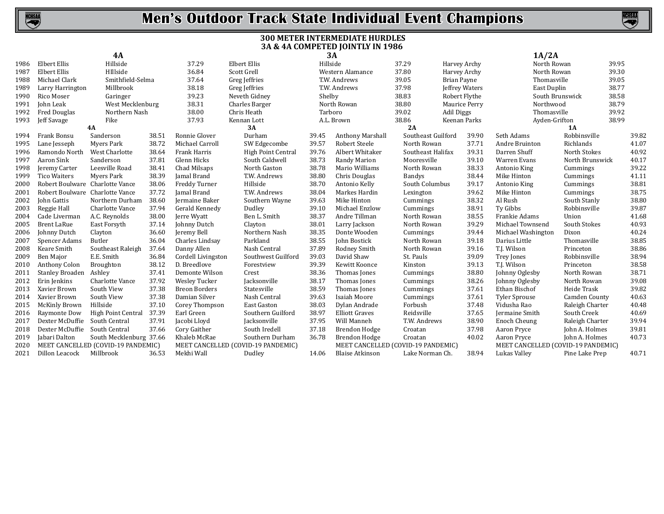



### **300 METER INTERMEDIATE HURDLES 3A & 4A COMPETED JOINTLY IN 1986**

|      |                                 | <b>4A</b>                          |       |                      |                                    | 3A       |                                    |                    |                    |                | 1A/2A                              |                 |       |       |
|------|---------------------------------|------------------------------------|-------|----------------------|------------------------------------|----------|------------------------------------|--------------------|--------------------|----------------|------------------------------------|-----------------|-------|-------|
| 1986 | Elbert Ellis                    | Hillside                           |       | 37.29                | Elbert Ellis                       | Hillside |                                    | 37.29              |                    | Harvey Archy   | North Rowan                        |                 | 39.95 |       |
| 1987 | Elbert Ellis                    | HIllside                           |       | 36.84                | Scott Grell                        |          | Western Alamance                   | 37.80              | Harvey Archy       |                | North Rowan                        |                 | 39.30 |       |
| 1988 | Michael Clark                   | Smithfield-Selma                   |       | 37.64                | Greg Jeffries                      |          | T.W. Andrews                       | 39.05              | <b>Brian Payne</b> |                | Thomasville                        |                 | 39.05 |       |
| 1989 | Larry Harrington                | Millbrook                          |       | 38.18                | Greg Jeffries                      |          | T.W. Andrews                       | 37.98              |                    | Jeffrey Waters | East Duplin                        |                 | 38.77 |       |
| 1990 | Rico Moser                      | Garinger                           |       | 39.23                | Neveth Gidney                      | Shelby   |                                    | 38.83              | Robert Flythe      |                | South Brunswick                    |                 | 38.58 |       |
| 1991 | John Leak                       | West Mecklenburg                   |       | 38.31                | Charles Barger                     |          | North Rowan                        | 38.80              |                    | Maurice Perry  | Northwood                          |                 | 38.79 |       |
| 1992 | <b>Fred Douglas</b>             | Northern Nash                      |       | 38.00                | Chris Heath                        | Tarboro  |                                    | 39.02              | <b>Adil Diggs</b>  |                | Thomasville                        |                 | 39.92 |       |
| 1993 | Jeff Savage                     | Fike                               |       | 37.93                | Kennan Lott                        |          | A.L. Brown                         | 38.86              |                    | Keenan Parks   | Ayden-Grifton                      |                 | 38.99 |       |
|      |                                 | <b>4A</b>                          |       |                      | 3A                                 |          |                                    | 2A                 |                    |                |                                    | 1A              |       |       |
| 1994 | <b>Frank Bonsu</b>              | Sanderson                          | 38.51 | Ronnie Glover        | Durham                             | 39.45    | <b>Anthony Marshall</b>            | Southeast Guilford |                    | 39.90          | Seth Adams                         | Robbinsville    |       | 39.82 |
| 1995 | Lane Jesseph                    | Myers Park                         | 38.72 | Michael Carroll      | SW Edgecombe                       | 39.57    | <b>Robert Steele</b>               | North Rowan        |                    | 37.71          | Andre Bruinton                     | Richlands       |       | 41.07 |
| 1996 | Ramondo North                   | West Charlotte                     | 38.64 | Frank Harris         | <b>High Point Central</b>          | 39.76    | Albert Whitaker                    | Southeast Halifax  |                    | 39.31          | Darren Shuff                       | North Stokes    |       | 40.92 |
| 1997 | Aaron Sink                      | Sanderson                          | 37.81 | Glenn Hicks          | South Caldwell                     | 38.73    | Randy Marion                       | Mooresville        |                    | 39.10          | Warren Evans                       | North Brunswick |       | 40.17 |
| 1998 | Jeremy Carter                   | Leesville Road                     | 38.41 | Chad Milsaps         | North Gaston                       | 38.78    | Mario Williams                     | North Rowan        |                    | 38.33          | Antonio King                       | Cummings        |       | 39.22 |
| 1999 | <b>Tico Waiters</b>             | Myers Park                         | 38.39 | Jamal Brand          | T.W. Andrews                       | 38.80    | Chris Douglas                      | <b>Bandys</b>      |                    | 38.44          | Mike Hinton                        | Cummings        |       | 41.11 |
| 2000 | Robert Boulware Charlotte Vance |                                    | 38.06 | Freddy Turner        | Hillside                           | 38.70    | Antonio Kelly                      | South Columbus     |                    | 39.17          | Antonio King                       | Cummings        |       | 38.81 |
| 2001 | Robert Boulware Charlotte Vance |                                    | 37.72 | Jamal Brand          | T.W. Andrews                       | 38.04    | Markes Hardin                      | Lexington          |                    | 39.62          | Mike Hinton                        | Cummings        |       | 38.75 |
| 2002 | John Gattis                     | Northern Durham                    | 38.60 | Jermaine Baker       | Southern Wayne                     | 39.63    | Mike Hinton                        | Cummings           |                    | 38.32          | Al Rush                            | South Stanly    |       | 38.80 |
| 2003 | Reggie Hall                     | Charlotte Vance                    | 37.94 | Gerald Kennedy       | Dudley                             | 39.10    | Michael Enzlow                     | Cummings           |                    | 38.91          | Ty Gibbs                           | Robbinsville    |       | 39.87 |
| 2004 | Cade Liverman                   | A.C. Reynolds                      | 38.00 | <b>Jerre Wyatt</b>   | Ben L. Smith                       | 38.37    | Andre Tillman                      | North Rowan        |                    | 38.55          | Frankie Adams                      | Union           |       | 41.68 |
| 2005 | <b>Brent LaRue</b>              | East Forsyth                       | 37.14 | Johnny Dutch         | Clayton                            | 38.01    | Larry Jackson                      | North Rowan        |                    | 39.29          | Michael Townsend                   | South Stokes    |       | 40.93 |
| 2006 | Johnny Dutch                    | Clayton                            | 36.60 | <b>Jeremy Bell</b>   | Northern Nash                      | 38.35    | Donte Wooden                       | Cummings           |                    | 39.44          | Michael Washington                 | Dixon           |       | 40.24 |
| 2007 | Spencer Adams                   | Butler                             | 36.04 | Charles Lindsay      | Parkland                           | 38.55    | John Bostick                       | North Rowan        |                    | 39.18          | Darius Little                      | Thomasville     |       | 38.85 |
| 2008 | Keare Smith                     | Southeast Raleigh                  | 37.64 | Danny Allen          | Nash Central                       | 37.89    | Rodney Smith                       | North Rowan        |                    | 39.16          | T.J. Wilson                        | Princeton       |       | 38.86 |
| 2009 | Ben Major                       | E.E. Smith                         | 36.84 | Cordell Livingston   | Southwest Guilford                 | 39.03    | David Shaw                         | St. Pauls          |                    | 39.09          | Trey Jones                         | Robbinsville    |       | 38.94 |
| 2010 | Anthony Colon                   | Broughton                          | 38.12 | D. Breedlove         | Forestview                         | 39.39    | Kewitt Koonce                      | Kinston            |                    | 39.13          | T.J. Wilson                        | Princeton       |       | 38.58 |
| 2011 | <b>Stanley Broaden</b>          | Ashley                             | 37.41 | Demonte Wilson       | Crest                              | 38.36    | Thomas Jones                       | Cummings           |                    | 38.80          | Johnny Oglesby                     | North Rowan     |       | 38.71 |
| 2012 | Erin Jenkins                    | Charlotte Vance                    | 37.92 | Wesley Tucker        | Jacksonville                       | 38.17    | Thomas Jones                       | Cummings           |                    | 38.26          | Johnny Oglesby                     | North Rowan     |       | 39.08 |
| 2013 | Xavier Brown                    | South View                         | 37.38 | <b>Breon Borders</b> | Statesville                        | 38.59    | Thomas Jones                       | Cummings           |                    | 37.61          | Ethan Bischof                      | Heide Trask     |       | 39.82 |
| 2014 | Xavier Brown                    | South View                         | 37.38 | Damian Silver        | Nash Central                       | 39.63    | Isaiah Moore                       | Cummings           |                    | 37.61          | <b>Tyler Sprouse</b>               | Camden County   |       | 40.63 |
| 2015 | <b>McKinly Brown</b>            | Hillside                           | 37.10 | Corey Thompson       | East Gaston                        | 38.03    | Dylan Andrade                      | Forbush            |                    | 37.48          | Vidusha Rao                        | Raleigh Charter |       | 40.48 |
| 2016 | Raymonte Dow                    | High Point Central                 | 37.39 | Earl Green           | Southern Guilford                  | 38.97    | <b>Elliott Graves</b>              | Reidsville         |                    | 37.65          | Jermaine Smith                     | South Creek     |       | 40.69 |
| 2017 | Dexter McDuffie                 | South Central                      | 37.91 | Jacobi Lloyd         | Jacksonville                       | 37.95    | Will Manneh                        | T.W. Andrews       |                    | 38.90          | Enoch Cheung                       | Raleigh Charter |       | 39.94 |
| 2018 | Dexter McDuffie                 | South Central                      | 37.66 | Cory Gaither         | South Iredell                      | 37.18    | Brendon Hodge                      | Croatan            |                    | 37.98          | Aaron Pryce                        | John A. Holmes  |       | 39.81 |
| 2019 | Jabari Dalton                   | South Mecklenburg 37.66            |       | Khaleb McRae         | Southern Durham                    | 36.78    | Brendon Hodge                      | Croatan            |                    | 40.02          | Aaron Pryce                        | John A. Holmes  |       | 40.73 |
| 2020 |                                 | MEET CANCELLED (COVID-19 PANDEMIC) |       |                      | MEET CANCELLED (COVID-19 PANDEMIC) |          | MEET CANCELLED (COVID-19 PANDEMIC) |                    |                    |                | MEET CANCELLED (COVID-19 PANDEMIC) |                 |       |       |
| 2021 | Dillon Leacock                  | Millbrook                          | 36.53 | Mekhi Wall           | Dudley                             | 14.06    | <b>Blaise Atkinson</b>             | Lake Norman Ch.    |                    | 38.94          | Lukas Valley                       | Pine Lake Prep  |       | 40.71 |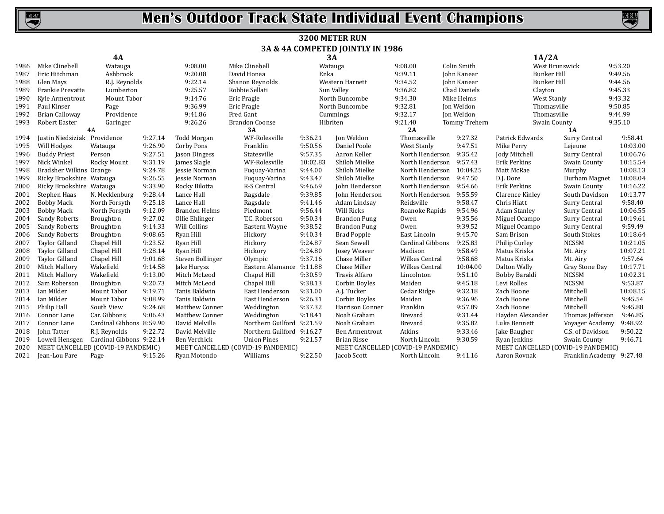

### **3200 METER RUN 3A & 4A COMPETED JOINTLY IN 1986**

|      |                              | <b>4A</b>                          |         |                       |                                    |                | 3A                  | 1A/2A                    |                                                                          |                     |                          |          |
|------|------------------------------|------------------------------------|---------|-----------------------|------------------------------------|----------------|---------------------|--------------------------|--------------------------------------------------------------------------|---------------------|--------------------------|----------|
| 1986 | Mike Clinebell               | Watauga                            |         | 9:08.00               | Mike Clinebell                     |                | Watauga             | 9:08.00                  | Colin Smith                                                              | West Brunswick      |                          | 9:53.20  |
| 1987 | Eric Hitchman                | Ashbrook                           |         | 9:20.08               | David Honea                        | Enka           |                     | 9:39.11                  | John Kaneer                                                              | <b>Bunker Hill</b>  |                          | 9:49.56  |
| 1988 | Glen Mays                    | R.J. Reynolds                      |         | 9:22.14               | Shanon Reynolds                    |                | Western Harnett     | 9:34.52                  | John Kaneer                                                              | <b>Bunker Hill</b>  |                          | 9:44.56  |
| 1989 | Frankie Prevatte             | Lumberton                          |         | 9:25.57               | Robbie Sellati                     |                | Sun Valley          | 9:36.82                  | Chad Daniels                                                             | Clayton             |                          | 9:45.33  |
| 1990 | Kyle Armentrout              | Mount Tabor                        |         | 9:14.76               | Eric Pragle                        | North Buncombe |                     | 9:34.30                  | Mike Helms                                                               | West Stanly         |                          | 9:43.32  |
| 1991 | Paul Kinser                  | Page                               |         | 9:36.99               | Eric Pragle                        |                | North Buncombe      | 9:32.81                  | Jon Weldon                                                               | Thomasville         |                          | 9:50.85  |
| 1992 | Brian Calloway               | Providence                         |         | 9:41.86               | Fred Gant                          |                | Cummings            | 9:32.17                  | Ion Weldon                                                               | Thomasville         |                          | 9:44.99  |
| 1993 | Robert Easter<br>Garinger    |                                    | 9:26.26 | <b>Brandon Coonse</b> |                                    | Hibriten       | 9:21.40             | Tommy Trehern            | Swain County                                                             |                     | 9:35.10                  |          |
|      |                              | 4A                                 |         |                       | 3A                                 |                |                     | 2A                       |                                                                          |                     | 1A                       |          |
| 1994 | Justin Niedsiziak Providence |                                    | 9:27.14 | Todd Morgan           | WF-Rolesville                      | 9:36.21        | Jon Weldon          | Thomasville              | 9:27.32                                                                  | Patrick Edwards     | Surry Central            | 9:58.41  |
| 1995 | Will Hodges                  | Watauga                            | 9:26.90 | Corby Pons            | Franklin                           | 9:50.56        | Daniel Poole        | West Stanly              | 9:47.51                                                                  | Mike Perry          | Lejeune                  | 10:03.00 |
| 1996 | <b>Buddy Priest</b>          | Person                             | 9:27.51 | Jason Dingess         | Statesville                        | 9:57.35        | Aaron Keller        | North Henderson          | 9:35.42                                                                  | Jody Mitchell       | Surry Central            | 10:06.76 |
| 1997 | Nick Winkel                  | Rocky Mount                        | 9:31.19 | James Slagle          | WF-Rolesville                      | 10:02.83       | Shiloh Mielke       | North Henderson 9:57.43  |                                                                          | Erik Perkins        | Swain County             | 10:15.54 |
| 1998 | Bradsher Wilkins Orange      |                                    | 9:24.78 | Jessie Norman         | Fuquay-Varina                      | 9:44.00        | Shiloh Mielke       | North Henderson 10:04.25 |                                                                          | Matt McRae          | Murphy                   | 10:08.13 |
| 1999 | Ricky Brookshire Watauga     |                                    | 9:26.55 | Jessie Norman         | Fuquay-Varina                      | 9:43.47        | Shiloh Mielke       | North Henderson          | 9:47.50                                                                  | D.J. Dore           | Durham Magnet            | 10:08.04 |
| 2000 | Ricky Brookshire Watauga     |                                    | 9:33.90 | Rocky Bilotta         | R-S Central                        | 9:46.69        | John Henderson      | North Henderson 9:54.66  |                                                                          | Erik Perkins        | Swain County             | 10:16.22 |
| 2001 | Stephen Haas                 | N. Mecklenburg                     | 9:28.44 | Lance Hall            | Ragsdale                           | 9:39.85        | John Henderson      | North Henderson          | 9:55.59                                                                  | Clarence Kinley     | South Davidson           | 10:13.77 |
| 2002 | <b>Bobby Mack</b>            | North Forsyth                      | 9:25.18 | Lance Hall            | Ragsdale                           | 9:41.46        | Adam Lindsay        | Reidsville               | 9:58.47                                                                  | Chris Hiatt         | Surry Central            | 9:58.40  |
| 2003 | <b>Bobby Mack</b>            | North Forsyth                      | 9:12.09 | <b>Brandon Helms</b>  | Piedmont                           | 9:56.44        | Will Ricks          | Roanoke Rapids           | 9:54.96                                                                  | <b>Adam Stanley</b> | Surry Central            | 10:06.55 |
| 2004 | Sandy Roberts                | Broughton                          | 9:27.02 | Ollie Ehlinger        | T.C. Roberson                      | 9:50.34        | <b>Brandon Pung</b> | Owen                     | 9:35.56                                                                  | Miguel Ocampo       | Surry Central            | 10:19.61 |
| 2005 | Sandy Roberts                | Broughton                          | 9:14.33 | Will Collins          | Eastern Wayne                      | 9:38.52        | <b>Brandon Pung</b> | Owen                     | 9:39.52                                                                  | Miguel Ocampo       | Surry Central            | 9:59.49  |
| 2006 | Sandy Roberts                | Broughton                          | 9:08.65 | Ryan Hill             | Hickory                            | 9:40.34        | <b>Brad Popple</b>  | East Lincoln             | 9:45.70                                                                  | Sam Brison          | South Stokes             | 10:18.64 |
| 2007 | <b>Taylor Gilland</b>        | Chapel Hill                        | 9:23.52 | Ryan Hill             | Hickory                            | 9:24.87        | Sean Sewell         | Cardinal Gibbons         | 9:25.83                                                                  | Philip Curley       | <b>NCSSM</b>             | 10:21.05 |
| 2008 | <b>Taylor Gilland</b>        | Chapel Hill                        | 9:28.14 | Ryan Hill             | Hickory                            | 9:24.80        | <b>Josey Weaver</b> | Madison                  | 9:58.49                                                                  | Matus Kriska        | Mt. Airy                 | 10:07.21 |
| 2009 | <b>Taylor Gilland</b>        | Chapel Hill                        | 9:01.68 | Steven Bollinger      | Olympic                            | 9:37.16        | Chase Miller        | Wilkes Central           | 9:58.68                                                                  | Matus Kriska        | Mt. Airy                 | 9:57.64  |
| 2010 | Mitch Mallory                | Wakefield                          | 9:14.58 | Jake Hurysz           | Eastern Alamance                   | 9:11.88        | Chase Miller        | Wilkes Central           | 10:04.00                                                                 | Dalton Wally        | Gray Stone Day           | 10:17.71 |
| 2011 | Mitch Mallory                | Wakefield                          | 9:13.00 | Mitch McLeod          | Chapel Hill                        | 9:30.59        | Travis Alfaro       | Lincolnton               | 9:51.10                                                                  | Bobby Baraldi       | <b>NCSSM</b>             | 10:02.31 |
| 2012 | Sam Roberson                 | Broughton                          | 9:20.73 | Mitch McLeod          | Chapel Hill                        | 9:38.13        | Corbin Boyles       | Maiden                   | 9:45.18                                                                  | Levi Rolles         | <b>NCSSM</b>             | 9:53.87  |
| 2013 | Ian Milder                   | Mount Tabor                        | 9:19.71 | Tanis Baldwin         | East Henderson                     | 9:31.00        | A.J. Tucker         | Cedar Ridge              | 9:32.18                                                                  | Zach Boone          | Mitchell                 | 10:08.15 |
| 2014 | Ian Milder                   | Mount Tabor                        | 9:08.99 | Tanis Baldwin         | East Henderson                     | 9:26.31        | Corbin Boyles       | Maiden                   | 9:36.96                                                                  | Zach Boone          | Mitchell                 | 9:45.54  |
| 2015 | Philip Hall                  | South View                         | 9:24.68 | <b>Matthew Conner</b> | Weddington                         | 9:37.32        | Harrison Conner     | Franklin                 | 9:57.89                                                                  | Zach Boone          | Mitchell                 | 9:45.88  |
| 2016 | Connor Lane                  | Car. Gibbons                       | 9:06.43 | Matthew Conner        | Weddington                         | 9:18.41        | Noah Graham         | <b>Brevard</b>           | 9:31.44                                                                  | Hayden Alexander    | Thomas Jefferson         | 9:46.85  |
| 2017 | Connor Lane                  | Cardinal Gibbons 8:59.90           |         | David Melville        | Northern Guilford                  | 9:21.59        | Noah Graham         | <b>Brevard</b>           | 9:35.82                                                                  | Luke Bennett        | Voyager Academy          | 9:48.92  |
| 2018 | John Tatter                  | R.J. Reynolds                      | 9:22.72 | David Melville        | Northern Guilford 9:16.27          |                | Ben Armentrout      | Atkins                   | 9:33.46                                                                  | Jake Baugher        | C.S. of Davidson         | 9:50.22  |
| 2019 | Lowell Hensgen               | Cardinal Gibbons 9:22.14           |         | Ben Verchick          | <b>Union Pines</b>                 | 9:21.57        | <b>Brian Risse</b>  | North Lincoln            | 9:30.59                                                                  | Ryan Jenkins        | Swain County             | 9:46.71  |
| 2020 |                              | MEET CANCELLED (COVID-19 PANDEMIC) |         |                       | MEET CANCELLED (COVID-19 PANDEMIC) |                |                     |                          | MEET CANCELLED (COVID-19 PANDEMIC)<br>MEET CANCELLED (COVID-19 PANDEMIC) |                     |                          |          |
| 2021 | Jean-Lou Pare                | Page                               | 9:15.26 | Ryan Motondo          | Williams                           | 9:22.50        | Jacob Scott         | North Lincoln            | 9:41.16                                                                  | Aaron Rovnak        | Franklin Academy 9:27.48 |          |
|      |                              |                                    |         |                       |                                    |                |                     |                          |                                                                          |                     |                          |          |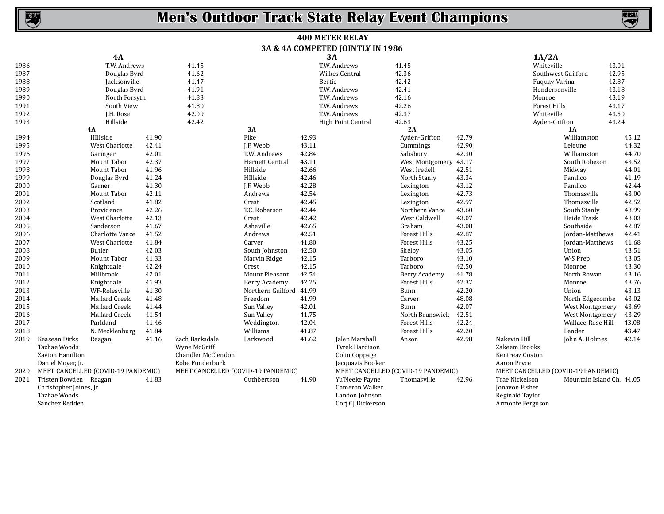

### **400 METER RELAY 3A & 4A COMPETED JOINTLY IN 1986**

|      |                                    |                 |       |                                    |                         |       | $\alpha$ + $\alpha$ comencies for the $\alpha$ in 1980 |                                    |       |                                    |                           |       |
|------|------------------------------------|-----------------|-------|------------------------------------|-------------------------|-------|--------------------------------------------------------|------------------------------------|-------|------------------------------------|---------------------------|-------|
|      |                                    | 4A              |       |                                    |                         |       | 3A                                                     |                                    |       | 1A/2A                              |                           |       |
| 1986 |                                    | T.W. Andrews    |       | 41.45                              |                         |       | T.W. Andrews                                           | 41.45                              |       | Whiteville                         |                           | 43.01 |
| 1987 |                                    | Douglas Byrd    |       | 41.62                              |                         |       | Wilkes Central                                         | 42.36                              |       |                                    | Southwest Guilford        | 42.95 |
| 1988 |                                    | Jacksonville    |       | 41.47                              |                         |       | Bertie                                                 | 42.42                              |       | Fuquay-Varina                      |                           | 42.87 |
| 1989 |                                    | Douglas Byrd    |       | 41.91                              |                         |       | T.W. Andrews                                           | 42.41                              |       | Hendersonville                     |                           | 43.18 |
| 1990 |                                    | North Forsyth   |       | 41.83                              |                         |       | T.W. Andrews                                           | 42.16                              |       | Monroe                             |                           | 43.19 |
| 1991 |                                    | South View      |       | 41.80                              |                         |       | T.W. Andrews                                           | 42.26                              |       | <b>Forest Hills</b>                |                           | 43.17 |
| 1992 |                                    | J.H. Rose       |       | 42.09                              |                         |       | T.W. Andrews                                           | 42.37                              |       | Whiteville                         |                           | 43.50 |
| 1993 |                                    | Hillside        |       | 42.42                              |                         |       | High Point Central                                     | 42.63                              |       | Ayden-Grifton                      |                           | 43.24 |
|      |                                    | <b>4A</b>       |       |                                    | 3A                      |       |                                                        | 2A                                 |       |                                    | 1A                        |       |
| 1994 |                                    | HIllside        | 41.90 |                                    | Fike                    | 42.93 |                                                        | Ayden-Grifton                      | 42.79 |                                    | Williamston               | 45.12 |
| 1995 |                                    | West Charlotte  | 42.41 |                                    | J.F. Webb               | 43.11 |                                                        | Cummings                           | 42.90 |                                    | Lejeune                   | 44.32 |
| 1996 |                                    | Garinger        | 42.01 |                                    | T.W. Andrews            | 42.84 |                                                        | Salisbury                          | 42.30 |                                    | Williamston               | 44.70 |
| 1997 |                                    | Mount Tabor     | 42.37 |                                    | Harnett Central         | 43.11 |                                                        | West Montgomery 43.17              |       |                                    | South Robeson             | 43.52 |
| 1998 |                                    | Mount Tabor     | 41.96 |                                    | Hillside                | 42.66 |                                                        | West Iredell                       | 42.51 |                                    | Midway                    | 44.01 |
| 1999 |                                    | Douglas Byrd    | 41.24 |                                    | HIllside                | 42.46 |                                                        | North Stanly                       | 43.34 |                                    | Pamlico                   | 41.19 |
| 2000 |                                    | Garner          | 41.30 |                                    | J.F. Webb               | 42.28 |                                                        | Lexington                          | 43.12 |                                    | Pamlico                   | 42.44 |
| 2001 |                                    | Mount Tabor     | 42.11 |                                    | Andrews                 | 42.54 |                                                        | Lexington                          | 42.73 |                                    | Thomasville               | 43.00 |
| 2002 |                                    | Scotland        | 41.82 |                                    | Crest                   | 42.45 |                                                        | Lexington                          | 42.97 |                                    | Thomasville               | 42.52 |
| 2003 |                                    | Providence      | 42.26 |                                    | T.C. Roberson           | 42.44 |                                                        | Northern Vance                     | 43.60 |                                    | South Stanly              | 43.99 |
| 2004 |                                    | West Charlotte  | 42.13 |                                    | Crest                   | 42.42 |                                                        | West Caldwell                      | 43.07 |                                    | Heide Trask               | 43.03 |
| 2005 |                                    | Sanderson       | 41.67 |                                    | Asheville               | 42.65 |                                                        | Graham                             | 43.08 |                                    | Southside                 | 42.87 |
| 2006 |                                    | Charlotte Vance | 41.52 |                                    | Andrews                 | 42.51 |                                                        | <b>Forest Hills</b>                | 42.87 |                                    | Jordan-Matthews           | 42.41 |
| 2007 |                                    | West Charlotte  | 41.84 |                                    | Carver                  | 41.80 |                                                        | <b>Forest Hills</b>                | 43.25 |                                    | Jordan-Matthews           | 41.68 |
| 2008 |                                    | Butler          | 42.03 |                                    | South Johnston          | 42.50 |                                                        | Shelby                             | 43.05 |                                    | Union                     | 43.51 |
| 2009 |                                    | Mount Tabor     | 41.33 |                                    | Marvin Ridge            | 42.15 |                                                        | Tarboro                            | 43.10 |                                    | W-S Prep                  | 43.05 |
| 2010 |                                    | Knightdale      | 42.24 |                                    | Crest                   | 42.15 |                                                        | Tarboro                            | 42.50 |                                    | Monroe                    | 43.30 |
| 2011 |                                    | Millbrook       | 42.01 |                                    | Mount Pleasant          | 42.54 |                                                        | Berry Academy                      | 41.78 |                                    | North Rowan               | 43.16 |
| 2012 |                                    | Knightdale      | 41.93 |                                    | Berry Academy           | 42.25 |                                                        | <b>Forest Hills</b>                | 42.37 |                                    | Monroe                    | 43.76 |
| 2013 |                                    | WF-Rolesville   | 41.30 |                                    | Northern Guilford 41.99 |       |                                                        | Bunn                               | 42.20 |                                    | Union                     | 43.13 |
| 2014 |                                    | Mallard Creek   | 41.48 |                                    | Freedom                 | 41.99 |                                                        | Carver                             | 48.08 |                                    | North Edgecombe           | 43.02 |
| 2015 |                                    | Mallard Creek   | 41.44 |                                    | Sun Valley              | 42.01 |                                                        | Bunn                               | 42.07 |                                    | West Montgomery           | 43.69 |
| 2016 |                                    | Mallard Creek   | 41.54 |                                    | Sun Valley              | 41.75 |                                                        | North Brunswick                    | 42.51 |                                    | West Montgomery           | 43.29 |
| 2017 |                                    | Parkland        | 41.46 |                                    | Weddington              | 42.04 |                                                        | <b>Forest Hills</b>                | 42.24 |                                    | Wallace-Rose Hill         | 43.08 |
| 2018 |                                    | N. Mecklenburg  | 41.84 |                                    | Williams                | 41.87 |                                                        | <b>Forest Hills</b>                | 42.20 |                                    | Pender                    | 43.47 |
| 2019 | Keasean Dirks                      | Reagan          | 41.16 | Zach Barksdale                     | Parkwood                | 41.62 | Jalen Marshall                                         | Anson                              | 42.98 | Nakevin Hill                       | John A. Holmes            | 42.14 |
|      | Tazhae Woods                       |                 |       | Wyne McGriff                       |                         |       | Tyrek Hardison                                         |                                    |       | Zakeem Brooks                      |                           |       |
|      | Zavion Hamilton                    |                 |       | Chandler McClendon                 |                         |       | Colin Coppage                                          |                                    |       | Kentreaz Coston                    |                           |       |
|      | Daniel Moyer, Jr.                  |                 |       |                                    |                         |       | Jacquavis Booker                                       |                                    |       | Aaron Pryce                        |                           |       |
| 2020 | MEET CANCELLED (COVID-19 PANDEMIC) |                 |       | MEET CANCELLED (COVID-19 PANDEMIC) |                         |       |                                                        | MEET CANCELLED (COVID-19 PANDEMIC) |       | MEET CANCELLED (COVID-19 PANDEMIC) |                           |       |
| 2021 | Tristen Bowden Reagan              |                 | 41.83 |                                    | Cuthbertson             | 41.90 | Yu'Neeke Payne                                         | Thomasville                        | 42.96 | Trae Nickelson                     | Mountain Island Ch. 44.05 |       |
|      | Christopher Joines, Jr.            |                 |       |                                    |                         |       | Cameron Walker                                         |                                    |       | <b>Jonavon Fisher</b>              |                           |       |
|      | Tazhae Woods                       |                 |       |                                    |                         |       | Landon Johnson                                         |                                    |       | Reginald Taylor                    |                           |       |
|      | Sanchez Redden                     |                 |       |                                    |                         |       | Corj CJ Dickerson                                      |                                    |       | Armonte Ferguson                   |                           |       |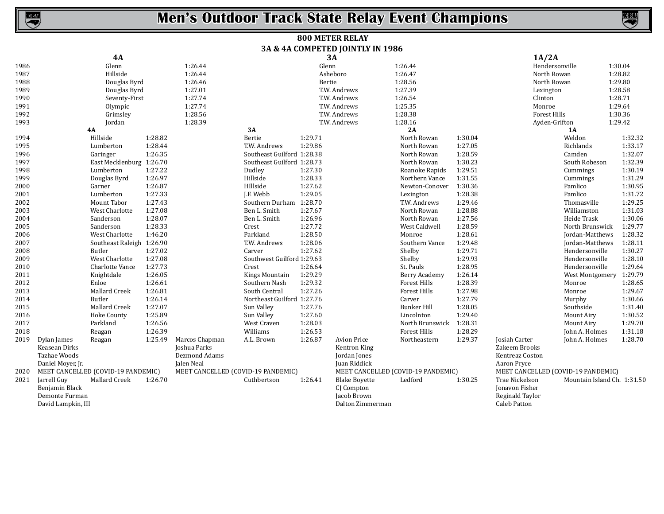

### **800 METER RELAY 3A & 4A COMPETED JOINTLY IN 1986**

| 3A<br><b>4A</b>                                                                                                                                              | 1A/2A                             |  |  |  |
|--------------------------------------------------------------------------------------------------------------------------------------------------------------|-----------------------------------|--|--|--|
| 1986<br>1:26.44<br>Glenn<br>1:26.44<br>Hendersonville<br>Glenn                                                                                               | 1:30.04                           |  |  |  |
| 1987<br>Hillside<br>1:26.44<br>Asheboro<br>1:26.47<br>North Rowan                                                                                            | 1:28.82                           |  |  |  |
| 1:26.46<br>Bertie<br>1:28.56<br>North Rowan<br>1988<br>Douglas Byrd                                                                                          | 1:29.80                           |  |  |  |
| 1:27.39<br>1989<br>Douglas Byrd<br>1:27.01<br>T.W. Andrews<br>Lexington                                                                                      | 1:28.58                           |  |  |  |
| 1:27.74<br>1:26.54<br>1990<br>Seventy-First<br>T.W. Andrews<br>Clinton                                                                                       | 1:28.71                           |  |  |  |
| 1:25.35<br>1991<br>1:27.74<br>Olympic<br>T.W. Andrews<br>Monroe                                                                                              | 1:29.64                           |  |  |  |
| 1:28.38<br>1:28.56<br>T.W. Andrews<br><b>Forest Hills</b><br>1992<br>Grimsley                                                                                | 1:30.36                           |  |  |  |
| Jordan<br>1:28.39<br>T.W. Andrews<br>1:28.16<br>1993<br>Ayden-Grifton                                                                                        | 1:29.42                           |  |  |  |
| 4A<br>3A<br>2A<br><b>1A</b>                                                                                                                                  |                                   |  |  |  |
| 1994<br>Hillside<br>1:28.82<br>Bertie<br>1:29.71<br>North Rowan<br>1:30.04                                                                                   | Weldon<br>1:32.32                 |  |  |  |
| 1:29.86<br>1:27.05<br>1995<br>Lumberton<br>1:28.44<br>T.W. Andrews<br>North Rowan                                                                            | 1:33.17<br>Richlands              |  |  |  |
| 1:26.35<br>Southeast Guilford 1:28.38<br>1:28.59<br>1996<br>Garinger<br>North Rowan                                                                          | 1:32.07<br>Camden                 |  |  |  |
| East Mecklenburg 1:26.70<br>1:30.23<br>1997<br>Southeast Guilford 1:28.73<br>North Rowan                                                                     | 1:32.39<br>South Robeson          |  |  |  |
| 1:27.22<br>Dudley<br>1:27.30<br>1:29.51<br>1998<br>Lumberton<br>Roanoke Rapids                                                                               | 1:30.19<br>Cummings               |  |  |  |
| 1:26.97<br>1999<br>Hillside<br>1:28.33<br>Northern Vance<br>1:31.55<br>Douglas Byrd                                                                          | 1:31.29<br>Cummings               |  |  |  |
| 1:27.62<br>1:26.87<br>HIllside<br>Newton-Conover<br>1:30.36<br>2000<br>Garner                                                                                | 1:30.95<br>Pamlico                |  |  |  |
| 1:27.33<br>1:29.05<br>2001<br>Lumberton<br>J.F. Webb<br>1:28.38<br>Lexington                                                                                 | 1:31.72<br>Pamlico                |  |  |  |
| Mount Tabor<br>1:27.43<br>1:28.70<br>T.W. Andrews<br>1:29.46<br>2002<br>Southern Durham                                                                      | 1:29.25<br>Thomasville            |  |  |  |
| 1:27.08<br>2003<br>West Charlotte<br>Ben L. Smith<br>1:27.67<br>North Rowan<br>1:28.88                                                                       | 1:31.03<br>Williamston            |  |  |  |
| 1:28.07<br>1:26.96<br>2004<br>Sanderson<br>Ben L. Smith<br>North Rowan<br>1:27.56                                                                            | 1:30.06<br>Heide Trask            |  |  |  |
| 1:28.33<br>1:27.72<br>Sanderson<br>Crest<br>West Caldwell<br>1:28.59<br>2005                                                                                 | 1:29.77<br>North Brunswick        |  |  |  |
| 1:46.20<br>Parkland<br>1:28.50<br>1:28.61<br>2006<br>West Charlotte<br>Monroe                                                                                | 1:28.32<br>Jordan-Matthews        |  |  |  |
| 1:28.06<br>2007<br>Southeast Raleigh 1:26.90<br>T.W. Andrews<br>Southern Vance<br>1:29.48                                                                    | Jordan-Matthews<br>1:28.11        |  |  |  |
| 1:27.62<br>1:29.71<br>2008<br>Butler<br>1:27.02<br>Carver<br>Shelby                                                                                          | 1:30.27<br>Hendersonville         |  |  |  |
| 1:27.08<br>Southwest Guilford 1:29.63<br>1:29.93<br>2009<br>West Charlotte<br>Shelby                                                                         | 1:28.10<br>Hendersonville         |  |  |  |
| 1:27.73<br>1:26.64<br>1:28.95<br>2010<br>Charlotte Vance<br>Crest<br>St. Pauls                                                                               | 1:29.64<br>Hendersonville         |  |  |  |
| 1:29.29<br>1:26.05<br>1:26.14<br>2011<br>Knightdale<br>Kings Mountain<br>Berry Academy                                                                       | 1:29.79<br><b>West Montgomery</b> |  |  |  |
| 1:29.32<br>1:28.39<br>2012<br>Enloe<br>1:26.61<br>Southern Nash<br><b>Forest Hills</b>                                                                       | 1:28.65<br>Monroe                 |  |  |  |
| Mallard Creek<br>1:26.81<br>1:27.26<br><b>Forest Hills</b><br>1:27.98<br>2013<br>South Central                                                               | 1:29.67<br>Monroe                 |  |  |  |
| Butler<br>1:27.79<br>2014<br>1:26.14<br>Northeast Guilford 1:27.76<br>Carver                                                                                 | 1:30.66<br>Murphy                 |  |  |  |
| 1:27.07<br>1:27.76<br><b>Bunker Hill</b><br>1:28.05<br>2015<br>Mallard Creek<br>Sun Valley                                                                   | 1:31.40<br>Southside              |  |  |  |
| 1:29.40<br>2016<br>1:25.89<br>Sun Valley<br>1:27.60<br>Lincolnton<br>Hoke County                                                                             | 1:30.52<br>Mount Airy             |  |  |  |
| Parkland<br>1:26.56<br>West Craven<br>1:28.03<br>1:28.31<br>2017<br>North Brunswick                                                                          | 1:29.70<br>Mount Airy             |  |  |  |
| 1:26.39<br>Williams<br>1:26.53<br><b>Forest Hills</b><br>1:28.29<br>2018<br>Reagan                                                                           | John A. Holmes<br>1:31.18         |  |  |  |
| 1:25.49<br>Marcos Chapman<br>1:26.87<br><b>Avion Price</b><br>1:29.37<br>Josiah Carter<br>2019<br>Dylan James<br>Reagan<br>A.L. Brown<br>Northeastern        | 1:28.70<br>John A. Holmes         |  |  |  |
| Joshua Parks<br>Zakeem Brooks<br>Keasean Dirks<br>Kentron King                                                                                               |                                   |  |  |  |
| Dezmond Adams<br>Tazhae Woods<br>Jordan Jones<br>Kentreaz Coston                                                                                             |                                   |  |  |  |
| Jalen Neal<br>Daniel Moyer, Jr.<br>Juan Riddick<br>Aaron Pryce                                                                                               |                                   |  |  |  |
| MEET CANCELLED (COVID-19 PANDEMIC)<br>MEET CANCELLED (COVID-19 PANDEMIC)<br>MEET CANCELLED (COVID-19 PANDEMIC)<br>MEET CANCELLED (COVID-19 PANDEMIC)<br>2020 |                                   |  |  |  |
| Jarrell Guy<br>Mallard Creek<br>Cuthbertson<br>Ledford<br>Trae Nickelson<br>1:26.70<br>1:26.41<br><b>Blake Boyette</b><br>1:30.25<br>2021                    | Mountain Island Ch. 1:31.50       |  |  |  |
| CJ Compton<br><b>Jonavon Fisher</b><br>Benjamin Black                                                                                                        |                                   |  |  |  |
| Jacob Brown<br>Demonte Furman<br>Reginald Taylor                                                                                                             |                                   |  |  |  |
| Dalton Zimmerman<br><b>Caleb Patton</b><br>David Lampkin, III                                                                                                |                                   |  |  |  |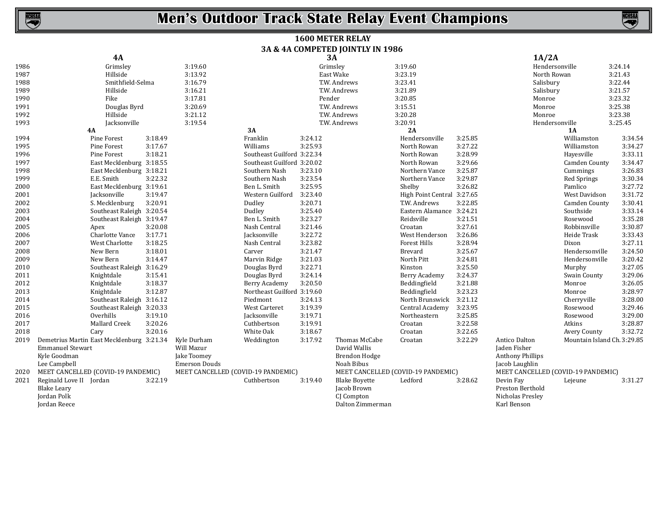| <b>1600 METER RELAY</b>          |
|----------------------------------|
| 3A & 4A COMPETED JOINTLY IN 1986 |

|      | <b>4A</b>                                 |         |                                    |                            |         | 3A                                 | 1A/2A                      |         |                                    |                             |          |
|------|-------------------------------------------|---------|------------------------------------|----------------------------|---------|------------------------------------|----------------------------|---------|------------------------------------|-----------------------------|----------|
| 1986 | Grimsley                                  |         | 3:19.60                            |                            |         | Grimsley                           | 3:19.60                    |         | Hendersonville                     |                             | 3:24.14  |
| 1987 | Hillside                                  |         | 3:13.92                            |                            |         | East Wake                          | 3:23.19                    |         | North Rowan                        |                             | 3:21.43  |
| 1988 | Smithfield-Selma                          |         | 3:16.79                            |                            |         | T.W. Andrews                       | 3:23.41                    |         | Salisbury                          |                             | 3:22.44  |
| 1989 | Hillside                                  |         | 3:16.21                            |                            |         | T.W. Andrews                       | 3:21.89                    |         | Salisbury                          |                             | 3:21.57  |
| 1990 | Fike                                      |         | 3:17.81                            |                            |         | Pender                             | 3:20.85                    |         | Monroe                             |                             | 3:23.32  |
| 1991 | Douglas Byrd                              |         | 3:20.69                            |                            |         | T.W. Andrews                       | 3:15.51                    |         | Monroe                             |                             | 3:25.38  |
| 1992 | Hillside                                  |         | 3:21.12                            |                            |         | T.W. Andrews                       | 3:20.28                    |         | Monroe                             |                             | 3:23.38  |
| 1993 | Jacksonville                              |         | 3:19.54                            |                            |         | T.W. Andrews                       | 3:20.91                    |         | Hendersonville                     |                             | 3.:25.45 |
|      | <b>4A</b>                                 |         |                                    | 3A                         |         |                                    | 2A                         |         |                                    | 1A                          |          |
| 1994 | Pine Forest                               | 3:18.49 |                                    | Franklin                   | 3:24.12 |                                    | Hendersonville             | 3:25.85 |                                    | Williamston                 | 3:34.54  |
| 1995 | Pine Forest                               | 3:17.67 |                                    | Williams                   | 3:25.93 |                                    | North Rowan                | 3:27.22 |                                    | Williamston                 | 3:34.27  |
| 1996 | Pine Forest                               | 3:18.21 |                                    | Southeast Guilford 3:22.34 |         |                                    | North Rowan                | 3:28.99 |                                    | Hayesville                  | 3:33.11  |
| 1997 | East Mecklenburg 3:18.55                  |         |                                    | Southeast Guilford 3:20.02 |         |                                    | North Rowan                | 3:29.66 |                                    | Camden County               | 3:34.47  |
| 1998 | East Mecklenburg 3:18.21                  |         |                                    | Southern Nash              | 3:23.10 |                                    | Northern Vance             | 3:25.87 |                                    | Cummings                    | 3:26.83  |
| 1999 | E.E. Smith                                | 3:22.32 |                                    | Southern Nash              | 3:23.54 |                                    | Northern Vance             | 3:29.87 |                                    | Red Springs                 | 3:30.34  |
| 2000 | East Mecklenburg 3:19.61                  |         |                                    | Ben L. Smith               | 3:25.95 |                                    | Shelby                     | 3:26.82 |                                    | Pamlico                     | 3:27.72  |
| 2001 | Jacksonville                              | 3:19.47 |                                    | Western Guilford           | 3:23.40 |                                    | High Point Central 3:27.65 |         |                                    | West Davidson               | 3:31.72  |
| 2002 | S. Mecklenburg                            | 3:20.91 |                                    | Dudley                     | 3:20.71 |                                    | T.W. Andrews               | 3:22.85 |                                    | Camden County               | 3:30.41  |
| 2003 | Southeast Raleigh 3:20.54                 |         |                                    | Dudley                     | 3:25.40 |                                    | Eastern Alamance 3:24.21   |         |                                    | Southside                   | 3:33.14  |
| 2004 | Southeast Raleigh 3:19.47                 |         |                                    | Ben L. Smith               | 3:23.27 |                                    | Reidsville                 | 3:21.51 |                                    | Rosewood                    | 3:35.28  |
| 2005 | Apex                                      | 3:20.08 |                                    | Nash Central               | 3:21.46 |                                    | Croatan                    | 3:27.61 |                                    | Robbinsville                | 3:30.87  |
| 2006 | Charlotte Vance                           | 3:17.71 |                                    | Jacksonville               | 3:22.72 |                                    | West Henderson             | 3:26.86 |                                    | Heide Trask                 | 3:33.43  |
| 2007 | West Charlotte                            | 3:18.25 |                                    | Nash Central               | 3:23.82 |                                    | Forest Hills               | 3:28.94 |                                    | Dixon                       | 3:27.11  |
| 2008 | New Bern                                  | 3:18.01 |                                    | Carver                     | 3:21.47 |                                    | <b>Brevard</b>             | 3:25.67 |                                    | Hendersonville              | 3:24.50  |
| 2009 | New Bern                                  | 3:14.47 |                                    | Marvin Ridge               | 3:21.03 |                                    | North Pitt                 | 3:24.81 |                                    | Hendersonville              | 3:20.42  |
| 2010 | Southeast Raleigh                         | 3:16.29 |                                    | Douglas Byrd               | 3:22.71 |                                    | Kinston                    | 3:25.50 |                                    | Murphy                      | 3:27.05  |
| 2011 | Knightdale                                | 3:15.41 |                                    | Douglas Byrd               | 3:24.14 |                                    | Berry Academy              | 3:24.37 |                                    | Swain County                | 3:29.06  |
| 2012 | Knightdale                                | 3:18.37 |                                    | Berry Academy              | 3:20.50 |                                    | Beddingfield               | 3:21.88 |                                    | Monroe                      | 3:26.05  |
| 2013 | Knightdale                                | 3:12.87 |                                    | Northeast Guilford 3:19.60 |         |                                    | Beddingfield               | 3:23.23 |                                    | Monroe                      | 3:28.97  |
| 2014 | Southeast Raleigh                         | 3:16.12 |                                    | Piedmont                   | 3:24.13 |                                    | North Brunswick            | 3:21.12 |                                    | Cherryville                 | 3:28.00  |
| 2015 | Southeast Raleigh 3:20.33                 |         |                                    | <b>West Carteret</b>       | 3:19.39 |                                    | Central Academy            | 3:23.95 |                                    | Rosewood                    | 3:29.46  |
| 2016 | Overhills                                 | 3:19.10 |                                    | Jacksonville               | 3:19.71 |                                    | Northeastern               | 3:25.85 |                                    | Rosewood                    | 3:29.00  |
| 2017 | Mallard Creek                             | 3:20.26 |                                    | Cuthbertson                | 3:19.91 |                                    | Croatan                    | 3:22.58 |                                    | Atkins                      | 3:28.87  |
| 2018 | Cary                                      | 3:20.16 |                                    | White Oak                  | 3:18.67 |                                    | Croatan                    | 3:22.65 |                                    | Avery County                | 3:32.72  |
| 2019 | Demetrius Martin East Mecklenburg 3:21.34 |         | Kyle Durham                        | Weddington                 | 3:17.92 | Thomas McCabe                      | Croatan                    | 3:22.29 | Antico Dalton                      | Mountain Island Ch. 3:29.85 |          |
|      | <b>Emmanuel Stewart</b>                   |         | Will Mazur                         |                            |         | David Wallis                       |                            |         | Jaden Fisher                       |                             |          |
|      | Kyle Goodman                              |         | Jake Toomey                        |                            |         | <b>Brendon Hodge</b>               |                            |         | <b>Anthony Phillips</b>            |                             |          |
|      | Lee Campbell                              |         | <b>Emerson Douds</b>               |                            |         | Noah Bibus                         |                            |         | Jacob Laughlin                     |                             |          |
| 2020 | MEET CANCELLED (COVID-19 PANDEMIC)        |         | MEET CANCELLED (COVID-19 PANDEMIC) |                            |         | MEET CANCELLED (COVID-19 PANDEMIC) |                            |         | MEET CANCELLED (COVID-19 PANDEMIC) |                             |          |
| 2021 | Reginald Love II Jordan                   | 3:22.19 |                                    | Cuthbertson                | 3:19.40 | <b>Blake Boyette</b>               | Ledford                    | 3:28.62 | Devin Fay                          | Lejeune                     | 3:31.27  |
|      | <b>Blake Leary</b>                        |         |                                    |                            |         | Jacob Brown                        |                            |         | Preston Berthold                   |                             |          |
|      | Jordan Polk                               |         |                                    |                            |         | CI Compton                         |                            |         | Nicholas Preslev                   |                             |          |
|      | Jordan Reece                              |         |                                    |                            |         | Dalton Zimmerman                   |                            |         | Karl Benson                        |                             |          |